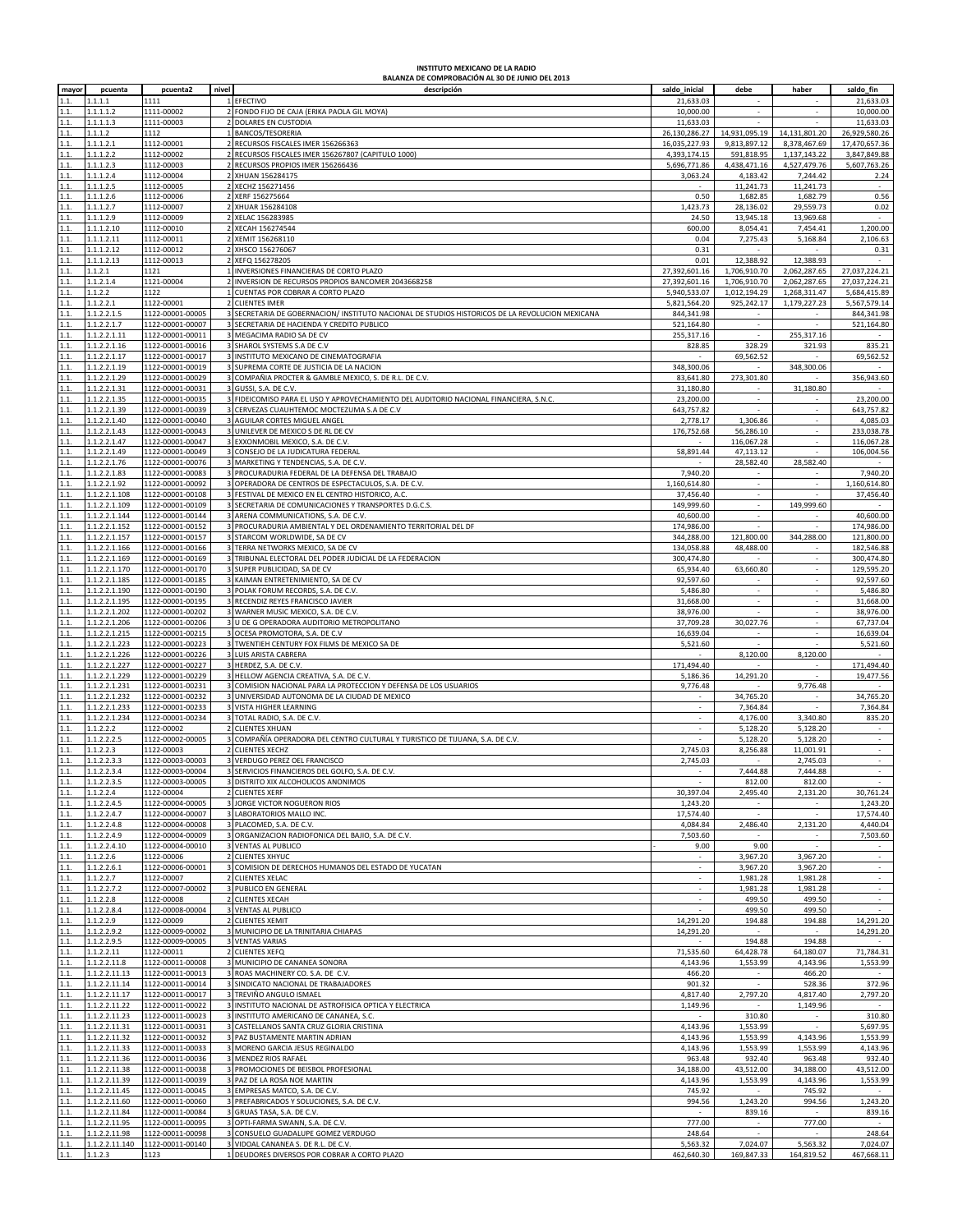## **INSTITUTO MEXICANO DE LA RADIO BALANZA DE COMPROBACIÓN AL 30 DE JUNIO DEL 2013**

| mayor | pcuenta        | pcuenta2         | nivel          | descripción                                                                                     | saldo_inicial            | debe                     | haber                       | saldo_fin     |
|-------|----------------|------------------|----------------|-------------------------------------------------------------------------------------------------|--------------------------|--------------------------|-----------------------------|---------------|
| 1.1   | 1.1.1.1        | 1111             |                | EFECTIVO                                                                                        | 21,633.03                |                          |                             | 21,633.03     |
| 1.1.  | 1.1.1.1.2      | 1111-00002       |                | FONDO FIJO DE CAJA (ERIKA PAOLA GIL MOYA)                                                       | 10,000.00                |                          |                             | 10,000.00     |
| 1.1.  | 1.1.1.1.3      | 1111-00003       |                | DOLARES EN CUSTODIA                                                                             | 11,633.03                |                          |                             | 11,633.03     |
| 1.1.  | 1.1.1.2        | 1112             |                | BANCOS/TESORERIA                                                                                | 26,130,286.27            | 14,931,095.19            | 14,131,801.20               | 26,929,580.26 |
| 1.1.  | 1.1.1.2.1      | 1112-00001       |                | 2 RECURSOS FISCALES IMER 156266363                                                              | 16,035,227.93            | 9,813,897.12             | 8,378,467.69                | 17,470,657.36 |
| 1.1.  | 1.1.1.2.2      | 1112-00002       |                | RECURSOS FISCALES IMER 156267807 (CAPITULO 1000)                                                | 4,393,174.15             | 591,818.95               | 1,137,143.22                | 3,847,849.88  |
| 1.1.  | 1.1.1.2.3      | 1112-00003       |                | 2 RECURSOS PROPIOS IMER 156266436                                                               | 5,696,771.86             | 4,438,471.16             | 4,527,479.76                | 5,607,763.26  |
| 1.1   | 1.1.1.2.4      | 1112-00004       |                | XHUAN 156284175                                                                                 | 3,063.24                 | 4,183.42                 | 7,244.42                    | 2.24          |
| 1.1.  | 1.1.1.2.5      | 1112-00005       |                | XECHZ 156271456                                                                                 |                          | 11,241.73                | 11,241.73                   |               |
| 1.1.  | 1.1.1.2.6      | 1112-00006       |                | XERF 156275664                                                                                  | 0.50                     | 1,682.85                 | 1,682.79                    | 0.56          |
| 1.1.  | 1.1.1.2.7      | 1112-00007       |                | XHUAR 156284108                                                                                 | 1,423.73                 | 28,136.02                | 29,559.73                   | 0.02          |
| 1.1.  | 1.1.1.2.9      | 1112-00009       |                | 2 XELAC 156283985                                                                               | 24.50                    | 13,945.18                | 13,969.68                   |               |
| 1.1.  | 1.1.1.2.10     | 1112-00010       |                | 2 XECAH 156274544                                                                               | 600.00                   | 8,054.41                 | 7,454.41                    | 1,200.00      |
| 1.1.  | 1.1.1.2.11     | 1112-00011       |                | 2 XEMIT 156268110                                                                               | 0.04                     | 7,275.43                 | 5,168.84                    | 2,106.63      |
| 1.1.  | 1.1.1.2.12     | 1112-00012       |                | 2 XHSCO 156276067                                                                               | 0.31                     |                          |                             | 0.31          |
| 1.1.  | 1.1.1.2.13     | 1112-00013       |                | XEFQ 156278205                                                                                  | 0.01                     | 12,388.92                | 12,388.93                   |               |
| 1.1.  | 1.1.2.1        |                  |                |                                                                                                 | 27,392,601.16            |                          | 2,062,287.65                | 27,037,224.21 |
|       |                | 1121             |                | INVERSIONES FINANCIERAS DE CORTO PLAZO                                                          |                          | 1,706,910.70             |                             |               |
| 1.1.  | 1.1.2.1.4      | 1121-00004       |                | INVERSION DE RECURSOS PROPIOS BANCOMER 2043668258                                               | 27,392,601.16            | 1,706,910.70             | 2,062,287.65                | 27,037,224.21 |
| 1.1.  | 1.1.2.2        | 1122             |                | CUENTAS POR COBRAR A CORTO PLAZO                                                                | 5,940,533.07             | 1,012,194.29             | 1,268,311.47                | 5,684,415.89  |
| 1.1.  | 1.1.2.2.1      | 1122-00001       |                | <b>CLIENTES IMER</b>                                                                            | 5,821,564.20             | 925,242.17               | 1,179,227.23                | 5,567,579.14  |
| 1.1.  | 1.1.2.2.1.5    | 1122-00001-00005 |                | 3 SECRETARIA DE GOBERNACION/ INSTITUTO NACIONAL DE STUDIOS HISTORICOS DE LA REVOLUCION MEXICANA | 844,341.98               |                          |                             | 844,341.98    |
| 1.1.  | 1.1.2.2.1.7    | 1122-00001-00007 |                | 3 SECRETARIA DE HACIENDA Y CREDITO PUBLICO                                                      | 521,164.80               | $\sim$                   | $\sim$                      | 521,164.80    |
| 1.1.  | 1.1.2.2.1.11   | 1122-00001-00011 |                | 3 MEGACIMA RADIO SA DE CV                                                                       | 255,317.16               | ×                        | 255,317.16                  |               |
| 1.1.  | 1.1.2.2.1.16   | 1122-00001-00016 |                | SHAROL SYSTEMS S.A DE C.V                                                                       | 828.85                   | 328.29                   | 321.93                      | 835.21        |
| 1.1.  | 1.1.2.2.1.17   | 1122-00001-00017 |                | 3 INSTITUTO MEXICANO DE CINEMATOGRAFIA                                                          |                          | 69,562.52                |                             | 69,562.52     |
| 1.1.  | 1.1.2.2.1.19   | 1122-00001-00019 |                | SUPREMA CORTE DE JUSTICIA DE LA NACION                                                          | 348,300.06               |                          | 348,300.06                  |               |
| 1.1.  | 1.1.2.2.1.29   | 1122-00001-00029 |                | COMPAÑIA PROCTER & GAMBLE MEXICO, S. DE R.L. DE C.V.                                            | 83,641.80                | 273,301.80               |                             | 356,943.60    |
| 1.1.  | 1.1.2.2.1.31   | 1122-00001-00031 |                | GUSSI, S.A. DE C.V.                                                                             | 31,180.80                |                          | 31,180.80                   |               |
| 1.1.  | 1.1.2.2.1.35   | 1122-00001-00035 |                | 3 FIDEICOMISO PARA EL USO Y APROVECHAMIENTO DEL AUDITORIO NACIONAL FINANCIERA, S.N.C.           | 23,200.00                | $\sim$                   |                             | 23,200.00     |
| 1.1.  | 1.1.2.2.1.39   | 1122-00001-00039 |                | 3 CERVEZAS CUAUHTEMOC MOCTEZUMA S.A DE C.V                                                      | 643,757.82               | ÷.                       | ×.                          | 643,757.82    |
| 1.1.  | 1.1.2.2.1.40   | 1122-00001-00040 |                | AGUILAR CORTES MIGUEL ANGEL                                                                     | 2,778.17                 | 1,306.86                 | ×,                          | 4,085.03      |
| 1.1.  | 1.1.2.2.1.43   | 1122-00001-00043 |                | 3 UNILEVER DE MEXICO S DE RL DE CV                                                              | 176,752.68               | 56,286.10                | ÷,                          | 233,038.78    |
| 1.1.  | 1.1.2.2.1.47   | 1122-00001-00047 |                | 3 EXXONMOBIL MEXICO, S.A. DE C.V.                                                               |                          | 116,067.28               | $\overline{\phantom{a}}$    | 116,067.28    |
| 1.1.  | 1.1.2.2.1.49   | 1122-00001-00049 |                | CONSEJO DE LA JUDICATURA FEDERAL                                                                | 58,891.44                | 47,113.12                |                             | 106,004.56    |
| 1.1.  | 1.1.2.2.1.76   | 1122-00001-00076 |                | MARKETING Y TENDENCIAS, S.A. DE C.V.                                                            |                          | 28,582.40                | 28,582.40                   |               |
| 1.1.  | 1.1.2.2.1.83   | 1122-00001-00083 |                | 3 PROCURADURIA FEDERAL DE LA DEFENSA DEL TRABAJO                                                | 7,940.20                 |                          |                             | 7,940.20      |
| 1.1.  | 1.1.2.2.1.92   | 1122-00001-00092 |                | OPERADORA DE CENTROS DE ESPECTACULOS, S.A. DE C.V.                                              | 1,160,614.80             | $\omega$                 | $\mathcal{L}$               | 1,160,614.80  |
| 1.1.  | 1.1.2.2.1.108  | 1122-00001-00108 |                | FESTIVAL DE MEXICO EN EL CENTRO HISTORICO, A.C.                                                 | 37,456.40                |                          |                             | 37,456.40     |
| 1.1.  | 1.1.2.2.1.109  | 1122-00001-00109 |                | 3 SECRETARIA DE COMUNICACIONES Y TRANSPORTES D.G.C.S.                                           | 149,999.60               |                          | 149,999.60                  |               |
| 1.1.  | 1.1.2.2.1.144  | 1122-00001-00144 |                | 3 ARENA COMMUNICATIONS, S.A. DE C.V.                                                            | 40,600.00                | $\sim$                   |                             | 40,600.00     |
| 1.1.  | 1.1.2.2.1.152  | 1122-00001-00152 |                | 3 PROCURADURIA AMBIENTAL Y DEL ORDENAMIENTO TERRITORIAL DEL DF                                  | 174,986.00               |                          |                             | 174.986.00    |
| 1.1.  | 1.1.2.2.1.157  | 1122-00001-00157 |                | STARCOM WORLDWIDE, SA DE CV                                                                     | 344,288.00               | 121,800.00               | 344,288.00                  | 121,800.00    |
| 1.1.  | 1.1.2.2.1.166  | 1122-00001-00166 |                | TERRA NETWORKS MEXICO, SA DE CV                                                                 | 134,058.88               | 48,488.00                |                             | 182,546.88    |
| 1.1.  | 1.1.2.2.1.169  | 1122-00001-00169 |                | TRIBUNAL ELECTORAL DEL PODER JUDICIAL DE LA FEDERACION                                          | 300,474.80               |                          | $\sim$                      | 300,474.80    |
| 1.1.  | 1.1.2.2.1.170  | 1122-00001-00170 |                | 3 SUPER PUBLICIDAD, SA DE CV                                                                    | 65,934.40                | 63,660.80                |                             | 129,595.20    |
| 1.1.  | 1.1.2.2.1.185  | 1122-00001-00185 |                | 3 KAIMAN ENTRETENIMIENTO, SA DE CV                                                              | 92,597.60                |                          | ÷.                          | 92,597.60     |
| 1.1.  | 1.1.2.2.1.190  | 1122-00001-00190 |                | 3 POLAK FORUM RECORDS, S.A. DE C.V.                                                             | 5,486.80                 | $\overline{\phantom{a}}$ | $\overline{\phantom{a}}$    | 5,486.80      |
| 1.1.  | 1.1.2.2.1.195  | 1122-00001-00195 |                | 3 RECENDIZ REYES FRANCISCO JAVIER                                                               | 31,668.00                | ×                        | ×.                          | 31,668.00     |
| 1.1   | 1.1.2.2.1.202  | 1122-00001-00202 |                | WARNER MUSIC MEXICO, S.A. DE C.V                                                                | 38,976.00                |                          |                             | 38,976.00     |
| 1.1.  | 1.1.2.2.1.206  | 1122-00001-00206 |                | 3 U DE G OPERADORA AUDITORIO METROPOLITANO                                                      | 37,709.28                | 30,027.76                | ÷,                          | 67,737.04     |
| 1.1.  | 1.1.2.2.1.215  | 1122-00001-00215 |                | OCESA PROMOTORA, S.A. DE C.V                                                                    | 16,639.04                |                          | $\mathcal{L}_{\mathcal{A}}$ | 16,639.04     |
| 1.1.  | 1.1.2.2.1.223  | 1122-00001-00223 |                | TWENTIEH CENTURY FOX FILMS DE MEXICO SA DE                                                      | 5,521.60                 |                          |                             | 5,521.60      |
| 1.1.  | 1.1.2.2.1.226  | 1122-00001-00226 |                | LUIS ARISTA CABRERA                                                                             |                          | 8,120.00                 | 8,120.00                    |               |
| 1.1.  | 1.1.2.2.1.227  | 1122-00001-00227 |                | 3 HERDEZ, S.A. DE C.V.                                                                          | 171,494.40               |                          |                             | 171,494.40    |
| 1.1.  | 1.1.2.2.1.229  | 1122-00001-00229 |                | 3 HELLOW AGENCIA CREATIVA, S.A. DE C.V.                                                         | 5,186.36                 | 14,291.20                |                             | 19,477.56     |
| 1.1.  | 1.1.2.2.1.231  | 1122-00001-00231 |                | COMISION NACIONAL PARA LA PROTECCION Y DEFENSA DE LOS USUARIOS                                  | 9,776.48                 |                          | 9,776.48                    |               |
| 1.1.  | 1.1.2.2.1.232  | 1122-00001-00232 |                | 3 UNIVERSIDAD AUTONOMA DE LA CIUDAD DE MEXICO                                                   |                          | 34,765.20                |                             | 34,765.20     |
| 1.1.  | 1.1.2.2.1.233  | 1122-00001-00233 |                | 3 VISTA HIGHER LEARNING                                                                         | $\overline{\phantom{a}}$ | 7,364.84                 |                             | 7,364.84      |
| 1.1.  | 1.1.2.2.1.234  | 1122-00001-00234 |                | TOTAL RADIO, S.A. DE C.V.                                                                       |                          | 4,176.00                 | 3,340.80                    | 835.20        |
| 1.1.  | 1.1.2.2.2      | 1122-00002       |                | <b>CLIENTES XHUAN</b>                                                                           |                          | 5,128.20                 | 5,128.20                    |               |
| 1.1.  | 1.1.2.2.2.5    | 1122-00002-00005 |                | COMPAÑÍA OPERADORA DEL CENTRO CULTURAL Y TURISTICO DE TIJUANA, S.A. DE C.V.                     |                          | 5,128.20                 | 5,128.20                    |               |
| 1.1.  | 1.1.2.2.3      | 1122-00003       |                | <b>CLIENTES XECHZ</b>                                                                           | 2,745.03                 | 8,256.88                 | 11,001.91                   | ×             |
| 1.1.  | 1.1.2.2.3.3    | 1122-00003-00003 |                | VERDUGO PEREZ OEL FRANCISCO                                                                     | 2,745.03                 |                          | 2,745.03                    | $\sim$        |
| 1.1.  | 1.1.2.2.3.4    | 1122-00003-00004 |                | SERVICIOS FINANCIEROS DEL GOLFO, S.A. DE C.V.                                                   |                          | 7,444.88                 | 7,444.88                    |               |
|       | 1.1.2.2.3.5    | 1122-00003-00005 |                | 3 DISTRITO XIX ALCOHOLICOS ANONIMOS                                                             |                          | 812.00                   | 812.00                      |               |
| 1.1.  | 1.1.2.2.4      | 1122-00004       |                | 2 CLIENTES XERF                                                                                 | 30,397.04                | 2,495.40                 | 2,131.20                    | 30,761.24     |
| 1.1.  | 1.1.2.2.4.5    | 1122-00004-00005 |                | JORGE VICTOR NOGUERON RIOS                                                                      | 1,243.20                 | $\sim$                   | $\sim$                      | 1,243.20      |
| 1.1.  | 1.1.2.2.4.7    | 1122-00004-00007 |                | LABORATORIOS MALLO INC.                                                                         | 17,574.40                |                          |                             | 17,574.40     |
| 1.1.  | 1.1.2.2.4.8    | 1122-00004-00008 |                | 3 PLACOMED, S.A. DE C.V.                                                                        | 4,084.84                 | 2,486.40                 | 2,131.20                    | 4,440.04      |
| 1.1.  | 1.1.2.2.4.9    | 1122-00004-00009 |                | 3 ORGANIZACION RADIOFONICA DEL BAJIO, S.A. DE C.V.                                              | 7,503.60                 |                          |                             | 7,503.60      |
| 1.1.  | 1.1.2.2.4.10   | 1122-00004-00010 |                | 3 VENTAS AL PUBLICO                                                                             | 9.00                     | 9.00                     |                             |               |
| 1.1.  | 1.1.2.2.6      | 1122-00006       |                | 2 CLIENTES XHYUC                                                                                | $\sim$                   | 3,967.20                 | 3,967.20                    | $\sim$        |
| 1.1.  | 1.1.2.2.6.1    | 1122-00006-00001 |                | 3 COMISION DE DERECHOS HUMANOS DEL ESTADO DE YUCATAN                                            | ä,                       | 3,967.20                 | 3,967.20                    | $\sim$        |
| 1.1.  | 1.1.2.2.7      | 1122-00007       |                | <b>CLIENTES XELAC</b>                                                                           |                          | 1,981.28                 | 1,981.28                    |               |
| 1.1.  | 1.1.2.2.7.2    | 1122-00007-00002 |                | 3 PUBLICO EN GENERAL                                                                            |                          | 1,981.28                 | 1,981.28                    |               |
| 1.1.  | 1.1.2.2.8      | 1122-00008       |                | <b>CLIENTES XECAH</b>                                                                           | $\sim$                   | 499.50                   | 499.50                      | $\sim$        |
| 1.1.  | 1.1.2.2.8.4    | 1122-00008-00004 |                | 3 VENTAS AL PUBLICO                                                                             |                          | 499.50                   | 499.50                      |               |
| 1.1.  | 1.1.2.2.9      | 1122-00009       | $\overline{2}$ | <b>CLIENTES XEMIT</b>                                                                           | 14,291.20                | 194.88                   | 194.88                      | 14,291.20     |
| 1.1.  | 1.1.2.2.9.2    | 1122-00009-00002 |                | 3 MUNICIPIO DE LA TRINITARIA CHIAPAS                                                            | 14,291.20                | $\sim$                   | $\sim$                      | 14,291.20     |
| 1.1.  | 1.1.2.2.9.5    | 1122-00009-00005 |                | <b>3 VENTAS VARIAS</b>                                                                          |                          | 194.88                   | 194.88                      |               |
| 1.1.  | 1.1.2.2.11     | 1122-00011       |                | <b>CLIENTES XEFQ</b>                                                                            | 71,535.60                | 64,428.78                | 64,180.07                   | 71,784.31     |
| 1.1.  | 1.1.2.2.11.8   | 1122-00011-00008 |                | 3 MUNICIPIO DE CANANEA SONORA                                                                   | 4,143.96                 | 1,553.99                 | 4,143.96                    | 1,553.99      |
| 1.1.  | 1.1.2.2.11.13  | 1122-00011-00013 |                | 3 ROAS MACHINERY CO. S.A. DE C.V.                                                               | 466.20                   | $\sim$                   | 466.20                      |               |
| 1.1.  | 1.1.2.2.11.14  | 1122-00011-00014 |                | 3 SINDICATO NACIONAL DE TRABAJADORES                                                            | 901.32                   |                          | 528.36                      | 372.96        |
| 1.1.  | 1.1.2.2.11.17  | 1122-00011-00017 |                | TREVIÑO ANGULO ISMAEL                                                                           | 4,817.40                 | 2,797.20                 | 4,817.40                    | 2,797.20      |
| 1.1.  | 1.1.2.2.11.22  | 1122-00011-00022 |                | 3 INSTITUTO NACIONAL DE ASTROFISICA OPTICA Y ELECTRICA                                          | 1,149.96                 |                          | 1,149.96                    |               |
| 1.1.  | 1.1.2.2.11.23  | 1122-00011-00023 |                | 3 INSTITUTO AMERICANO DE CANANEA, S.C.                                                          | $\sim$                   | 310.80                   | $\sim$                      | 310.80        |
| 1.1.  | 1.1.2.2.11.31  | 1122-00011-00031 |                | CASTELLANOS SANTA CRUZ GLORIA CRISTINA                                                          | 4,143.96                 | 1,553.99                 |                             | 5,697.95      |
| 1.1.  | 1.1.2.2.11.32  | 1122-00011-00032 |                | 3 PAZ BUSTAMENTE MARTIN ADRIAN                                                                  | 4,143.96                 | 1,553.99                 | 4,143.96                    | 1,553.99      |
| 1.1.  | 1.1.2.2.11.33  | 1122-00011-00033 |                | 3 MORENO GARCIA JESUS REGINALDO                                                                 | 4,143.96                 | 1,553.99                 | 1,553.99                    | 4,143.96      |
| 1.1.  | 1.1.2.2.11.36  | 1122-00011-00036 |                | 3 MENDEZ RIOS RAFAEL                                                                            | 963.48                   | 932.40                   | 963.48                      | 932.40        |
| 1.1.  | 1.1.2.2.11.38  | 1122-00011-00038 |                | PROMOCIONES DE BEISBOL PROFESIONAL                                                              | 34,188.00                | 43,512.00                | 34,188.00                   | 43,512.00     |
| 1.1.  | 1.1.2.2.11.39  | 1122-00011-00039 |                | 3 PAZ DE LA ROSA NOE MARTIN                                                                     | 4,143.96                 | 1,553.99                 | 4,143.96                    | 1,553.99      |
| 1.1.  | 1.1.2.2.11.45  | 1122-00011-00045 |                | 3 EMPRESAS MATCO, S.A. DE C.V.                                                                  | 745.92                   |                          | 745.92                      |               |
| 1.1.  | 1.1.2.2.11.60  | 1122-00011-00060 |                | 3 PREFABRICADOS Y SOLUCIONES, S.A. DE C.V.                                                      | 994.56                   | 1,243.20                 | 994.56                      | 1,243.20      |
| 1.1.  | 1.1.2.2.11.84  | 1122-00011-00084 |                | GRUAS TASA, S.A. DE C.V.                                                                        |                          | 839.16                   |                             | 839.16        |
| 1.1.  | 1.1.2.2.11.95  | 1122-00011-00095 |                | 3 OPTI-FARMA SWANN, S.A. DE C.V.                                                                | 777.00                   | $\sim$                   | 777.00                      | $\sim$        |
| 1.1.  | 1.1.2.2.11.98  | 1122-00011-00098 |                | 3 CONSUELO GUADALUPE GOMEZ VERDUGO                                                              | 248.64                   |                          |                             | 248.64        |
| 1.1.  | 1.1.2.2.11.140 | 1122-00011-00140 |                | 3 VIDOAL CANANEA S. DE R.L. DE C.V.                                                             | 5,563.32                 | 7,024.07                 | 5,563.32                    | 7,024.07      |
| 1.1.  | 1.1.2.3        | 1123             |                | 1 DEUDORES DIVERSOS POR COBRAR A CORTO PLAZO                                                    | 462,640.30               | 169,847.33               | 164,819.52                  | 467,668.11    |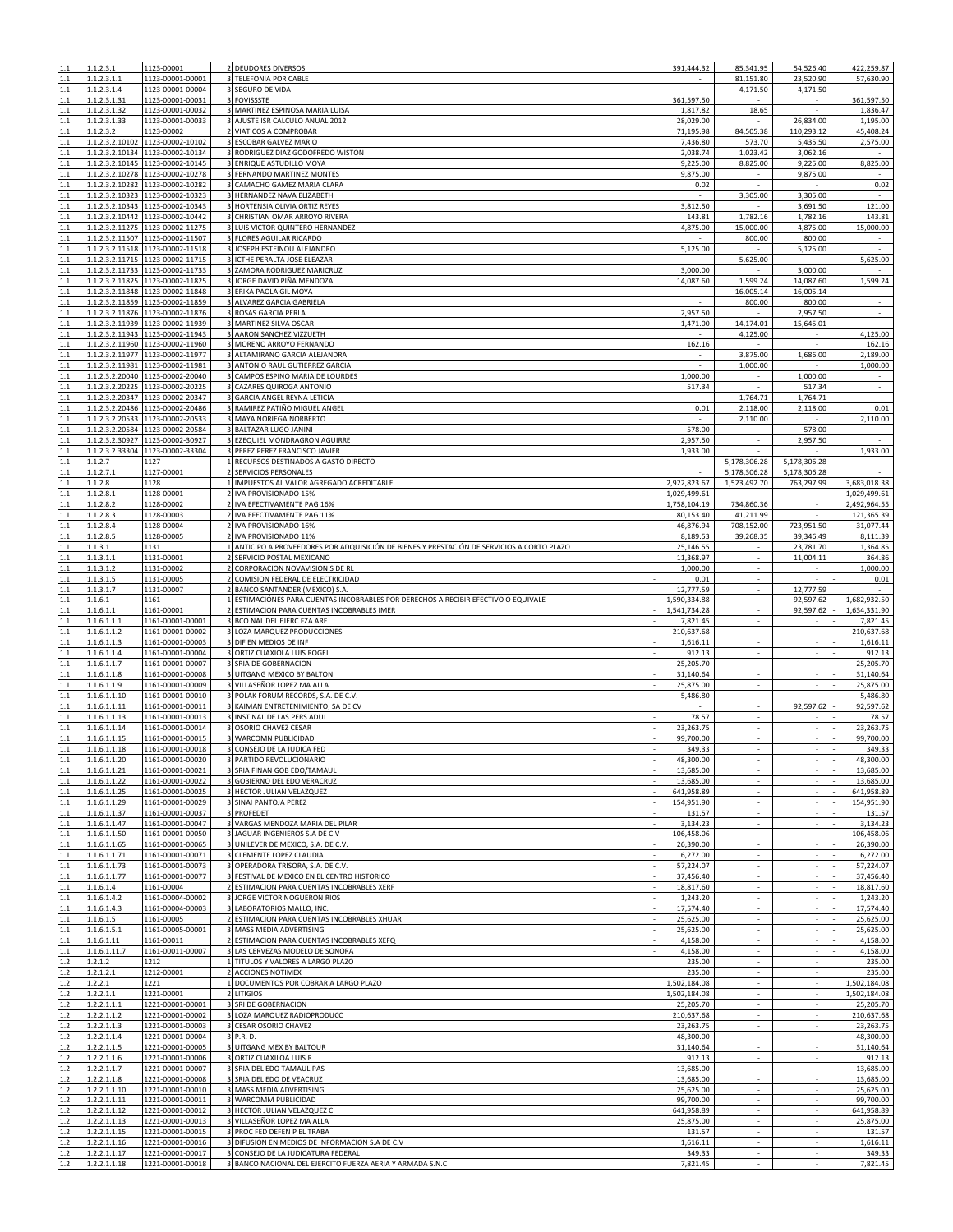| 1.1.           | 1.1.2.3.1                          | 1123-00001                                                           | 2 DEUDORES DIVERSOS                                                                           | 391,444.32                | 85,341.95                      | 54,526.40                   | 422,259.87                 |
|----------------|------------------------------------|----------------------------------------------------------------------|-----------------------------------------------------------------------------------------------|---------------------------|--------------------------------|-----------------------------|----------------------------|
| 1.1.<br>1.1.   | 1.1.2.3.1.1<br>1.1.2.3.1.4         | 1123-00001-00001<br>1123-00001-00004                                 | 3 TELEFONIA POR CABLE<br>3 SEGURO DE VIDA                                                     | ×                         | 81,151.80<br>4,171.50          | 23,520.90<br>4,171.50       | 57,630.90                  |
| 1.1.           | 1.1.2.3.1.31                       | 1123-00001-00031                                                     | 3 FOVISSSTE                                                                                   | 361,597.50                |                                |                             | 361,597.50                 |
| 1.1.           | 1.1.2.3.1.32                       | 1123-00001-00032                                                     | 3 MARTINEZ ESPINOSA MARIA LUISA                                                               | 1,817.82                  | 18.65                          |                             | 1,836.47                   |
| 1.1.<br>1.1.   | 1.1.2.3.1.33<br>1.1.2.3.2          | 1123-00001-00033<br>1123-00002                                       | 3 AJUSTE ISR CALCULO ANUAL 2012<br>2 VIATICOS A COMPROBAR                                     | 28,029.00<br>71,195.98    | $\sim$<br>84,505.38            | 26,834.00<br>110,293.12     | 1,195.00<br>45,408.24      |
| 1.1.           | 1.1.2.3.2.10102                    | 1123-00002-10102                                                     | <b>ESCOBAR GALVEZ MARIO</b>                                                                   | 7,436.80                  | 573.70                         | 5,435.50                    | 2,575.00                   |
| 1.1.           |                                    | 1.1.2.3.2.10134 1123-00002-10134                                     | RODRIGUEZ DIAZ GODOFREDO WISTON                                                               | 2,038.74                  | 1,023.42                       | 3,062.16                    |                            |
| 1.1.<br>1.1.   | 1.1.2.3.2.10145<br>1.1.2.3.2.10278 | 1123-00002-10145<br>1123-00002-10278                                 | 3 ENRIQUE ASTUDILLO MOYA<br>FERNANDO MARTINEZ MONTES                                          | 9,225.00<br>9,875.00      | 8,825.00                       | 9,225.00<br>9,875.00        | 8,825.00                   |
| 1.1.           |                                    | 1.1.2.3.2.10282 1123-00002-10282                                     | CAMACHO GAMEZ MARIA CLARA<br>3                                                                | 0.02                      |                                |                             | 0.02                       |
| 1.1.           |                                    | 1.1.2.3.2.10323 1123-00002-10323                                     | 3 HERNANDEZ NAVA ELIZABETH                                                                    | $\sim$                    | 3,305.00                       | 3,305.00                    | $\sim$                     |
| 1.1.           |                                    | 1.1.2.3.2.10343 1123-00002-10343<br>1123-00002-10442                 | 3 HORTENSIA OLIVIA ORTIZ REYES                                                                | 3,812.50                  |                                | 3,691.50                    | 121.00                     |
| 1.1.<br>1.1.   | .1.2.3.2.10442                     | 1.1.2.3.2.11275 1123-00002-11275                                     | CHRISTIAN OMAR ARROYO RIVERA<br>LUIS VICTOR QUINTERO HERNANDEZ                                | 143.81<br>4,875.00        | 1,782.16<br>15,000.00          | 1,782.16<br>4,875.00        | 143.81<br>15,000.00        |
| 1.1.           |                                    | 1.1.2.3.2.11507 1123-00002-11507                                     | 3 FLORES AGUILAR RICARDO                                                                      | $\sim$                    | 800.00                         | 800.00                      | $\sim$                     |
| 1.1.           | .1.2.3.2.11518                     | 1123-00002-11518                                                     | 3 JOSEPH ESTEINOU ALEJANDRO                                                                   | 5,125.00                  |                                | 5,125.00                    | $\sim$                     |
| 1.1.<br>1.1.   |                                    | 1.1.2.3.2.11715 1123-00002-11715<br>1.1.2.3.2.11733 1123-00002-11733 | 3 ICTHE PERALTA JOSE ELEAZAR<br>3 ZAMORA RODRIGUEZ MARICRUZ                                   | 3,000.00                  | 5,625.00                       | 3,000.00                    | 5,625.00                   |
| 1.1.           |                                    | 1.1.2.3.2.11825 1123-00002-11825                                     | 3 JORGE DAVID PIÑA MENDOZA                                                                    | 14,087.60                 | 1,599.24                       | 14,087.60                   | 1,599.24                   |
| 1.1.           |                                    | 1.1.2.3.2.11848 1123-00002-11848                                     | 3 ERIKA PAOLA GIL MOYA                                                                        |                           | 16,005.14                      | 16,005.14                   |                            |
| 1.1.           |                                    | 1.1.2.3.2.11859 1123-00002-11859                                     | 3 ALVAREZ GARCIA GABRIELA                                                                     |                           | 800.00                         | 800.00                      | ÷,                         |
| 1.1.<br>1.1.   | 1.1.2.3.2.11939                    | 1.1.2.3.2.11876 1123-00002-11876<br>1123-00002-11939                 | 3 ROSAS GARCIA PERLA<br>3 MARTINEZ SILVA OSCAR                                                | 2,957.50<br>1,471.00      | 14,174.01                      | 2,957.50<br>15,645.01       | $\epsilon$<br>$\sim$       |
| 1.1.           | 1.1.2.3.2.11943                    | 1123-00002-11943                                                     | AARON SANCHEZ VIZZUETH                                                                        |                           | 4,125.00                       |                             | 4,125.00                   |
| 1.1.           |                                    | 1.1.2.3.2.11960 1123-00002-11960                                     | 3 MORENO ARROYO FERNANDO                                                                      | 162.16                    |                                |                             | 162.16                     |
| 1.1.<br>1.1.   |                                    | 1.1.2.3.2.11977 1123-00002-11977<br>1.1.2.3.2.11981 1123-00002-11981 | 3 ALTAMIRANO GARCIA ALEJANDRA<br>ANTONIO RAUL GUTIERREZ GARCIA                                |                           | 3,875.00<br>1,000.00           | 1,686.00                    | 2,189.00<br>1,000.00       |
| 1.1.           |                                    | 1.1.2.3.2.20040 1123-00002-20040                                     | CAMPOS ESPINO MARIA DE LOURDES                                                                | 1,000.00                  | ٠                              | 1,000.00                    | $\overline{\phantom{a}}$   |
| 1.1.           |                                    | 1.1.2.3.2.20225 1123-00002-20225                                     | CAZARES QUIROGA ANTONIO                                                                       | 517.34                    | $\sim$                         | 517.34                      | $\epsilon$                 |
| 1.1.           |                                    | 1.1.2.3.2.20347 1123-00002-20347                                     | 3 GARCIA ANGEL REYNA LETICIA                                                                  |                           | 1,764.71                       | 1,764.71                    | $\sim$                     |
| 1.1.<br>1.1.   |                                    | 1.1.2.3.2.20486 1123-00002-20486<br>1.1.2.3.2.20533 1123-00002-20533 | RAMIREZ PATIÑO MIGUEL ANGEL<br>MAYA NORIEGA NORBERTO                                          | 0.01                      | 2,118.00<br>2,110.00           | 2,118.00                    | 0.01<br>2,110.00           |
| 1.1.           |                                    | 1.1.2.3.2.20584 1123-00002-20584                                     | 3 BALTAZAR LUGO JANINI                                                                        | 578.00                    | $\sim$                         | 578.00                      | $\sim$                     |
| 1.1.           |                                    | 1.1.2.3.2.30927 1123-00002-30927                                     | EZEQUIEL MONDRAGRON AGUIRRE                                                                   | 2,957.50                  |                                | 2,957.50                    |                            |
| 1.1.           |                                    | 1.1.2.3.2.33304 1123-00002-33304                                     | 3 PEREZ PEREZ FRANCISCO JAVIER                                                                | 1,933.00                  |                                | 5,178,306.28                | 1,933.00                   |
| 1.1.<br>1.1.   | 1.1.2.7<br>1.1.2.7.1               | 1127<br>1127-00001                                                   | 1 RECURSOS DESTINADOS A GASTO DIRECTO<br>SERVICIOS PERSONALES                                 | $\overline{\phantom{a}}$  | 5,178,306.28<br>5,178,306.28   | 5.178.306.28                | $\sim$                     |
| 1.1.           | 1.1.2.8                            | 1128                                                                 | 1 IMPUESTOS AL VALOR AGREGADO ACREDITABLE                                                     | 2,922,823.67              | 1,523,492.70                   | 763,297.99                  | 3,683,018.38               |
| 1.1.           | 1.1.2.8.1                          | 1128-00001                                                           | IVA PROVISIONADO 15%<br>$\overline{2}$                                                        | 1,029,499.61              |                                |                             | 1,029,499.61               |
| 1.1.<br>1.1.   | 1.1.2.8.2<br>1.1.2.8.3             | 1128-00002<br>1128-00003                                             | 2 IVA EFECTIVAMENTE PAG 16%<br>2 IVA EFECTIVAMENTE PAG 11%                                    | 1,758,104.19<br>80,153.40 | 734,860.36<br>41,211.99        | $\sim$                      | 2,492,964.55<br>121,365.39 |
| 1.1.           | 1.1.2.8.4                          | 1128-00004                                                           | 2 IVA PROVISIONADO 16%                                                                        | 46,876.94                 | 708,152.00                     | 723,951.50                  | 31,077.44                  |
| 1.1.           | 1.1.2.8.5                          | 1128-00005                                                           | IVA PROVISIONADO 11%<br>$\overline{2}$                                                        | 8,189.53                  | 39,268.35                      | 39,346.49                   | 8,111.39                   |
| 1.1.           | 1.1.3.1                            | 1131                                                                 | 1 ANTICIPO A PROVEEDORES POR ADQUISICIÓN DE BIENES Y PRESTACIÓN DE SERVICIOS A CORTO PLAZO    | 25,146.55                 |                                | 23,781.70                   | 1,364.85                   |
| 1.1.<br>1.1.   | 1.1.3.1.1<br>1.1.3.1.2             | 1131-00001<br>1131-00002                                             | SERVICIO POSTAL MEXICANO<br>CORPORACION NOVAVISION S DE RL                                    | 11,368.97<br>1,000.00     | ÷.<br>$\sim$                   | 11,004.11                   | 364.86<br>1,000.00         |
| 1.1.           | 1.1.3.1.5                          | 1131-00005                                                           | COMISION FEDERAL DE ELECTRICIDAD<br>$\overline{2}$                                            | 0.01                      | $\sim$                         | $\sim$                      | 0.01                       |
| 1.1.           | 1.1.3.1.7                          | 1131-00007                                                           | BANCO SANTANDER (MEXICO) S.A.                                                                 | 12,777.59                 |                                | 12,777.59                   |                            |
| 1.1.           | 1.1.6.1                            | 1161                                                                 | ESTIMACIÓNES PARA CUENTAS INCOBRABLES POR DERECHOS A RECIBIR EFECTIVO O EQUIVALE              | 1,590,334.88              | $\sim$                         | 92,597.62                   | 1,682,932.50               |
| 1.1.<br>1.1.   | 1.1.6.1.1<br>1.1.6.1.1.1           | 1161-00001<br>1161-00001-00001                                       | ESTIMACION PARA CUENTAS INCOBRABLES IMER<br>3 BCO NAL DEL EJERC FZA ARE                       | 1,541,734.28<br>7,821.45  | $\omega$                       | 92,597.62<br>×.             | 1,634,331.90<br>7,821.45   |
| 1.1.           | 1.1.6.1.1.2                        | 1161-00001-00002                                                     | LOZA MARQUEZ PRODUCCIONES                                                                     | 210,637.68                | $\mathbf{r}$                   | L.                          | 210,637.68                 |
| 1.1.           | 1.1.6.1.1.3                        | 1161-00001-00003                                                     | 3 DIF EN MEDIOS DE INF                                                                        | 1,616.11                  |                                |                             | 1,616.11                   |
| 1.1.<br>1.1.   | 1.1.6.1.1.4<br>1.1.6.1.1.7         | 1161-00001-00004<br>1161-00001-00007                                 | 3 ORTIZ CUAXIOLA LUIS ROGEL<br>3 SRIA DE GOBERNACION                                          | 912.13<br>25,205.70       | $\sim$                         | $\sim$<br>ä,                | 912.13<br>25,205.70        |
| 1.1.           | 1.1.6.1.1.8                        | 1161-00001-00008                                                     | 3 UITGANG MEXICO BY BALTON                                                                    | 31,140.64                 | ×.                             | $\sim$                      | 31,140.64                  |
| 1.1.           | 1.1.6.1.1.9                        | 1161-00001-00009                                                     | 3 VILLASEÑOR LOPEZ MA ALLA                                                                    | 25,875.00                 |                                | $\overline{\phantom{a}}$    | 25,875.00                  |
| 1.1.           | 1.1.6.1.1.10                       | 1161-00001-00010                                                     | 3 POLAK FORUM RECORDS, S.A. DE C.V.                                                           | 5,486.80                  | ×                              |                             | 5,486.80                   |
| 1.1.<br>1.1.   | 1.1.6.1.1.11<br>1.1.6.1.1.13       | 1161-00001-00011<br>1161-00001-00013                                 | 3 KAIMAN ENTRETENIMIENTO, SA DE CV<br>3 INST NAL DE LAS PERS ADUL                             | 78.57                     |                                | 92,597.62                   | 92,597.62<br>78.57         |
| 1.1.           | 1.1.6.1.1.14                       | 1161-00001-00014                                                     | 3 OSORIO CHAVEZ CESAR                                                                         | 23,263.75                 | $\sim$                         | $\sim$                      | 23,263.75                  |
| 1.1.           | 1.1.6.1.1.15                       | 1161-00001-00015                                                     | 3 WARCOMN PUBLICIDAD                                                                          | 99,700.00                 |                                | $\mathcal{L}_{\mathcal{A}}$ | 99,700.00                  |
| 1.1.           | 1.1.6.1.1.18                       | 1161-00001-00018                                                     | CONSEJO DE LA JUDICA FED                                                                      | 349.33                    |                                | $\overline{\phantom{a}}$    | 349.33                     |
| 1.1.           | 1.1.6.1.1.20<br>1.1.6.1.1.21       | 1161-00001-00020<br>1161-00001-00021                                 | 3 PARTIDO REVOLUCIONARIO<br>3 SRIA FINAN GOB EDO/TAMAUL                                       | 48,300.00<br>13,685.00    | ×                              | ÷.                          | 48,300.00<br>13,685.00     |
| 1.1.           | 1.1.6.1.1.22                       | 1161-00001-00022                                                     | 3 GOBIERNO DEL EDO VERACRUZ                                                                   | 13,685.00                 |                                |                             | 13,685.00                  |
| 1.1.           | 1.1.6.1.1.25                       | 1161-00001-00025                                                     | 3 HECTOR JULIAN VELAZQUEZ                                                                     | 641,958.89                | ÷.                             |                             | 641,958.89                 |
| 1.1.<br>1.1.   | 1.1.6.1.1.29<br>1.1.6.1.1.37       | 1161-00001-00029<br>1161-00001-00037                                 | 3 SINAI PANTOJA PEREZ<br>3 PROFEDET                                                           | 154,951.90<br>131.57      | $\sim$<br>×.                   | $\sim$<br>÷.                | 154,951.90<br>131.57       |
| 1.1            | 1.6.1.1.47                         | 1161-00001-00047                                                     | VARGAS MENDOZA MARIA DEL PILAR                                                                | 3,134.23                  |                                |                             | 3,134.23                   |
| 1.1.           | 1.1.6.1.1.50                       | 1161-00001-00050                                                     | 3 JAGUAR INGENIEROS S.A DE C.V                                                                | 106,458.06                | $\overline{\phantom{a}}$       |                             | 106,458.06                 |
| 1.1.           | 1.1.6.1.1.65                       | 1161-00001-00065                                                     | 3 UNILEVER DE MEXICO, S.A. DE C.V.                                                            | 26,390.00                 | $\sim$<br>÷.                   | $\sim$<br>÷.                | 26,390.00                  |
| 1.1.<br>1.1.   | 1.1.6.1.1.71<br>1.1.6.1.1.73       | 1161-00001-00071<br>1161-00001-00073                                 | 3 CLEMENTE LOPEZ CLAUDIA<br>3 OPERADORA TRISORA, S.A. DE C.V.                                 | 6,272.00<br>57,224.07     |                                |                             | 6,272.00<br>57,224.07      |
| 1.1.           | 1.1.6.1.1.77                       | 1161-00001-00077                                                     | 3 FESTIVAL DE MEXICO EN EL CENTRO HISTORICO                                                   | 37,456.40                 |                                |                             | 37,456.40                  |
| 1.1.           | 1.1.6.1.4                          | 1161-00004                                                           | 2 ESTIMACION PARA CUENTAS INCOBRABLES XERF                                                    | 18,817.60                 | ÷.                             | ÷.                          | 18,817.60                  |
| 1.1.<br>1.1.   | 1.1.6.1.4.2<br>1.1.6.1.4.3         | 1161-00004-00002<br>1161-00004-00003                                 | 3 JORGE VICTOR NOGUERON RIOS<br>3 LABORATORIOS MALLO, INC.                                    | 1,243.20<br>17,574.40     |                                |                             | 1,243.20<br>17,574.40      |
| 1.1.           | 1.1.6.1.5                          | 1161-00005                                                           | 2 ESTIMACION PARA CUENTAS INCOBRABLES XHUAR                                                   | 25,625.00                 | $\overline{\phantom{a}}$       | $\sim$                      | 25,625.00                  |
| 1.1.           | 1.1.6.1.5.1                        | 1161-00005-00001                                                     | 3 MASS MEDIA ADVERTISING                                                                      | 25,625.00                 | ÷.                             | ÷.                          | 25,625.00                  |
| 1.1.           | 1.1.6.1.11                         | 1161-00011                                                           | 2 ESTIMACION PARA CUENTAS INCOBRABLES XEFQ                                                    | 4,158.00                  | $\sim$                         | $\sim$                      | 4,158.00                   |
| $1.1.$<br>1.2. | 1.1.6.1.11.7<br>1.2.1.2            | 1161-00011-00007<br>1212                                             | $\overline{\mathbf{3}}$<br>LAS CERVEZAS MODELO DE SONORA<br>1 TITULOS Y VALORES A LARGO PLAZO | 4,158.00<br>235.00        | ×                              | ÷.                          | 4,158.00<br>235.00         |
| 1.2.           | 1.2.1.2.1                          | 1212-00001                                                           | 2 ACCIONES NOTIMEX                                                                            | 235.00                    |                                |                             | 235.00                     |
| 1.2.           | 1.2.2.1                            | 1221                                                                 | 1 DOCUMENTOS POR COBRAR A LARGO PLAZO                                                         | 1,502,184.08              |                                |                             | 1,502,184.08               |
| 1.2.           | 1.2.2.1.1                          | 1221-00001                                                           | 2 LITIGIOS                                                                                    | 1,502,184.08              | $\sim$<br>$\omega$             | $\sim$<br>×.                | 1,502,184.08               |
| 1.2.<br>1.2.   | 1.2.2.1.1.1<br>1.2.2.1.1.2         | 1221-00001-00001<br>1221-00001-00002                                 | 3 SRI DE GOBERNACION<br>LOZA MARQUEZ RADIOPRODUCC<br>3                                        | 25,205.70<br>210,637.68   | ÷.                             | ÷.                          | 25,205.70<br>210,637.68    |
| 1.2.           | 1.2.2.1.1.3                        | 1221-00001-00003                                                     | 3 CESAR OSORIO CHAVEZ                                                                         | 23,263.75                 |                                |                             | 23,263.75                  |
| 1.2.           | 1.2.2.1.1.4                        | 1221-00001-00004                                                     | 3 P.R. D.                                                                                     | 48,300.00                 | ×.                             | $\sim$                      | 48,300.00                  |
| 1.2.<br>1.2.   | 1.2.2.1.1.5<br>1.2.2.1.1.6         | 1221-00001-00005<br>1221-00001-00006                                 | 3 UITGANG MEX BY BALTOUR<br>3 ORTIZ CUAXILOA LUIS R                                           | 31,140.64<br>912.13       |                                |                             | 31,140.64<br>912.13        |
| 1.2.           | 1.2.2.1.1.7                        | 1221-00001-00007                                                     | 3 SRIA DEL EDO TAMAULIPAS                                                                     | 13,685.00                 | $\sim$                         | $\sim$                      | 13,685.00                  |
| 1.2.           | 1.2.2.1.1.8                        | 1221-00001-00008                                                     | 3 SRIA DEL EDO DE VEACRUZ                                                                     | 13,685.00                 | ÷.                             | ÷.                          | 13,685.00                  |
| 1.2.           | 1.2.2.1.1.10                       | 1221-00001-00010                                                     | MASS MEDIA ADVERTISING<br>3 WARCOMM PUBLICIDAD                                                | 25,625.00<br>99,700.00    |                                |                             | 25,625.00                  |
| 1.2.<br>1.2.   | 1.2.2.1.1.11<br>1.2.2.1.1.12       | 1221-00001-00011<br>1221-00001-00012                                 | 3 HECTOR JULIAN VELAZQUEZ C                                                                   | 641,958.89                | ٠<br>$\sim$                    | $\sim$                      | 99,700.00<br>641,958.89    |
| 1.2.           | 1.2.2.1.1.13                       | 1221-00001-00013                                                     | 3 VILLASEÑOR LOPEZ MA ALLA                                                                    | 25,875.00                 |                                |                             | 25,875.00                  |
| 1.2.           | 1.2.2.1.1.15                       | 1221-00001-00015                                                     | 3 PROC FED DEFEN P EL TRABA                                                                   | 131.57                    | ÷.                             |                             | 131.57                     |
| 1.2.<br>1.2.   | 1.2.2.1.1.16<br>1.2.2.1.1.17       | 1221-00001-00016<br>1221-00001-00017                                 | 3 DIFUSION EN MEDIOS DE INFORMACION S.A DE C.V<br>3 CONSEJO DE LA JUDICATURA FEDERAL          | 1,616.11<br>349.33        | $\overline{\phantom{a}}$<br>×. | $\sim$<br>÷.                | 1,616.11<br>349.33         |
| 1.2.           | 1.2.2.1.1.18                       | 1221-00001-00018                                                     | 3 BANCO NACIONAL DEL EJERCITO FUERZA AERIA Y ARMADA S.N.C                                     | 7,821.45                  |                                | ÷.                          | 7,821.45                   |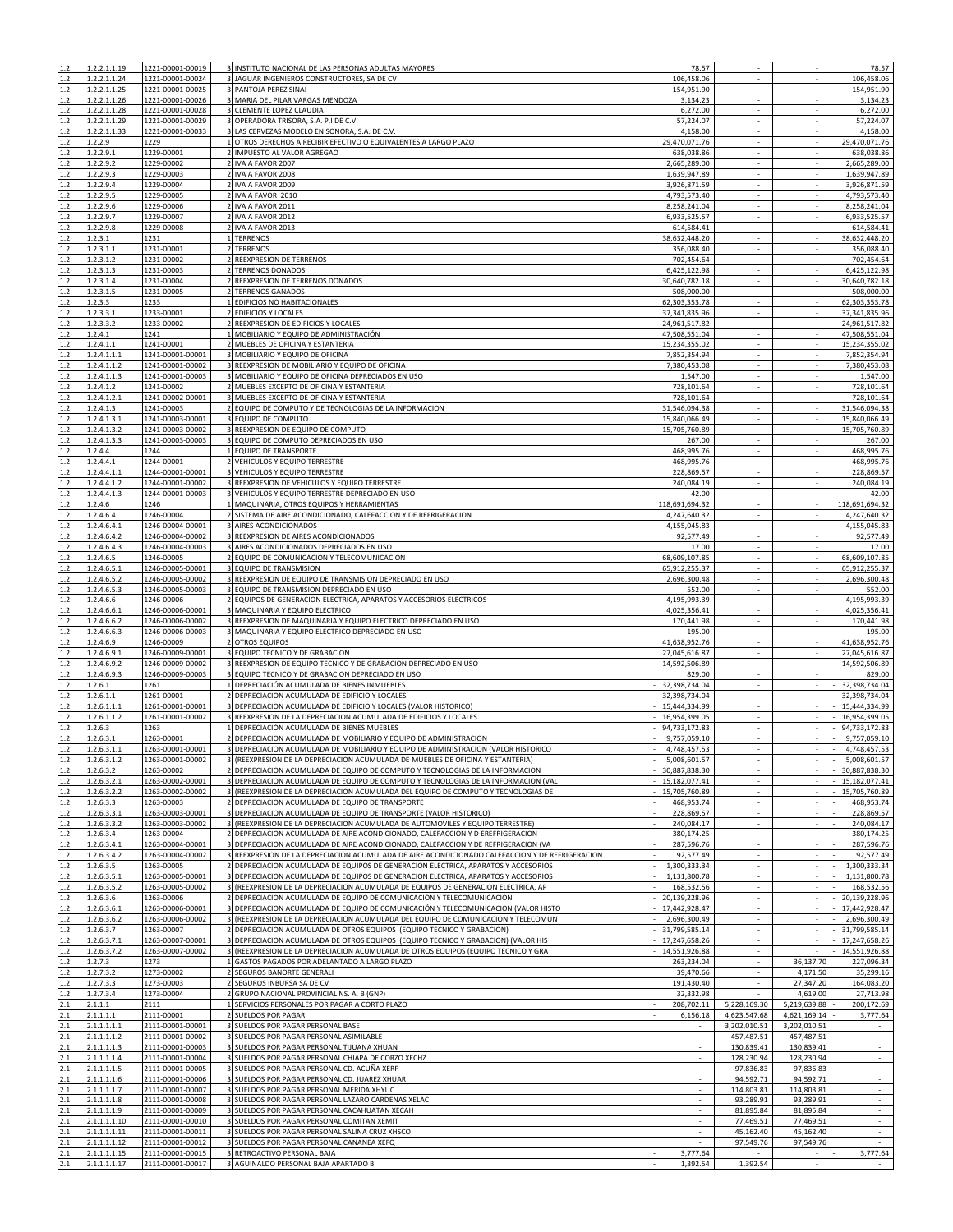| 1.2.         | 1.2.2.1.1.19                 | 1221-00001-00019                          | 3 INSTITUTO NACIONAL DE LAS PERSONAS ADULTAS MAYORES                                                                                                      | 78.57                          |                                    |                                    | 78.57                                                                                                                                     |
|--------------|------------------------------|-------------------------------------------|-----------------------------------------------------------------------------------------------------------------------------------------------------------|--------------------------------|------------------------------------|------------------------------------|-------------------------------------------------------------------------------------------------------------------------------------------|
| 1.2.         | 1.2.2.1.1.24                 | 1221-00001-00024                          | 3 JAGUAR INGENIEROS CONSTRUCTORES, SA DE CV                                                                                                               | 106,458.06                     |                                    |                                    | 106,458.06                                                                                                                                |
| 1.2.         | 1.2.2.1.1.25                 | 1221-00001-00025                          | 3 PANTOJA PEREZ SINAI                                                                                                                                     | 154,951.90                     | $\sim$                             | $\sim$                             | 154,951.90                                                                                                                                |
| 1.2.         | 1.2.2.1.1.26                 | 1221-00001-00026                          | 3 MARIA DEL PILAR VARGAS MENDOZA                                                                                                                          | 3,134.23                       | ÷.                                 | L.                                 | 3,134.23                                                                                                                                  |
| 1.2.         | 1.2.2.1.1.28                 | 1221-00001-00028                          | 3 CLEMENTE LOPEZ CLAUDIA                                                                                                                                  | 6,272.00                       | ÷.                                 | ×.                                 | 6,272.00                                                                                                                                  |
| 1.2.<br>1.2. | 1.2.2.1.1.29                 | 1221-00001-00029<br>1221-00001-00033      | 3 OPERADORA TRISORA, S.A. P.I DE C.V.                                                                                                                     | 57,224.07<br>4,158.00          | ×                                  | ×.                                 | 57,224.07<br>4,158.00                                                                                                                     |
| 1.2.         | 1.2.2.1.1.33<br>1.2.2.9      | 1229                                      | 3 LAS CERVEZAS MODELO EN SONORA, S.A. DE C.V.<br>OTROS DERECHOS A RECIBIR EFECTIVO O EQUIVALENTES A LARGO PLAZO                                           | 29,470,071.76                  |                                    |                                    | 29,470,071.76                                                                                                                             |
| 1.2.         | 1.2.2.9.1                    | 1229-00001                                | 2 IMPUESTO AL VALOR AGREGAO                                                                                                                               | 638,038.86                     |                                    |                                    | 638,038.86                                                                                                                                |
| 1.2.         | 1.2.2.9.2                    | 1229-00002                                | 2 IVA A FAVOR 2007                                                                                                                                        | 2,665,289.00                   | $\sim$                             | $\sim$                             | 2,665,289.00                                                                                                                              |
| 1.2.         | 1.2.2.9.3                    | 1229-00003                                | 2 IVA A FAVOR 2008                                                                                                                                        | 1,639,947.89                   | ÷.                                 | $\mathcal{L}_{\mathcal{A}}$        | 1,639,947.89                                                                                                                              |
| 1.2.         | 1.2.2.9.4                    | 1229-00004                                | 2 IVA A FAVOR 2009                                                                                                                                        | 3,926,871.59                   | $\sim$                             | $\sim$                             | 3,926,871.59                                                                                                                              |
| 1.2.         | 1.2.2.9.5                    | 1229-00005<br>$\overline{2}$              | IVA A FAVOR 2010                                                                                                                                          | 4,793,573.40                   |                                    |                                    | 4,793,573.40                                                                                                                              |
| 1.2.         | 1.2.2.9.6                    | 1229-00006                                | 2 IVA A FAVOR 2011                                                                                                                                        | 8,258,241.04                   | $\sim$                             | $\sim$                             | 8,258,241.04                                                                                                                              |
| 1.2.         | 1.2.2.9.7                    | 1229-00007                                | 2 IVA A FAVOR 2012                                                                                                                                        | 6,933,525.57                   |                                    |                                    | 6,933,525.57                                                                                                                              |
| 1.2.<br>1.2. | 1.2.2.9.8                    | 1229-00008                                | 2 IVA A FAVOR 2013<br>1 TERRENOS                                                                                                                          | 614,584.41<br>38,632,448.20    | $\sim$                             | $\sim$                             | 614,584.41<br>38,632,448.20                                                                                                               |
| 1.2.         | 1.2.3.1<br>1.2.3.1.1         | 1231<br>1231-00001                        | 2 TERRENOS                                                                                                                                                | 356,088.40                     | ×.                                 | ÷.                                 | 356,088.40                                                                                                                                |
| 1.2.         | .2.3.1.2                     | 1231-00002                                | REEXPRESION DE TERRENOS                                                                                                                                   | 702,454.64                     |                                    |                                    | 702,454.64                                                                                                                                |
| 1.2.         | 1.2.3.1.3                    | 1231-00003                                | 2 TERRENOS DONADOS                                                                                                                                        | 6,425,122.98                   | $\overline{\phantom{a}}$           |                                    | 6,425,122.98                                                                                                                              |
| 1.2.         | 1.2.3.1.4                    | 1231-00004                                | 2 REEXPRESION DE TERRENOS DONADOS                                                                                                                         | 30,640,782.18                  | $\sim$                             | $\sim$                             | 30,640,782.18                                                                                                                             |
| 1.2.         | 1.2.3.1.5                    | 1231-00005                                | 2 TERRENOS GANADOS                                                                                                                                        | 508,000.00                     |                                    |                                    | 508,000.00                                                                                                                                |
| 1.2.         | 1.2.3.3                      | 1233                                      | 1 EDIFICIOS NO HABITACIONALES                                                                                                                             | 62,303,353.78                  |                                    |                                    | 62,303,353.78                                                                                                                             |
| 1.2.         | 1.2.3.3.1                    | 1233-00001                                | 2 EDIFICIOS Y LOCALES                                                                                                                                     | 37,341,835.96                  | $\sim$                             |                                    | 37,341,835.96                                                                                                                             |
| 1.2.         | 1.2.3.3.2                    | 1233-00002                                | 2 REEXPRESION DE EDIFICIOS Y LOCALES                                                                                                                      | 24,961,517.82                  | ÷.                                 | ÷.                                 | 24,961,517.82                                                                                                                             |
| 1.2.         | 1.2.4.1                      | 1241                                      | MOBILIARIO Y EQUIPO DE ADMINISTRACIÓN                                                                                                                     | 47,508,551.04                  |                                    |                                    | 47,508,551.04                                                                                                                             |
| 1.2.         | 1.2.4.1.1                    | 1241-00001                                | 2 MUEBLES DE OFICINA Y ESTANTERIA                                                                                                                         | 15,234,355.02                  |                                    |                                    | 15,234,355.02                                                                                                                             |
| 1.2.<br>1.2. | 1.2.4.1.1.1<br>1.2.4.1.1.2   | 1241-00001-00001<br>1241-00001-00002      | 3 MOBILIARIO Y EQUIPO DE OFICINA<br>3 REEXPRESION DE MOBILIARIO Y EQUIPO DE OFICINA                                                                       | 7,852,354.94<br>7,380,453.08   | $\overline{\phantom{a}}$           | $\sim$                             | 7,852,354.94<br>7,380,453.08                                                                                                              |
| 1.2.         | 1.2.4.1.1.3                  | 1241-00001-00003                          | MOBILIARIO Y EQUIPO DE OFICINA DEPRECIADOS EN USO                                                                                                         | 1,547.00                       | $\hat{\phantom{a}}$                | $\sim$                             | 1,547.00                                                                                                                                  |
| 1.2.         | 1.2.4.1.2                    | 1241-00002                                | MUEBLES EXCEPTO DE OFICINA Y ESTANTERIA                                                                                                                   | 728,101.64                     |                                    |                                    | 728,101.64                                                                                                                                |
| 1.2.         | 1.2.4.1.2.1                  | 1241-00002-00001                          | 3 MUEBLES EXCEPTO DE OFICINA Y ESTANTERIA                                                                                                                 | 728,101.64                     | ×                                  | ÷.                                 | 728,101.64                                                                                                                                |
| 1.2.         | 1.2.4.1.3                    | 1241-00003                                | 2 EQUIPO DE COMPUTO Y DE TECNOLOGIAS DE LA INFORMACION                                                                                                    | 31,546,094.38                  | ÷.                                 | L.                                 | 31,546,094.38                                                                                                                             |
| 1.2.         | 1.2.4.1.3.1                  | 1241-00003-00001                          | 3 EQUIPO DE COMPUTO                                                                                                                                       | 15,840,066.49                  |                                    |                                    | 15,840,066.49                                                                                                                             |
| 1.2.         | 1.2.4.1.3.2                  | 1241-00003-00002                          | 3 REEXPRESION DE EQUIPO DE COMPUTO                                                                                                                        | 15,705,760.89                  | $\sim$                             | $\sim$                             | 15,705,760.89                                                                                                                             |
| 1.2.         | 1.2.4.1.3.3                  | 1241-00003-00003                          | 3 EQUIPO DE COMPUTO DEPRECIADOS EN USO                                                                                                                    | 267.00                         | ×.                                 | ÷.                                 | 267.00                                                                                                                                    |
| 1.2.         | 1.2.4.4                      | 1244                                      | 1 EQUIPO DE TRANSPORTE                                                                                                                                    | 468,995.76                     | ×.                                 | ÷.                                 | 468,995.76                                                                                                                                |
| 1.2.<br>1.2. | 1.2.4.4.1<br>1.2.4.4.1.1     | 1244-00001<br>1244-00001-00001            | VEHICULOS Y EQUIPO TERRESTRE<br>2 <sub>1</sub><br>3 VEHICULOS Y EQUIPO TERRESTRE                                                                          | 468,995.76<br>228,869.57       | ÷.                                 | ÷.                                 | 468,995.76<br>228,869.57                                                                                                                  |
| 1.2.         | 1.2.4.4.1.2                  | 1244-00001-00002                          | 3 REEXPRESION DE VEHICULOS Y EQUIPO TERRESTRE                                                                                                             | 240,084.19                     |                                    |                                    | 240,084.19                                                                                                                                |
| 1.2.         | 1.2.4.4.1.3                  | 1244-00001-00003                          | 3 VEHICULOS Y EQUIPO TERRESTRE DEPRECIADO EN USO                                                                                                          | 42.00                          |                                    |                                    | 42.00                                                                                                                                     |
| 1.2.         | 1.2.4.6                      | 1246                                      | 1 MAQUINARIA, OTROS EQUIPOS Y HERRAMIENTAS                                                                                                                | 118,691,694.32                 | $\sim$                             | $\sim$                             | 118,691,694.32                                                                                                                            |
| 1.2.         | 1.2.4.6.4                    | 1246-00004                                | 2 SISTEMA DE AIRE ACONDICIONADO, CALEFACCION Y DE REFRIGERACION                                                                                           | 4,247,640.32                   | ÷.                                 | ×.                                 | 4,247,640.32                                                                                                                              |
| 1.2.         | .2.4.6.4.1                   | 1246-00004-00001                          | AIRES ACONDICIONADOS                                                                                                                                      | 4,155,045.83                   |                                    |                                    | 4,155,045.83                                                                                                                              |
| 1.2.         | 1.2.4.6.4.2                  | 1246-00004-00002                          | REEXPRESION DE AIRES ACONDICIONADOS                                                                                                                       | 92,577.49                      | ٠                                  |                                    | 92,577.49                                                                                                                                 |
| 1.2.         | 1.2.4.6.4.3                  | 1246-00004-00003                          | 3 AIRES ACONDICIONADOS DEPRECIADOS EN USO                                                                                                                 | 17.00                          | $\sim$                             | $\sim$                             | 17.00                                                                                                                                     |
| 1.2.         | 1.2.4.6.5                    | 1246-00005                                | 2 EQUIPO DE COMUNICACIÓN Y TELECOMUNICACION                                                                                                               | 68,609,107.85                  | ÷.                                 | ×.                                 | 68,609,107.85                                                                                                                             |
| 1.2.<br>1.2. | 1.2.4.6.5.1<br>1.2.4.6.5.2   | 1246-00005-00001<br>1246-00005-00002      | 3 EQUIPO DE TRANSMISION<br>3 REEXPRESION DE EQUIPO DE TRANSMISION DEPRECIADO EN USO                                                                       | 65,912,255.37<br>2,696,300.48  | $\overline{\phantom{a}}$<br>$\sim$ | $\overline{\phantom{a}}$<br>$\sim$ | 65,912,255.37<br>2,696,300.48                                                                                                             |
| 1.2.         | 1.2.4.6.5.3                  | 1246-00005-00003                          | 3 EQUIPO DE TRANSMISION DEPRECIADO EN USO                                                                                                                 | 552.00                         | ×.                                 | ÷.                                 | 552.00                                                                                                                                    |
| 1.2.         | 1.2.4.6.6                    | 1246-00006                                | EQUIPOS DE GENERACION ELECTRICA, APARATOS Y ACCESORIOS ELECTRICOS                                                                                         | 4,195,993.39                   |                                    |                                    | 4,195,993.39                                                                                                                              |
| 1.2.         | 1.2.4.6.6.1                  | 1246-00006-00001                          | 3 MAQUINARIA Y EQUIPO ELECTRICO                                                                                                                           | 4,025,356.41                   |                                    |                                    | 4,025,356.41                                                                                                                              |
|              | 1.2.4.6.6.2                  | 1246-00006-00002                          | 3 REEXPRESION DE MAQUINARIA Y EQUIPO ELECTRICO DEPRECIADO EN USO                                                                                          | 170,441.98                     | $\overline{\phantom{a}}$           | $\sim$                             | 170,441.98                                                                                                                                |
| 1.2.         |                              |                                           |                                                                                                                                                           |                                |                                    |                                    |                                                                                                                                           |
| 1.2.         | 1.2.4.6.6.3                  | 1246-00006-00003                          | 3 MAQUINARIA Y EQUIPO ELECTRICO DEPRECIADO EN USO                                                                                                         | 195.00                         | ÷.                                 |                                    | 195.00                                                                                                                                    |
| 1.2.         | 1.2.4.6.9                    | 1246-00009                                | 2 OTROS EQUIPOS                                                                                                                                           | 41,638,952.76                  | ×.                                 | ÷.                                 | 41,638,952.76                                                                                                                             |
| 1.2.         | 1.2.4.6.9.1                  | 1246-00009-00001                          | 3 EQUIPO TECNICO Y DE GRABACION                                                                                                                           | 27,045,616.87                  |                                    |                                    | 27,045,616.87                                                                                                                             |
| 1.2.         | 1.2.4.6.9.2                  | 1246-00009-00002                          | 3 REEXPRESION DE EQUIPO TECNICO Y DE GRABACION DEPRECIADO EN USO                                                                                          | 14,592,506.89                  | ÷.                                 | ÷.                                 | 14,592,506.89                                                                                                                             |
| 1.2.         | 1.2.4.6.9.3                  | 1246-00009-00003                          | EQUIPO TECNICO Y DE GRABACION DEPRECIADO EN USO                                                                                                           | 829.00                         |                                    |                                    | 829.00                                                                                                                                    |
| 1.2.         | 1.2.6.1                      | 1261                                      | 1 DEPRECIACIÓN ACUMULADA DE BIENES INMUEBLES                                                                                                              | 32,398,734.04                  | $\sim$                             |                                    | 32,398,734.04                                                                                                                             |
| 1.2.         | 1.2.6.1.1<br>1.2.6.1.1.1     | 1261-00001                                | 2 DEPRECIACION ACUMULADA DE EDIFICIO Y LOCALES                                                                                                            | 32,398,734.04                  | ÷.                                 |                                    | 32,398,734.04<br>15,444,334.99                                                                                                            |
| 1.2.<br>1.2. | 1.2.6.1.1.2                  | 1261-00001-00001<br>1261-00001-00002<br>3 | 3 DEPRECIACION ACUMULADA DE EDIFICIO Y LOCALES (VALOR HISTORICO)<br>REEXPRESION DE LA DEPRECIACION ACUMULADA DE EDIFICIOS Y LOCALES                       | 15,444,334.99<br>16,954,399.05 | ÷.                                 | $\sim$                             | 16,954,399.05                                                                                                                             |
| 1.2.         | 1.2.6.3                      | 1263                                      | DEPRECIACIÓN ACUMULADA DE BIENES MUEBLES                                                                                                                  | 94,733,172.83                  |                                    |                                    | 94,733,172.83                                                                                                                             |
| 1.2.         | 1.2.6.3.1                    | 1263-00001                                | 2 DEPRECIACION ACUMULADA DE MOBILIARIO Y EQUIPO DE ADMINISTRACION                                                                                         | 9,757,059.10                   |                                    | ÷.                                 | 9,757,059.10                                                                                                                              |
| 1.2.         | 1.2.6.3.1.1                  | 1263-00001-00001                          | DEPRECIACION ACUMULADA DE MOBILIARIO Y EQUIPO DE ADMINISTRACION (VALOR HISTORICO                                                                          | 4,748,457.53                   |                                    |                                    | 4,748,457.53                                                                                                                              |
| 1.2.         | 1.2.6.3.1.2                  | 1263-00001-00002                          | 3 (REEXPRESION DE LA DEPRECIACION ACUMULADA DE MUEBLES DE OFICINA Y ESTANTERIA)                                                                           | 5,008,601.57                   |                                    |                                    | 5,008,601.57                                                                                                                              |
| 1.2.         | 1.2.6.3.2                    | 1263-00002                                | 2 DEPRECIACION ACUMULADA DE EQUIPO DE COMPUTO Y TECNOLOGIAS DE LA INFORMACION                                                                             | 30,887,838.30                  | $\sim$                             | $\sim$                             |                                                                                                                                           |
| 1.2.         | 1.2.6.3.2.1                  | 1263-00002-00001                          | 3 DEPRECIACION ACUMULADA DE EQUIPO DE COMPUTO Y TECNOLOGIAS DE LA INFORMACION (VAL                                                                        | 15,182,077.41                  |                                    |                                    | 15,705,760.89                                                                                                                             |
| 1.2.<br>1.2. | 1.2.6.3.2.2<br>1.2.6.3.3     | 1263-00002-00002<br>1263-00003            | (REEXPRESION DE LA DEPRECIACION ACUMULADA DEL EQUIPO DE COMPUTO Y TECNOLOGIAS DE<br>DEPRECIACION ACUMULADA DE EQUIPO DE TRANSPORTE                        | 15,705,760.89<br>468,953.74    |                                    |                                    |                                                                                                                                           |
| 1.2.         | 1.2.6.3.3.1                  | 1263-00003-00001                          | 3 DEPRECIACION ACUMULADA DE EQUIPO DE TRANSPORTE (VALOR HISTORICO)                                                                                        | 228,869.57                     | $\sim$                             | $\sim$                             | 228,869.57                                                                                                                                |
| 1.2.         | 1.2.6.3.3.2                  | 1263-00003-00002                          | 3 (REEXPRESION DE LA DEPRECIACION ACUMULADA DE AUTOMOVILES Y EQUIPO TERRESTRE)                                                                            | 240,084.17                     |                                    |                                    | 240,084.17                                                                                                                                |
| 1.2.         | 1.2.6.3.4                    | 1263-00004                                | 2 DEPRECIACION ACUMULADA DE AIRE ACONDICIONADO, CALEFACCION Y D EREFRIGERACION                                                                            | 380,174.25                     | ÷.                                 |                                    | 380,174.25                                                                                                                                |
| 1.2.         | 1.2.6.3.4.1                  | 1263-00004-00001                          | 3 DEPRECIACION ACUMULADA DE AIRE ACONDICIONADO, CALEFACCION Y DE REFRIGERACION (VA                                                                        | 287,596.76                     | $\sim$                             | $\sim$                             |                                                                                                                                           |
| 1.2.         | 1.2.6.3.4.2                  | 1263-00004-00002                          | 3 REEXPRESION DE LA DEPRECIACION ACUMULADA DE AIRE ACONDICIONADO CALEFACCION Y DE REFRIGERACION.                                                          | 92,577.49                      | $\sim$                             | ÷.                                 |                                                                                                                                           |
| 1.2.         | 1.2.6.3.5                    | 1263-00005                                | DEPRECIACION ACUMULADA DE EQUIPOS DE GENERACION ELECTRICA, APARATOS Y ACCESORIOS                                                                          | 1,300,333.34                   |                                    |                                    | 1,300,333.34                                                                                                                              |
| 1.2.         | 1.2.6.3.5.1                  | 1263-00005-00001<br>$\overline{3}$        | DEPRECIACION ACUMULADA DE EQUIPOS DE GENERACION ELECTRICA, APARATOS Y ACCESORIOS                                                                          | 1,131,800.78                   | $\sim$<br>$\sim$                   | $\sim$                             |                                                                                                                                           |
| 1.2.         | 1.2.6.3.5.2                  | 1263-00005-00002                          | 3 (REEXPRESION DE LA DEPRECIACION ACUMULADA DE EQUIPOS DE GENERACION ELECTRICA, AP                                                                        | 168,532.56                     |                                    |                                    | 168,532.56                                                                                                                                |
| 1.2.<br>1.2. | 1.2.6.3.6<br>1.2.6.3.6.1     | 1263-00006<br>1263-00006-00001            | DEPRECIACION ACUMULADA DE EQUIPO DE COMUNICACIÓN Y TELECOMUNICACION<br>3 DEPRECIACION ACUMULADA DE EQUIPO DE COMUNICACIÓN Y TELECOMUNICACION (VALOR HISTO | 20,139,228.96<br>17.442.928.47 |                                    |                                    | 20,139,228.96<br>17,442,928.47                                                                                                            |
| 1.2.         | 1.2.6.3.6.2                  | 1263-00006-00002                          | (REEXPRESION DE LA DEPRECIACION ACUMULADA DEL EQUIPO DE COMUNICACION Y TELECOMUN                                                                          | 2,696,300.49                   | $\bullet$                          |                                    |                                                                                                                                           |
| 1.2.         | 1.2.6.3.7                    | 1263-00007                                | 2 DEPRECIACION ACUMULADA DE OTROS EQUIPOS (EQUIPO TECNICO Y GRABACION)                                                                                    | 31,799,585.14                  | ÷.                                 | ÷.                                 |                                                                                                                                           |
| 1.2.         | 1.2.6.3.7.1                  | 1263-00007-00001                          | DEPRECIACION ACUMULADA DE OTROS EQUIPOS (EQUIPO TECNICO Y GRABACION) (VALOR HIS                                                                           | 17,247,658.26                  |                                    |                                    | 17,247,658.26                                                                                                                             |
| 1.2.         | 1.2.6.3.7.2                  | 1263-00007-00002                          | 3 (REEXPRESION DE LA DEPRECIACION ACUMULADA DE OTROS EQUIPOS (EQUIPO TECNICO Y GRA                                                                        | 14,551,926.88                  |                                    |                                    | 30,887,838.30<br>15,182,077.41<br>468,953.74<br>287,596.76<br>92,577.49<br>1,131,800.78<br>2,696,300.49<br>31,799,585.14<br>14,551,926.88 |
| 1.2.         | 1.2.7.3                      | 1273                                      | 1 GASTOS PAGADOS POR ADELANTADO A LARGO PLAZO                                                                                                             | 263,234.04                     | $\omega_{\rm c}$                   | 36,137.70                          | 227,096.34                                                                                                                                |
| 1.2.         | 1.2.7.3.2                    | 1273-00002                                | 2 SEGUROS BANORTE GENERALI                                                                                                                                | 39,470.66                      |                                    | 4,171.50                           | 35,299.16                                                                                                                                 |
| 1.2.         | 1.2.7.3.3<br>1.2.7.3.4       | 1273-00003<br>1273-00004                  | 2 SEGUROS INBURSA SA DE CV                                                                                                                                | 191,430.40                     | $\sim$                             | 27,347.20                          | 164,083.20<br>27,713.98                                                                                                                   |
| 1.2.<br>2.1. | 2.1.1.1                      | 2111                                      | GRUPO NACIONAL PROVINCIAL NS. A. B (GNP)<br>1 SERVICIOS PERSONALES POR PAGAR A CORTO PLAZO                                                                | 32,332.98<br>208,702.11        | 5,228,169.30                       | 4,619.00<br>5,219,639.88           | 200,172.69                                                                                                                                |
| 2.1.         | 2.1.1.1.1                    | 2111-00001                                | 2 SUELDOS POR PAGAR                                                                                                                                       | 6,156.18                       | 4,623,547.68                       | 4,621,169.14                       | 3,777.64                                                                                                                                  |
| 2.1.         | 2.1.1.1.1.1                  | 2111-00001-00001                          | 3 SUELDOS POR PAGAR PERSONAL BASE                                                                                                                         |                                | 3,202,010.51                       | 3,202,010.51                       |                                                                                                                                           |
| 2.1.         | 2.1.1.1.1.2                  | 2111-00001-00002                          | 3 SUELDOS POR PAGAR PERSONAL ASIMILABLE                                                                                                                   | $\sim$                         | 457,487.51                         | 457,487.51                         | $\sim$                                                                                                                                    |
| 2.1.         | 2.1.1.1.1.3                  | 2111-00001-00003                          | 3 SUELDOS POR PAGAR PERSONAL TIJUANA XHUAN                                                                                                                |                                | 130,839.41                         | 130,839.41                         |                                                                                                                                           |
| 2.1.         | 2.1.1.1.1.4                  | 2111-00001-00004                          | SUELDOS POR PAGAR PERSONAL CHIAPA DE CORZO XECHZ                                                                                                          |                                | 128,230.94                         | 128,230.94                         |                                                                                                                                           |
| 2.1.         | 2.1.1.1.1.5                  | 2111-00001-00005                          | 3 SUELDOS POR PAGAR PERSONAL CD. ACUÑA XERF                                                                                                               |                                | 97,836.83                          | 97,836.83                          |                                                                                                                                           |
| 2.1.         | 2.1.1.1.1.6                  | 2111-00001-00006                          | 3 SUELDOS POR PAGAR PERSONAL CD. JUAREZ XHUAR                                                                                                             | $\sim$                         | 94,592.71                          | 94,592.71                          | $\sim$                                                                                                                                    |
| 2.1.<br>2.1. | 2.1.1.1.1.7                  | 2111-00001-00007<br>2111-00001-00008      | 3 SUELDOS POR PAGAR PERSONAL MERIDA XHYUC<br>3 SUELDOS POR PAGAR PERSONAL LAZARO CARDENAS XELAC                                                           |                                | 114,803.81<br>93,289.91            | 114,803.81<br>93,289.91            | $\sim$                                                                                                                                    |
| 2.1.         | 2.1.1.1.1.8<br>2.1.1.1.1.9   | 2111-00001-00009                          | 3 SUELDOS POR PAGAR PERSONAL CACAHUATAN XECAH                                                                                                             | $\overline{\phantom{a}}$       | 81,895.84                          | 81,895.84                          | $\sim$                                                                                                                                    |
| 2.1.         | 2.1.1.1.1.10                 | 2111-00001-00010                          | 3 SUELDOS POR PAGAR PERSONAL COMITAN XEMIT                                                                                                                |                                | 77,469.51                          | 77,469.51                          |                                                                                                                                           |
| 2.1.         | 2.1.1.1.1.11                 | 2111-00001-00011                          | SUELDOS POR PAGAR PERSONAL SALINA CRUZ XHSCO                                                                                                              |                                | 45,162.40                          | 45,162.40                          |                                                                                                                                           |
| 2.1.         | 2.1.1.1.1.12                 | 2111-00001-00012                          | 3 SUELDOS POR PAGAR PERSONAL CANANEA XEFQ                                                                                                                 |                                | 97,549.76                          | 97,549.76                          |                                                                                                                                           |
| 2.1.<br>2.1. | 2.1.1.1.1.15<br>2.1.1.1.1.17 | 2111-00001-00015<br>2111-00001-00017      | 3 RETROACTIVO PERSONAL BAJA<br>3 AGUINALDO PERSONAL BAJA APARTADO B                                                                                       | 3,777.64<br>1,392.54           | $\sim$<br>1,392.54                 | $\sim$                             | 3,777.64                                                                                                                                  |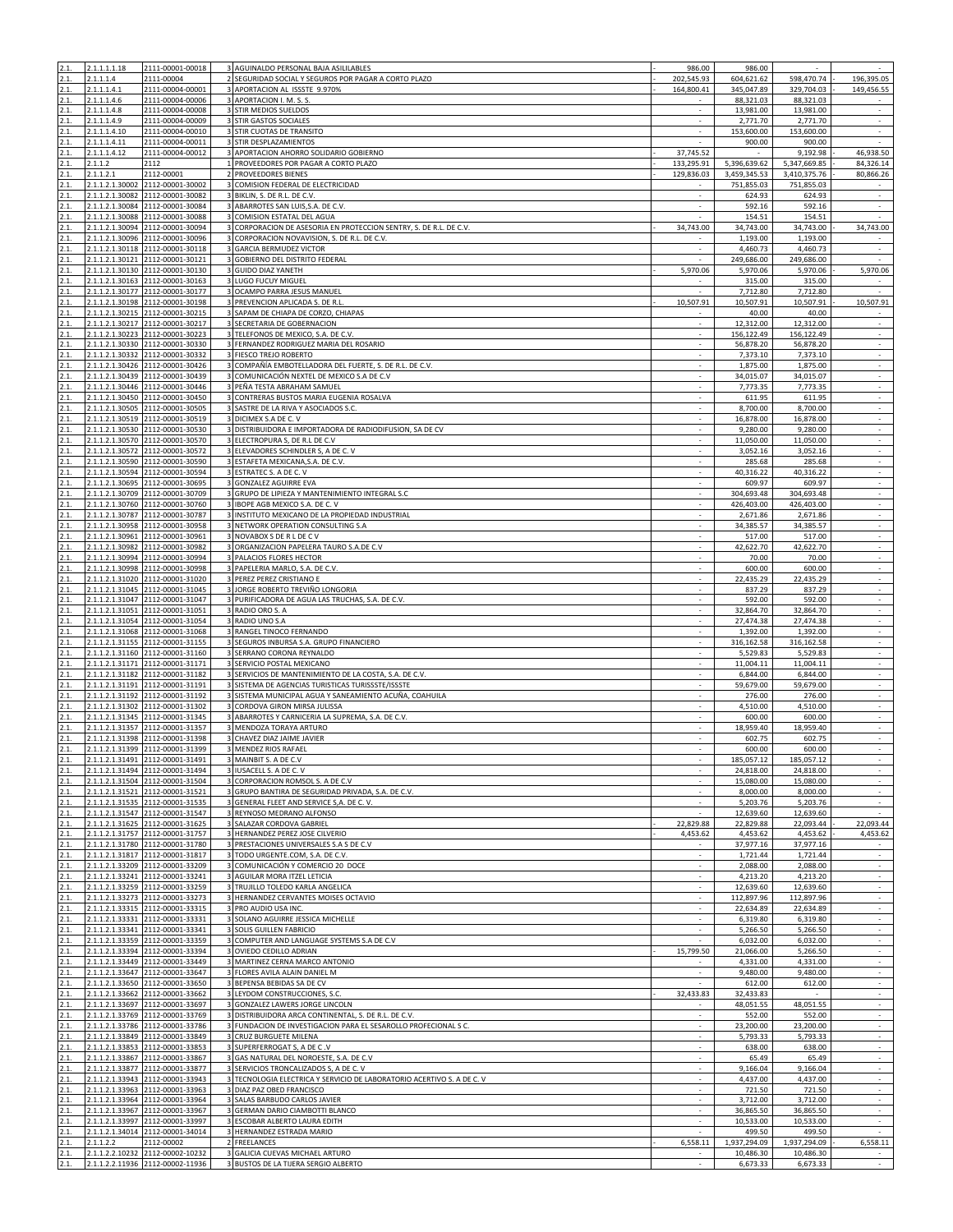| 2.1.         | 2.1.1.1.1.18    | 2111-00001-00018                                                     | 3 AGUINALDO PERSONAL BAJA ASILILABLES                                       | 986.00                   | 986.00                 | ×.                     |                             |
|--------------|-----------------|----------------------------------------------------------------------|-----------------------------------------------------------------------------|--------------------------|------------------------|------------------------|-----------------------------|
| 2.1.         | 2.1.1.1.4       | 2111-00004                                                           | 2 SEGURIDAD SOCIAL Y SEGUROS POR PAGAR A CORTO PLAZO                        | 202,545.93               | 604,621.62             | 598,470.74             | 196,395.05                  |
| 2.1.         | 2.1.1.1.4.1     | 2111-00004-00001                                                     | 3 APORTACION AL ISSSTE 9.970%                                               | 164,800.41               | 345,047.89             | 329,704.03             | 149,456.55                  |
| 2.1.         | 2.1.1.1.4.6     | 2111-00004-00006                                                     | 3 APORTACION I. M. S. S                                                     |                          | 88,321.03              | 88,321.03              |                             |
| 2.1.         | 2.1.1.1.4.8     | 2111-00004-00008                                                     | 3 STIR MEDIOS SUELDOS                                                       |                          | 13,981.00              | 13,981.00              |                             |
| 2.1.         | 2.1.1.1.4.9     | 2111-00004-00009                                                     | 3 STIR GASTOS SOCIALES                                                      | $\sim$                   | 2,771.70               | 2,771.70               | $\sim$                      |
| 2.1.         | 2.1.1.1.4.10    | 2111-00004-00010                                                     | 3 STIR CUOTAS DE TRANSITO                                                   | ÷.                       | 153,600.00             | 153,600.00             | $\sim$                      |
| 2.1.         | 2.1.1.1.4.11    | 2111-00004-00011                                                     | STIR DESPLAZAMIENTOS                                                        |                          | 900.00                 | 900.00                 | $\sim$                      |
| 2.1.         | 2.1.1.1.4.12    | 2111-00004-00012                                                     | APORTACION AHORRO SOLIDARIO GOBIERNO                                        | 37,745.52                |                        | 9,192.98               | 46,938.50                   |
| 2.1.         | 2.1.1.2         | 2112                                                                 | 1 PROVEEDORES POR PAGAR A CORTO PLAZO                                       | 133,295.91               | 5,396,639.62           | 5,347,669.85           | 84,326.14                   |
| 2.1.         | 2.1.1.2.1       | 2112-00001                                                           | PROVEEDORES BIENES                                                          | 129,836.03               | 3,459,345.53           | 3,410,375.76           | 80,866.26                   |
| 2.1.         |                 | 2.1.1.2.1.30002 2112-00001-30002                                     | 3 COMISION FEDERAL DE ELECTRICIDAD                                          |                          | 751,855.03             | 751,855.03             |                             |
| 2.1.         |                 | 2.1.1.2.1.30082 2112-00001-30082                                     | 3 BIKLIN, S. DE R.L. DE C.V.                                                | $\overline{\phantom{a}}$ | 624.93                 | 624.93                 | $\sim$                      |
| 2.1.         |                 | 2.1.1.2.1.30084 2112-00001-30084                                     | 3 ABARROTES SAN LUIS, S.A. DE C.V.                                          | ×                        | 592.16                 | 592.16                 | $\epsilon$                  |
| 2.1.         | 2.1.1.2.1.30088 | 2112-00001-30088                                                     | COMISION ESTATAL DEL AGUA                                                   |                          | 154.51                 | 154.51                 |                             |
| 2.1.         |                 | 2.1.1.2.1.30094 2112-00001-30094                                     | CORPORACION DE ASESORIA EN PROTECCION SENTRY, S. DE R.L. DE C.V.            | 34,743.00                | 34,743.00              | 34,743.00              | 34,743.00                   |
| 2.1.         | 2.1.1.2.1.30118 | 2.1.1.2.1.30096 2112-00001-30096                                     | CORPORACION NOVAVISION, S. DE R.L. DE C.V.<br>3<br>3 GARCIA BERMUDEZ VICTOR | $\sim$<br>÷.             | 1,193.00               | 1,193.00               | $\sim$<br>$\mathcal{L}$     |
| 2.1.<br>2.1. |                 | 2112-00001-30118<br>2.1.1.2.1.30121 2112-00001-30121                 | 3 GOBIERNO DEL DISTRITO FEDERAL                                             |                          | 4,460.73<br>249.686.00 | 4,460.73               |                             |
|              |                 |                                                                      | 3 GUIDO DIAZ YANETH                                                         | 5,970.06                 |                        | 249,686.00<br>5,970.06 | 5,970.06                    |
| 2.1.<br>2.1. |                 | 2.1.1.2.1.30130 2112-00001-30130<br>2.1.1.2.1.30163 2112-00001-30163 | 3 LUGO FUCUY MIGUEL                                                         |                          | 5,970.06<br>315.00     | 315.00                 |                             |
| 2.1.         |                 | 2.1.1.2.1.30177 2112-00001-30177                                     | OCAMPO PARRA JESUS MANUEL                                                   |                          | 7,712.80               | 7,712.80               | $\overline{a}$              |
| 2.1.         |                 | 2.1.1.2.1.30198 2112-00001-30198                                     | 3 PREVENCION APLICADA S. DE R.L                                             | 10,507.91                | 10,507.91              | 10,507.91              | 10,507.91                   |
| 2.1.         |                 | 2.1.1.2.1.30215 2112-00001-30215                                     | 3 SAPAM DE CHIAPA DE CORZO, CHIAPAS                                         |                          | 40.00                  | 40.00                  |                             |
| 2.1.         | 2.1.1.2.1.30217 | 2112-00001-30217                                                     | 3 SECRETARIA DE GOBERNACION                                                 |                          | 12,312.00              | 12,312.00              | $\overline{\phantom{a}}$    |
| 2.1.         |                 | 2.1.1.2.1.30223 2112-00001-30223                                     | 3 TELEFONOS DE MEXICO, S.A. DE C.V.                                         |                          | 156,122.49             | 156,122.49             | $\sim$                      |
| 2.1.         |                 | 2.1.1.2.1.30330 2112-00001-30330                                     | 3 FERNANDEZ RODRIGUEZ MARIA DEL ROSARIO                                     |                          | 56,878.20              | 56,878.20              |                             |
| 2.1.         |                 | 2.1.1.2.1.30332 2112-00001-30332                                     | 3 FIESCO TREJO ROBERTO                                                      | $\sim$                   | 7,373.10               | 7,373.10               | $\epsilon$                  |
| 2.1.         |                 | 2.1.1.2.1.30426 2112-00001-30426                                     | COMPAÑÍA EMBOTELLADORA DEL FUERTE, S. DE R.L. DE C.V.                       |                          | 1,875.00               | 1,875.00               | $\overline{\phantom{a}}$    |
| 2.1.         |                 | 2.1.1.2.1.30439 2112-00001-30439                                     | 3 COMUNICACIÓN NEXTEL DE MEXICO S.A DE C.V                                  |                          | 34,015.07              | 34,015.07              | ÷.                          |
| 2.1.         |                 | 2.1.1.2.1.30446 2112-00001-30446                                     | 3 PEÑA TESTA ABRAHAM SAMUEL                                                 |                          | 7,773.35               | 7,773.35               | $\epsilon$                  |
| 2.1.         |                 | 2.1.1.2.1.30450 2112-00001-30450                                     | 3 CONTRERAS BUSTOS MARIA EUGENIA ROSALVA                                    | $\sim$                   | 611.95                 | 611.95                 | $\epsilon$                  |
| 2.1.         |                 | 2.1.1.2.1.30505 2112-00001-30505                                     | 3 SASTRE DE LA RIVA Y ASOCIADOS S.C.                                        | ×                        | 8,700.00               | 8,700.00               | $\sim$                      |
| 2.1.         |                 | 2.1.1.2.1.30519 2112-00001-30519                                     | 3 DICIMEX S.A DE C. V                                                       |                          | 16,878.00              | 16,878.00              | $\overline{\phantom{a}}$    |
| 2.1.         |                 | 2.1.1.2.1.30530 2112-00001-30530                                     | 3 DISTRIBUIDORA E IMPORTADORA DE RADIODIFUSION, SA DE CV                    | ×                        | 9,280.00               | 9,280.00               | $\sim$                      |
| 2.1.         |                 | 2.1.1.2.1.30570 2112-00001-30570                                     | 3 ELECTROPURA S, DE R.L DE C.V                                              |                          | 11,050.00              | 11,050.00              | $\sim$                      |
| 2.1.         |                 | 2.1.1.2.1.30572 2112-00001-30572                                     | 3 ELEVADORES SCHINDLER S, A DE C. V                                         |                          | 3,052.16               | 3,052.16               | ÷,                          |
| 2.1.         |                 | 2.1.1.2.1.30590 2112-00001-30590                                     | 3 ESTAFETA MEXICANA, S.A. DE C.V.                                           | $\sim$                   | 285.68                 | 285.68                 | $\epsilon$                  |
| 2.1.         |                 | 2.1.1.2.1.30594 2112-00001-30594                                     | 3 ESTRATEC S. A DE C. V                                                     |                          | 40,316.22              | 40,316.22              | $\sim$                      |
| 2.1.         | 2.1.1.2.1.30695 | 2112-00001-30695                                                     | <b>GONZALEZ AGUIRRE EVA</b><br>3                                            |                          | 609.97                 | 609.97                 |                             |
| 2.1.         |                 | 2.1.1.2.1.30709 2112-00001-30709                                     | GRUPO DE LIPIEZA Y MANTENIMIENTO INTEGRAL S.C<br>$\overline{3}$             |                          | 304,693.48             | 304,693.48             | $\overline{\phantom{a}}$    |
| 2.1.         |                 | 2.1.1.2.1.30760 2112-00001-30760                                     | 3 IBOPE AGB MEXICO S.A. DE C. V                                             | $\sim$                   | 426,403.00             | 426,403.00             | $\sim$                      |
| 2.1.         |                 | 2.1.1.2.1.30787 2112-00001-30787                                     | 3 INSTITUTO MEXICANO DE LA PROPIEDAD INDUSTRIAL                             |                          | 2,671.86               | 2,671.86               | $\sim$                      |
| 2.1.         |                 | 2.1.1.2.1.30958 2112-00001-30958                                     | 3 NETWORK OPERATION CONSULTING S.A.                                         |                          | 34,385.57              | 34,385.57              | $\sim$                      |
| 2.1.         |                 | 2.1.1.2.1.30961 2112-00001-30961                                     | 3 NOVABOX S DE R L DE C V                                                   | $\overline{\phantom{a}}$ | 517.00                 | 517.00                 | $\epsilon$                  |
| 2.1.         |                 | 2.1.1.2.1.30982 2112-00001-30982                                     | 3 ORGANIZACION PAPELERA TAURO S.A.DE C.V                                    | ×                        | 42,622.70              | 42,622.70              | $\sim$                      |
| 2.1.         |                 | 2.1.1.2.1.30994 2112-00001-30994                                     | 3 PALACIOS FLORES HECTOR                                                    |                          | 70.00                  | 70.00                  | $\sim$                      |
| 2.1.         |                 | 2.1.1.2.1.30998 2112-00001-30998                                     | 3 PAPELERIA MARLO, S.A. DE C.V.                                             |                          | 600.00                 | 600.00                 | $\overline{\phantom{a}}$    |
| 2.1.         |                 | 2.1.1.2.1.31020 2112-00001-31020                                     | 3 PEREZ PEREZ CRISTIANO E                                                   | $\sim$                   | 22,435.29              | 22,435.29              | $\sim$                      |
| 2.1.         |                 | 2.1.1.2.1.31045 2112-00001-31045                                     | 3 JORGE ROBERTO TREVIÑO LONGORIA                                            |                          | 837.29                 | 837.29                 | $\sim$                      |
| 2.1.         |                 | 2.1.1.2.1.31047 2112-00001-31047                                     | 3 PURIFICADORA DE AGUA LAS TRUCHAS, S.A. DE C.V.                            | ×                        | 592.00                 | 592.00                 | $\sim$                      |
| 2.1.         |                 | 2.1.1.2.1.31051 2112-00001-31051                                     | 3 RADIO ORO S. A                                                            |                          | 32,864.70              | 32,864.70              | ÷.                          |
| 2.1.         |                 | 2.1.1.2.1.31054 2112-00001-31054                                     | 3 RADIO UNO S.A                                                             | ×                        | 27,474.38              | 27,474.38              | $\mathcal{L}$               |
| 2.1.         |                 | 2.1.1.2.1.31068 2112-00001-31068                                     | 3 RANGEL TINOCO FERNANDO                                                    |                          | 1,392.00               | 1,392.00               | $\sim$                      |
| 2.1.         |                 | 2.1.1.2.1.31155 2112-00001-31155                                     | 3 SEGUROS INBURSA S.A. GRUPO FINANCIERO                                     |                          | 316,162.58             | 316,162.58             | $\overline{\phantom{a}}$    |
| 2.1.         |                 | 2.1.1.2.1.31160 2112-00001-31160                                     | 3 SERRANO CORONA REYNALDO                                                   | $\sim$                   | 5,529.83               | 5,529.83               | $\epsilon$                  |
| 2.1.         |                 | 2.1.1.2.1.31171 2112-00001-31171                                     | 3 SERVICIO POSTAL MEXICANO                                                  |                          | 11,004.11              | 11,004.11              | ÷.                          |
| 2.1.         | 2.1.1.2.1.31182 | 2112-00001-31182                                                     | SERVICIOS DE MANTENIMIENTO DE LA COSTA, S.A. DE C.V.                        |                          | 6,844.00               | 6,844.00               | $\sim$                      |
| 2.1.         |                 | 2.1.1.2.1.31191 2112-00001-31191                                     | 3 SISTEMA DE AGENCIAS TURISTICAS TURISSSTE/ISSSTE                           |                          | 59,679.00              | 59,679.00              | $\sim$                      |
| 2.1.         |                 | 2.1.1.2.1.31192 2112-00001-31192                                     | 3 SISTEMA MUNICIPAL AGUA Y SANEAMIENTO ACUÑA, COAHUILA                      | ×                        | 276.00                 | 276.00                 | $\sim$                      |
| 2.1.         |                 | 2.1.1.2.1.31302 2112-00001-31302                                     | 3 CORDOVA GIRON MIRSA JULISSA                                               |                          | 4,510.00               | 4,510.00               |                             |
| 2.1.         |                 | 2.1.1.2.1.31345 2112-00001-31345                                     | 3 ABARROTES Y CARNICERIA LA SUPREMA, S.A. DE C.V.                           |                          | 600.00                 | 600.00                 | $\overline{\phantom{a}}$    |
| 2.1.         |                 | 2.1.1.2.1.31357 2112-00001-31357<br>2.1.1.2.1.31398 2112-00001-31398 | 3 MENDOZA TORAYA ARTURO                                                     | $\overline{\phantom{a}}$ | 18,959.40              | 18,959.40              | $\sim$                      |
| 2.1.         |                 |                                                                      | 3 CHAVEZ DIAZ JAIME JAVIER                                                  |                          | 602.75                 | 602.75                 | ×                           |
| 2.1.         |                 | 2.1.1.2.1.31399 2112-00001-31399                                     | MENDEZ RIOS RAFAEL                                                          |                          | 600.00                 | 600.00                 |                             |
|              |                 | 2.1.1.2.1.31491 2112-00001-31491                                     | 3 MAINBIT S. A DE C.V                                                       |                          | 185,057.12             | 185,057.12             |                             |
| 2.1.         |                 | 2.1.1.2.1.31494 2112-00001-31494                                     | 3 IUSACELL S. A DE C. V<br>3 CORPORACION ROMSOL S. A DE C.V                 | $\sim$                   | 24,818.00              | 24,818.00              | $\sim$                      |
| 2.1.<br>2.1. |                 | 2.1.1.2.1.31504 2112-00001-31504<br>2.1.1.2.1.31521 2112-00001-31521 | 3 GRUPO BANTIRA DE SEGURIDAD PRIVADA, S.A. DE C.V.                          |                          | 15,080.00<br>8.000.00  | 15,080.00<br>8,000.00  | $\mathcal{L}_{\mathcal{A}}$ |
| 2.1.         |                 | 2.1.1.2.1.31535 2112-00001-31535                                     | 3 GENERAL FLEET AND SERVICE S,A. DE C. V.                                   | $\sim$                   | 5,203.76               | 5,203.76               | $\sim$                      |
| 2.1.         |                 | 2.1.1.2.1.31547 2112-00001-31547                                     | 3 REYNOSO MEDRANO ALFONSO                                                   |                          | 12,639.60              | 12,639.60              | $\sim$                      |
|              |                 | 2.1.1.2.1.31625 2112-00001-31625                                     | SALAZAR CORDOVA GABRIEL                                                     | 22,829.88                | 22,829.88              | 22,093.44              | 22,093.44                   |
| 2.1.         |                 | 2.1.1.2.1.31757 2112-00001-31757                                     | 3 HERNANDEZ PEREZ JOSE CILVERIO                                             | 4,453.62                 | 4,453.62               | 4,453.62               | 4,453.62                    |
| 2.1.         |                 | 2.1.1.2.1.31780 2112-00001-31780                                     | 3 PRESTACIONES UNIVERSALES S.A S DE C.V                                     | $\sim$                   | 37,977.16              | 37,977.16              | $\sim$                      |
| 2.1.         |                 | 2.1.1.2.1.31817 2112-00001-31817                                     | 3 TODO URGENTE.COM, S.A. DE C.V.                                            |                          | 1,721.44               | 1,721.44               | ÷.                          |
| 2.1.         |                 | 2.1.1.2.1.33209 2112-00001-33209                                     | 3 COMUNICACIÓN Y COMERCIO 20 DOCE                                           |                          | 2,088.00               | 2,088.00               |                             |
| 2.1.         |                 | 2.1.1.2.1.33241 2112-00001-33241                                     | 3 AGUILAR MORA ITZEL LETICIA                                                |                          | 4,213.20               | 4,213.20               |                             |
| 2.1.         |                 | 2.1.1.2.1.33259 2112-00001-33259                                     | 3 TRUJILLO TOLEDO KARLA ANGELICA                                            |                          | 12,639.60              | 12,639.60              | $\sim$                      |
| 2.1.         |                 | 2.1.1.2.1.33273 2112-00001-33273                                     | 3 HERNANDEZ CERVANTES MOISES OCTAVIO                                        |                          | 112,897.96             | 112,897.96             |                             |
| 2.1.         |                 | 2.1.1.2.1.33315 2112-00001-33315                                     | 3 PRO AUDIO USA INC.                                                        |                          | 22,634.89              | 22,634.89              | $\overline{\phantom{a}}$    |
| 2.1.         |                 | 2.1.1.2.1.33331 2112-00001-33331                                     | 3 SOLANO AGUIRRE JESSICA MICHELLE                                           | $\sim$                   | 6,319.80               | 6,319.80               | $\sim$                      |
| 2.1.         |                 | 2.1.1.2.1.33341 2112-00001-33341                                     | 3 SOLIS GUILLEN FABRICIO                                                    | ×                        | 5,266.50               | 5,266.50               |                             |
| 2.1.         |                 | 2.1.1.2.1.33359 2112-00001-33359                                     | COMPUTER AND LANGUAGE SYSTEMS S.A DE C.V<br>3                               |                          | 6,032.00               | 6,032.00               | $\sim$                      |
| 2.1.         |                 | 2.1.1.2.1.33394 2112-00001-33394                                     | 3 OVIEDO CEDILLO ADRIAN                                                     | 15,799.50                | 21,066.00              | 5,266.50               |                             |
| 2.1.         |                 | 2.1.1.2.1.33449 2112-00001-33449                                     | 3 MARTINEZ CERNA MARCO ANTONIO                                              |                          | 4,331.00               | 4,331.00               | $\sim$                      |
| 2.1.         |                 | 2.1.1.2.1.33647 2112-00001-33647                                     | 3 FLORES AVILA ALAIN DANIEL M                                               |                          | 9,480.00               | 9,480.00               | $\mathbf{r}$                |
| 2.1.         |                 | 2.1.1.2.1.33650 2112-00001-33650                                     | 3 BEPENSA BEBIDAS SA DE CV                                                  |                          | 612.00                 | 612.00                 | $\sim$                      |
| 2.1.         |                 | 2.1.1.2.1.33662 2112-00001-33662                                     | 3 LEYDOM CONSTRUCCIONES, S.C.                                               | 32,433.83                | 32,433.83              | $\sim$                 | $\sim$                      |
| 2.1.         |                 | 2.1.1.2.1.33697 2112-00001-33697                                     | 3 GONZALEZ LAWERS JORGE LINCOLN                                             |                          | 48,051.55              | 48,051.55              | $\epsilon$                  |
| 2.1.         |                 | 2.1.1.2.1.33769 2112-00001-33769                                     | 3 DISTRIBUIDORA ARCA CONTINENTAL, S. DE R.L. DE C.V.                        | ×                        | 552.00                 | 552.00                 | $\sim$                      |
| 2.1.         |                 | 2.1.1.2.1.33786 2112-00001-33786                                     | 3 FUNDACION DE INVESTIGACION PARA EL SESAROLLO PROFECIONAL S C.             |                          | 23,200.00              | 23,200.00              |                             |
| 2.1.         |                 | 2.1.1.2.1.33849 2112-00001-33849                                     | 3 CRUZ BURGUETE MILENA                                                      | $\sim$                   | 5,793.33               | 5,793.33               | $\sim$                      |
| 2.1.         |                 | 2.1.1.2.1.33853 2112-00001-33853                                     | 3 SUPERFERROGAT S, A DE C.V                                                 |                          | 638.00                 | 638.00                 |                             |
| 2.1.         |                 | 2.1.1.2.1.33867 2112-00001-33867                                     | 3 GAS NATURAL DEL NOROESTE, S.A. DE C.V.                                    |                          | 65.49                  | 65.49                  | $\sim$                      |
| 2.1.         |                 | 2.1.1.2.1.33877 2112-00001-33877                                     | 3 SERVICIOS TRONCALIZADOS S, A DE C. V                                      | $\sim$                   | 9,166.04               | 9,166.04               | $\sim$                      |
| 2.1.         |                 | 2.1.1.2.1.33943 2112-00001-33943                                     | 3 TECNOLOGIA ELECTRICA Y SERVICIO DE LABORATORIO ACERTIVO S. A DE C. V      | ×                        | 4,437.00               | 4,437.00               | $\sim$                      |
| 2.1.         |                 | 2.1.1.2.1.33963 2112-00001-33963                                     | DIAZ PAZ OBED FRANCISCO                                                     |                          | 721.50                 | 721.50                 |                             |
| 2.1.         |                 | 2.1.1.2.1.33964 2112-00001-33964                                     | 3 SALAS BARBUDO CARLOS JAVIER                                               |                          | 3,712.00               | 3,712.00               | $\overline{\phantom{a}}$    |
| 2.1.         |                 | 2.1.1.2.1.33967 2112-00001-33967                                     | 3 GERMAN DARIO CIAMBOTTI BLANCO                                             | $\sim$                   | 36,865.50              | 36,865.50              | $\sim$                      |
| 2.1.         |                 | 2.1.1.2.1.33997 2112-00001-33997                                     | 3 ESCOBAR ALBERTO LAURA EDITH                                               |                          | 10,533.00              | 10,533.00              |                             |
| 2.1.         |                 | 2.1.1.2.1.34014 2112-00001-34014                                     | 3 HERNANDEZ ESTRADA MARIO                                                   |                          | 499.50                 | 499.50                 |                             |
| 2.1.         | 2.1.1.2.2       | 2112-00002                                                           | 2 FREELANCES                                                                | 6,558.11                 | 1,937,294.09           | 1,937,294.09           | 6,558.11                    |
| 2.1.         |                 | 2.1.1.2.2.10232 2112-00002-10232<br>2.1.1.2.2.11936 2112-00002-11936 | 3 GALICIA CUEVAS MICHAEL ARTURO<br>3 BUSTOS DE LA TIJERA SERGIO ALBERTO     | ×.                       | 10,486.30<br>6,673.33  | 10,486.30<br>6,673.33  |                             |
| 2.1.         |                 |                                                                      |                                                                             |                          |                        |                        |                             |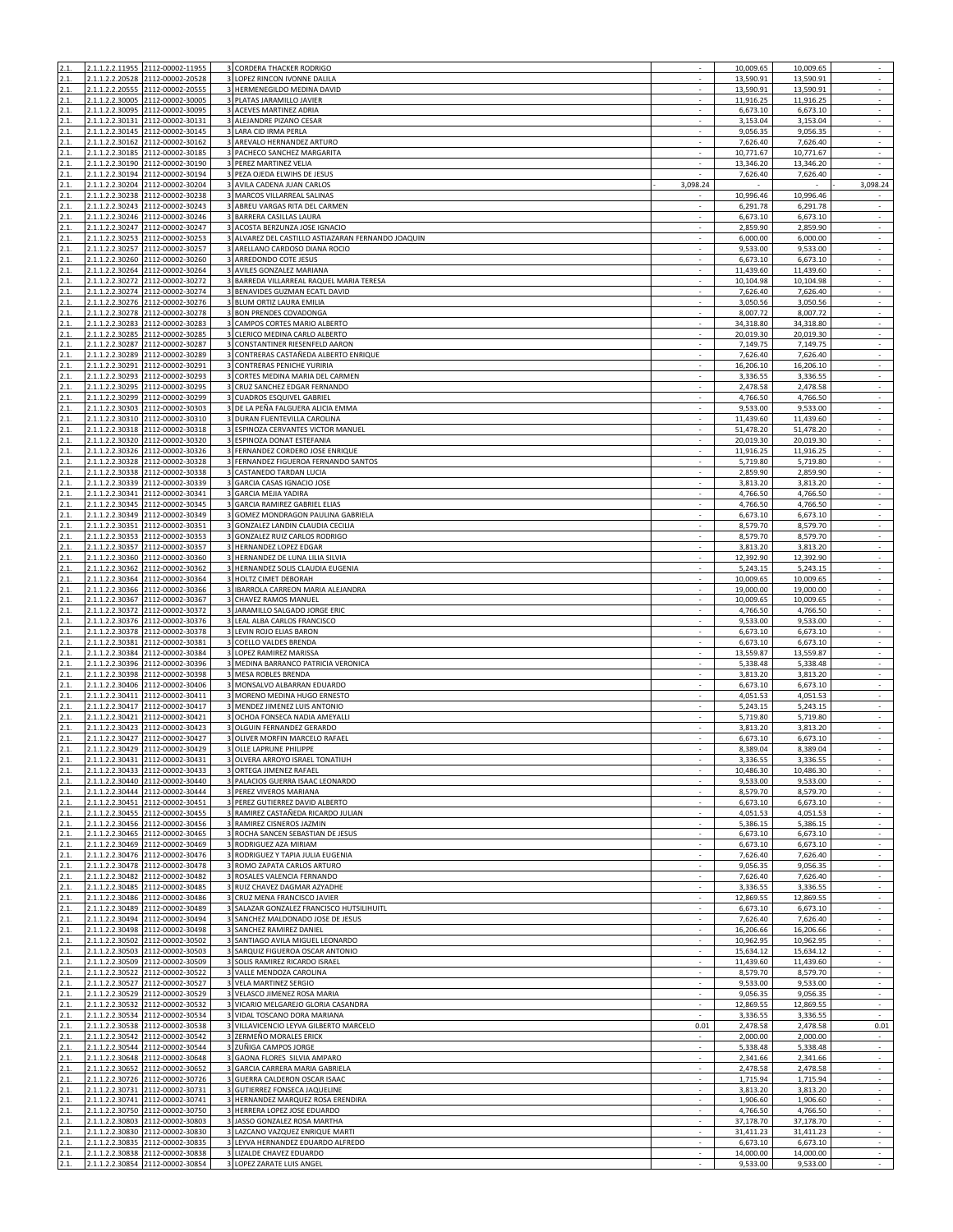| 2.1.         |                                    | 2.1.1.2.2.11955 2112-00002-11955                                     | 3 CORDERA THACKER RODRIGO                                                            |                               | 10,009.65              | 10,009.65              | $\sim$                                 |
|--------------|------------------------------------|----------------------------------------------------------------------|--------------------------------------------------------------------------------------|-------------------------------|------------------------|------------------------|----------------------------------------|
| 2.1<br>2.1.  |                                    | 2.1.1.2.2.20528 2112-00002-20528<br>2.1.1.2.2.20555 2112-00002-20555 | 3 LOPEZ RINCON IVONNE DALILA<br>3 HERMENEGILDO MEDINA DAVID                          |                               | 13,590.91<br>13,590.91 | 13,590.91<br>13,590.91 |                                        |
| 2.1.         |                                    | 2.1.1.2.2.30005 2112-00002-30005                                     | 3 PLATAS JARAMILLO JAVIER                                                            | $\sim$<br>$\sim$              | 11,916.25              | 11,916.25              | $\bar{\gamma}$<br>$\sim$               |
| 2.1.         | 2.1.1.2.2.30095                    | 2112-00002-30095                                                     | 3 ACEVES MARTINEZ ADRIA                                                              |                               | 6,673.10               | 6,673.10               | $\sim$                                 |
| 2.1.         |                                    | 2.1.1.2.2.30131 2112-00002-30131                                     | 3 ALEJANDRE PIZANO CESAR                                                             | $\sim$                        | 3,153.04               | 3,153.04               | $\sim$                                 |
| 2.1.<br>2.1. |                                    | 2.1.1.2.2.30145 2112-00002-30145<br>2.1.1.2.2.30162 2112-00002-30162 | 3 LARA CID IRMA PERLA<br>3 AREVALO HERNANDEZ ARTURO                                  |                               | 9,056.35<br>7,626.40   | 9,056.35<br>7,626.40   | $\sim$<br>$\sim$                       |
| 2.1.         | 2.1.1.2.2.30185                    | 2112-00002-30185                                                     | 3 PACHECO SANCHEZ MARGARITA                                                          |                               | 10,771.67              | 10,771.67              | $\sim$                                 |
| 2.1.         |                                    | 2.1.1.2.2.30190 2112-00002-30190                                     | 3 PEREZ MARTINEZ VELIA                                                               |                               | 13,346.20              | 13,346.20              | $\overline{\phantom{a}}$               |
| 2.1.         |                                    | 2.1.1.2.2.30194 2112-00002-30194                                     | 3 PEZA OJEDA ELWIHS DE JESUS                                                         |                               | 7,626.40               | 7,626.40               | $\sim$                                 |
| 2.1.<br>2.1. | 2.1.1.2.2.30204<br>2.1.1.2.2.30238 | 2112-00002-30204<br>2112-00002-30238                                 | 3 AVILA CADENA JUAN CARLOS<br>3 MARCOS VILLARREAL SALINAS                            | 3,098.24                      | 10,996.46              | 10,996.46              | 3,098.24                               |
| 2.1.         |                                    | 2.1.1.2.2.30243 2112-00002-30243                                     | 3 ABREU VARGAS RITA DEL CARMEN                                                       |                               | 6,291.78               | 6,291.78               |                                        |
| 2.1.         |                                    | 2.1.1.2.2.30246 2112-00002-30246                                     | 3 BARRERA CASILLAS LAURA                                                             |                               | 6,673.10               | 6,673.10               | $\sim$                                 |
| 2.1.         | 2.1.1.2.2.30247                    | 2112-00002-30247                                                     | 3 ACOSTA BERZUNZA JOSE IGNACIO                                                       |                               | 2,859.90               | 2,859.90               | $\sim$                                 |
| 2.1.<br>2.1. |                                    | 2.1.1.2.2.30253 2112-00002-30253<br>2.1.1.2.2.30257 2112-00002-30257 | 3 ALVAREZ DEL CASTILLO ASTIAZARAN FERNANDO JOAQUIN<br>3 ARELLANO CARDOSO DIANA ROCIO | $\sim$                        | 6,000.00<br>9,533.00   | 6,000.00<br>9,533.00   | $\overline{\phantom{a}}$<br>$\epsilon$ |
| 2.1.         |                                    | 2.1.1.2.2.30260 2112-00002-30260                                     | 3 ARREDONDO COTE JESUS                                                               |                               | 6,673.10               | 6,673.10               | $\overline{\phantom{a}}$               |
| 2.1.         | 2.1.1.2.2.30264                    | 2112-00002-30264                                                     | 3 AVILES GONZALEZ MARIANA                                                            |                               | 11,439.60              | 11,439.60              |                                        |
| 2.1.         |                                    | 2.1.1.2.2.30272 2112-00002-30272                                     | 3 BARREDA VILLARREAL RAQUEL MARIA TERESA                                             |                               | 10,104.98              | 10,104.98              | $\overline{\phantom{a}}$               |
| 2.1.<br>2.1. | 2.1.1.2.2.30276                    | 2.1.1.2.2.30274 2112-00002-30274<br>2112-00002-30276                 | 3 BENAVIDES GUZMAN ECATL DAVID<br>3 BLUM ORTIZ LAURA EMILIA                          | $\sim$                        | 7,626.40<br>3,050.56   | 7,626.40<br>3,050.56   | $\sim$                                 |
| 2.1.         | 2.1.1.2.2.30278                    | 2112-00002-30278                                                     | 3 BON PRENDES COVADONGA                                                              |                               | 8,007.72               | 8,007.72               | $\sim$                                 |
| 2.1.         |                                    | 2.1.1.2.2.30283 2112-00002-30283                                     | 3 CAMPOS CORTES MARIO ALBERTO                                                        | $\sim$                        | 34,318.80              | 34,318.80              | $\sim$                                 |
| 2.1.<br>2.1. | 2.1.1.2.2.30287                    | 2.1.1.2.2.30285 2112-00002-30285                                     | 3 CLERICO MEDINA CARLO ALBERTO                                                       | ×                             | 20,019.30              | 20,019.30              | $\sim$                                 |
| 2.1.         |                                    | 2112-00002-30287<br>2.1.1.2.2.30289 2112-00002-30289                 | CONSTANTINER RIESENFELD AARON<br>3 CONTRERAS CASTAÑEDA ALBERTO ENRIQUE               |                               | 7,149.75<br>7,626.40   | 7,149.75<br>7,626.40   | $\sim$                                 |
| 2.1.         |                                    | 2.1.1.2.2.30291 2112-00002-30291                                     | 3 CONTRERAS PENICHE YURIRIA                                                          | $\sim$                        | 16,206.10              | 16,206.10              | $\sim$                                 |
| 2.1.         | 2.1.1.2.2.30293                    | 2112-00002-30293                                                     | 3 CORTES MEDINA MARIA DEL CARMEN                                                     |                               | 3,336.55               | 3,336.55               | $\sim$                                 |
| 2.1.<br>2.1. | 2.1.1.2.2.30295                    | 2112-00002-30295<br>2.1.1.2.2.30299 2112-00002-30299                 | 3 CRUZ SANCHEZ EDGAR FERNANDO<br>3 CUADROS ESQUIVEL GABRIEL                          |                               | 2,478.58<br>4,766.50   | 2,478.58<br>4,766.50   | $\sim$<br>$\overline{\phantom{a}}$     |
| 2.1.         |                                    | 2.1.1.2.2.30303 2112-00002-30303                                     | 3 DE LA PEÑA FALGUERA ALICIA EMMA                                                    | ×                             | 9,533.00               | 9,533.00               | ×                                      |
| 2.1.         |                                    | 2.1.1.2.2.30310 2112-00002-30310                                     | 3 DURAN FUENTEVILLA CAROLINA                                                         |                               | 11,439.60              | 11,439.60              | $\sim$                                 |
| 2.1.         |                                    | 2.1.1.2.2.30318 2112-00002-30318                                     | 3 ESPINOZA CERVANTES VICTOR MANUEL                                                   |                               | 51,478.20              | 51,478.20              |                                        |
| 2.1.<br>2.1. | 2.1.1.2.2.30326                    | 2.1.1.2.2.30320 2112-00002-30320<br>2112-00002-30326                 | 3 ESPINOZA DONAT ESTEFANIA<br>3 FERNANDEZ CORDERO JOSE ENRIQUE                       | $\overline{\phantom{a}}$      | 20,019.30<br>11,916.25 | 20,019.30<br>11,916.25 | $\sim$<br>$\sim$                       |
| 2.1.         | 2.1.1.2.2.30328                    | 2112-00002-30328                                                     | 3 FERNANDEZ FIGUEROA FERNANDO SANTOS                                                 |                               | 5,719.80               | 5,719.80               | $\sim$                                 |
| 2.1.         |                                    | 2.1.1.2.2.30338 2112-00002-30338                                     | 3 CASTANEDO TARDAN LUCIA                                                             |                               | 2,859.90               | 2,859.90               | $\sim$                                 |
| 2.1.         |                                    | 2.1.1.2.2.30339 2112-00002-30339                                     | 3 GARCIA CASAS IGNACIO JOSE                                                          | ×                             | 3,813.20               | 3,813.20               | $\mathcal{L}$<br>$\sim$                |
| 2.1.<br>2.1. | 2.1.1.2.2.30341<br>2.1.1.2.2.30345 | 2112-00002-30341<br>2112-00002-30345                                 | 3 GARCIA MEJIA YADIRA<br>3 GARCIA RAMIREZ GABRIEL ELIAS                              |                               | 4,766.50<br>4,766.50   | 4,766.50<br>4,766.50   | $\overline{\phantom{a}}$               |
| 2.1.         |                                    | 2.1.1.2.2.30349 2112-00002-30349                                     | 3 GOMEZ MONDRAGON PAULINA GABRIELA                                                   | $\sim$                        | 6,673.10               | 6,673.10               | $\sim$                                 |
| 2.1.         | 2.1.1.2.2.30351                    | 2112-00002-30351                                                     | 3 GONZALEZ LANDIN CLAUDIA CECILIA                                                    |                               | 8,579.70               | 8,579.70               | $\mathcal{L}$                          |
| 2.1.<br>2.1. | 2.1.1.2.2.30353                    | 2112-00002-30353<br>2.1.1.2.2.30357 2112-00002-30357                 | GONZALEZ RUIZ CARLOS RODRIGO<br>3 HERNANDEZ LOPEZ EDGAR                              |                               | 8,579.70<br>3,813.20   | 8,579.70<br>3,813.20   | $\sim$<br>$\overline{\phantom{a}}$     |
| 2.1.         |                                    | 2.1.1.2.2.30360 2112-00002-30360                                     | 3 HERNANDEZ DE LUNA LILIA SILVIA                                                     | ×                             | 12,392.90              | 12,392.90              | $\sim$                                 |
| 2.1.         | 2.1.1.2.2.30362                    | 2112-00002-30362                                                     | 3 HERNANDEZ SOLIS CLAUDIA EUGENIA                                                    |                               | 5,243.15               | 5,243.15               | $\sim$                                 |
| 2.1.         |                                    | 2.1.1.2.2.30364 2112-00002-30364                                     | 3 HOLTZ CIMET DEBORAH                                                                |                               | 10,009.65              | 10,009.65              |                                        |
| 2.1.<br>2.1. |                                    | 2.1.1.2.2.30366 2112-00002-30366<br>2.1.1.2.2.30367 2112-00002-30367 | 3 IBARROLA CARREON MARIA ALEJANDRA<br>3 CHAVEZ RAMOS MANUEL                          | $\sim$                        | 19,000.00<br>10,009.65 | 19,000.00<br>10,009.65 | $\sim$<br>×                            |
| 2.1.         | 2.1.1.2.2.30372                    | 2112-00002-30372                                                     | JARAMILLO SALGADO JORGE ERIC                                                         |                               | 4,766.50               | 4,766.50               |                                        |
| 2.1.         |                                    | 2.1.1.2.2.30376 2112-00002-30376                                     | 3 LEAL ALBA CARLOS FRANCISCO                                                         |                               | 9,533.00               | 9,533.00               | $\sim$                                 |
| 2.1.         | 2.1.1.2.2.30378                    | 2112-00002-30378                                                     | 3 LEVIN ROJO ELIAS BARON                                                             | $\sim$                        | 6,673.10               | 6,673.10               | $\sim$                                 |
| 2.1.<br>2.1. | 2.1.1.2.2.30381<br>2.1.1.2.2.30384 | 2112-00002-30381<br>2112-00002-30384                                 | 3 COELLO VALDES BRENDA<br>3 LOPEZ RAMIREZ MARISSA                                    |                               | 6,673.10<br>13,559.87  | 6,673.10<br>13,559.87  | $\overline{\phantom{a}}$<br>$\sim$     |
| 2.1.         |                                    | 2.1.1.2.2.30396 2112-00002-30396                                     | 3 MEDINA BARRANCO PATRICIA VERONICA                                                  | $\sim$                        | 5,338.48               | 5,338.48               | $\sim$                                 |
| 2.1.         |                                    | 2.1.1.2.2.30398 2112-00002-30398                                     | 3 MESA ROBLES BRENDA                                                                 |                               | 3,813.20               | 3,813.20               | $\epsilon$                             |
| 2.1.         |                                    | 2.1.1.2.2.30406 2112-00002-30406                                     | 3 MONSALVO ALBARRAN EDUARDO                                                          |                               | 6,673.10               | 6,673.10               | $\sim$                                 |
| 2.1.<br>2.1. |                                    | 2.1.1.2.2.30411 2112-00002-30411<br>2.1.1.2.2.30417 2112-00002-30417 | 3 MORENO MEDINA HUGO ERNESTO<br>3 MENDEZ JIMENEZ LUIS ANTONIO                        | $\sim$                        | 4,051.53<br>5,243.15   | 4,051.53<br>5,243.15   | $\sim$                                 |
| 2.1.         | 2.1.1.2.2.30421                    | 2112-00002-30421                                                     | 3 OCHOA FONSECA NADIA AMEYALLI                                                       |                               | 5,719.80               | 5,719.80               | $\sim$                                 |
| 2.1.         |                                    | 2.1.1.2.2.30423 2112-00002-30423                                     | 3 OLGUIN FERNANDEZ GERARDO                                                           |                               | 3,813.20               | 3,813.20               | $\sim$                                 |
| 2.1.<br>2.1. |                                    | 2.1.1.2.2.30427 2112-00002-30427<br>2.1.1.2.2.30429 2112-00002-30429 | 3 OLIVER MORFIN MARCELO RAFAEL<br><b>3 OLLE LAPRUNE PHILIPPE</b>                     | ×                             | 6,673.10<br>8,389.04   | 6,673.10<br>8,389.04   | $\sim$                                 |
| 21           |                                    | 2.1.1.2.2.30431 2112-00002-30431                                     | 3 OLVERA ARROYO ISRAEL TONATIUH                                                      |                               |                        | 3,336.55               |                                        |
| 2.1.         |                                    | 2.1.1.2.2.30433 2112-00002-30433                                     | 3 ORTEGA JIMENEZ RAFAEL                                                              |                               | 10,486.30              | 10.486.30              |                                        |
| 2.1.         |                                    | 2.1.1.2.2.30440 2112-00002-30440                                     | 3 PALACIOS GUERRA ISAAC LEONARDO                                                     |                               | 9,533.00               | 9,533.00               | $\sim$                                 |
| 2.1.<br>2.1. |                                    | 2.1.1.2.2.30444 2112-00002-30444<br>2.1.1.2.2.30451 2112-00002-30451 | 3 PEREZ VIVEROS MARIANA<br>3 PEREZ GUTIERREZ DAVID ALBERTO                           | ×<br>$\overline{\phantom{a}}$ | 8,579.70<br>6,673.10   | 8,579.70<br>6,673.10   | $\epsilon$<br>$\sim$                   |
| 2.1.         |                                    | 2.1.1.2.2.30455 2112-00002-30455                                     | 3 RAMIREZ CASTAÑEDA RICARDO JULIAN                                                   |                               | 4,051.53               | 4,051.53               | $\overline{\phantom{a}}$               |
| 2.1.         |                                    | 2.1.1.2.2.30456 2112-00002-30456                                     | 3 RAMIREZ CISNEROS JAZMIN                                                            | ×                             | 5,386.15               | 5,386.15               | $\sim$                                 |
| 2.1.<br>2.1. |                                    | 2.1.1.2.2.30465 2112-00002-30465<br>2.1.1.2.2.30469 2112-00002-30469 | 3 ROCHA SANCEN SEBASTIAN DE JESUS<br>3 RODRIGUEZ AZA MIRIAM                          |                               | 6,673.10<br>6,673.10   | 6,673.10<br>6,673.10   | $\sim$                                 |
| 2.1.         |                                    | 2.1.1.2.2.30476 2112-00002-30476                                     | 3 RODRIGUEZ Y TAPIA JULIA EUGENIA                                                    | $\sim$                        | 7,626.40               | 7,626.40               | $\sim$<br>$\epsilon$                   |
| 2.1.         |                                    | 2.1.1.2.2.30478 2112-00002-30478                                     | 3 ROMO ZAPATA CARLOS ARTURO                                                          |                               | 9,056.35               | 9,056.35               | $\overline{\phantom{a}}$               |
| 2.1.         | 2.1.1.2.2.30482                    | 2112-00002-30482                                                     | 3 ROSALES VALENCIA FERNANDO                                                          |                               | 7,626.40               | 7,626.40               | $\overline{\phantom{a}}$               |
| 2.1.<br>2.1. |                                    | 2.1.1.2.2.30485 2112-00002-30485<br>2.1.1.2.2.30486 2112-00002-30486 | 3 RUIZ CHAVEZ DAGMAR AZYADHE<br>3 CRUZ MENA FRANCISCO JAVIER                         | ×.                            | 3,336.55<br>12,869.55  | 3,336.55<br>12,869.55  | $\overline{\phantom{a}}$<br>$\sim$     |
| 2.1.         | 2.1.1.2.2.30489                    | 2112-00002-30489                                                     | 3 SALAZAR GONZALEZ FRANCISCO HUTSILIHUITL                                            |                               | 6,673.10               | 6,673.10               |                                        |
| 2.1.         |                                    | 2.1.1.2.2.30494 2112-00002-30494                                     | 3 SANCHEZ MALDONADO JOSE DE JESUS                                                    |                               | 7,626.40               | 7,626.40               | $\sim$                                 |
| 2.1.         |                                    | 2.1.1.2.2.30498 2112-00002-30498                                     | 3 SANCHEZ RAMIREZ DANIEL                                                             | $\sim$<br>×                   | 16,206.66              | 16,206.66              | $\sim$<br>$\sim$                       |
| 2.1.<br>2.1. |                                    | 2.1.1.2.2.30502 2112-00002-30502<br>2.1.1.2.2.30503 2112-00002-30503 | 3 SANTIAGO AVILA MIGUEL LEONARDO<br>3 SARQUIZ FIGUEROA OSCAR ANTONIO                 |                               | 10,962.95<br>15,634.12 | 10,962.95<br>15,634.12 | $\sim$                                 |
| 2.1.         |                                    | 2.1.1.2.2.30509 2112-00002-30509                                     | 3 SOLIS RAMIREZ RICARDO ISRAEL                                                       | $\overline{\phantom{a}}$      | 11,439.60              | 11,439.60              | $\sim$                                 |
| 2.1.         |                                    | 2.1.1.2.2.30522 2112-00002-30522                                     | 3 VALLE MENDOZA CAROLINA                                                             | $\sim$                        | 8,579.70               | 8,579.70               | $\sim$                                 |
| 2.1.<br>2.1. |                                    | 2.1.1.2.2.30527 2112-00002-30527<br>2.1.1.2.2.30529 2112-00002-30529 | 3 VELA MARTINEZ SERGIO<br>3 VELASCO JIMENEZ ROSA MARIA                               |                               | 9,533.00<br>9,056.35   | 9,533.00<br>9,056.35   | $\sim$<br>$\sim$                       |
| 2.1.         |                                    | 2.1.1.2.2.30532 2112-00002-30532                                     | 3 VICARIO MELGAREJO GLORIA CASANDRA                                                  | $\overline{\phantom{a}}$      | 12,869.55              | 12,869.55              | $\sim$                                 |
| 2.1.         |                                    | 2.1.1.2.2.30534 2112-00002-30534                                     | 3 VIDAL TOSCANO DORA MARIANA                                                         | ×                             | 3,336.55               | 3,336.55               | ×                                      |
| 2.1.         |                                    | 2.1.1.2.2.30538 2112-00002-30538                                     | 3 VILLAVICENCIO LEYVA GILBERTO MARCELO                                               | 0.01                          | 2,478.58               | 2,478.58               | 0.01                                   |
| 2.1.<br>2.1. |                                    | 2.1.1.2.2.30542 2112-00002-30542<br>2.1.1.2.2.30544 2112-00002-30544 | 3 ZERMEÑO MORALES ERICK<br>3 ZUÑIGA CAMPOS JORGE                                     | $\sim$                        | 2,000.00<br>5,338.48   | 2,000.00<br>5,338.48   | $\overline{\phantom{a}}$               |
| 2.1.         |                                    | 2.1.1.2.2.30648 2112-00002-30648                                     | 3 GAONA FLORES SILVIA AMPARO                                                         | ÷.                            | 2,341.66               | 2,341.66               | $\mathcal{L}$                          |
| 2.1.         |                                    | 2.1.1.2.2.30652 2112-00002-30652                                     | GARCIA CARRERA MARIA GABRIELA                                                        | ×.                            | 2,478.58               | 2,478.58               | $\sim$                                 |
| 2.1.<br>2.1. |                                    | 2.1.1.2.2.30726 2112-00002-30726<br>2.1.1.2.2.30731 2112-00002-30731 | GUERRA CALDERON OSCAR ISAAC<br>3 GUTIERREZ FONSECA JAQUELINE                         | ×                             | 1,715.94<br>3,813.20   | 1,715.94<br>3,813.20   | $\overline{\phantom{a}}$<br>$\sim$     |
| 2.1.         |                                    | 2.1.1.2.2.30741 2112-00002-30741                                     | 3 HERNANDEZ MARQUEZ ROSA ERENDIRA                                                    |                               | 1,906.60               | 1,906.60               | $\sim$                                 |
| 2.1.         |                                    | 2.1.1.2.2.30750 2112-00002-30750                                     | 3 HERRERA LOPEZ JOSE EDUARDO                                                         |                               | 4,766.50               | 4,766.50               | $\sim$                                 |
| 2.1.         |                                    | 2.1.1.2.2.30803 2112-00002-30803                                     | 3 JASSO GONZALEZ ROSA MARTHA                                                         | $\sim$                        | 37,178.70              | 37,178.70              | $\sim$                                 |
| 2.1.<br>2.1. | 2.1.1.2.2.30835                    | 2.1.1.2.2.30830 2112-00002-30830<br>2112-00002-30835                 | 3 LAZCANO VAZQUEZ ENRIQUE MARTI<br>3 LEYVA HERNANDEZ EDUARDO ALFREDO                 |                               | 31,411.23<br>6,673.10  | 31,411.23<br>6,673.10  | $\mathbf{r}$<br>$\sim$                 |
| 2.1.         |                                    | 2.1.1.2.2.30838 2112-00002-30838                                     | 3 LIZALDE CHAVEZ EDUARDO                                                             |                               | 14,000.00              | 14,000.00              | $\sim$                                 |
| 2.1.         |                                    | 2.1.1.2.2.30854 2112-00002-30854                                     | 3 LOPEZ ZARATE LUIS ANGEL                                                            | $\sim$                        | 9,533.00               | 9,533.00               | $\sim$                                 |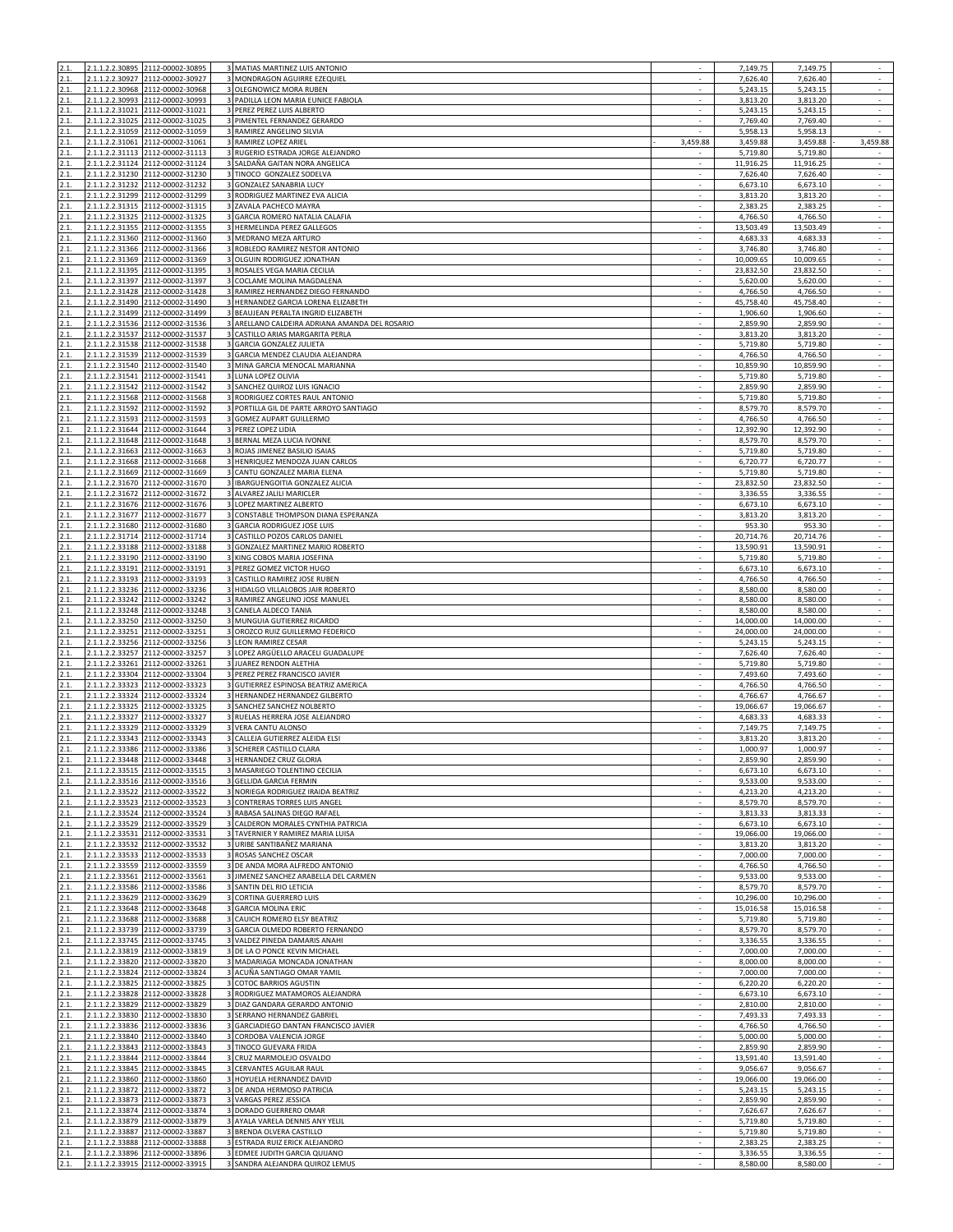| 2.1.         |                 | 2.1.1.2.2.30895 2112-00002-30895                                     | 3 MATIAS MARTINEZ LUIS ANTONIO                                                        |                          | 7,149.75               | 7,149.75               | $\sim$                                               |
|--------------|-----------------|----------------------------------------------------------------------|---------------------------------------------------------------------------------------|--------------------------|------------------------|------------------------|------------------------------------------------------|
| 2.1<br>2.1.  |                 | 2.1.1.2.2.30927 2112-00002-30927<br>2.1.1.2.2.30968 2112-00002-30968 | 3 MONDRAGON AGUIRRE EZEQUIEL<br>3 OLEGNOWICZ MORA RUBEN                               |                          | 7,626.40<br>5,243.15   | 7,626.40<br>5,243.15   | $\sim$                                               |
| 2.1.         |                 | 2.1.1.2.2.30993 2112-00002-30993                                     | 3 PADILLA LEON MARIA EUNICE FABIOLA                                                   | $\sim$                   | 3,813.20               | 3,813.20               | $\sim$                                               |
| 2.1.         |                 | 2.1.1.2.2.31021 2112-00002-31021                                     | 3 PEREZ PEREZ LUIS ALBERTO                                                            |                          | 5,243.15               | 5,243.15               | ÷.                                                   |
| 2.1.         |                 | 2.1.1.2.2.31025 2112-00002-31025                                     | 3 PIMENTEL FERNANDEZ GERARDO                                                          | $\sim$                   | 7,769.40               | 7,769.40               | $\epsilon$                                           |
| 2.1.         |                 | 2.1.1.2.2.31059 2112-00002-31059                                     | 3 RAMIREZ ANGELINO SILVIA                                                             |                          | 5,958.13               | 5,958.13               |                                                      |
| 2.1.<br>2.1. |                 | 2.1.1.2.2.31061 2112-00002-31061<br>2.1.1.2.2.31113 2112-00002-31113 | 3 RAMIREZ LOPEZ ARIEL<br>3 RUGERIO ESTRADA JORGE ALEJANDRO                            | 3,459.88                 | 3,459.88<br>5,719.80   | 3,459.88<br>5,719.80   | 3,459.88                                             |
| 2.1.         |                 | 2.1.1.2.2.31124 2112-00002-31124                                     | 3 SALDAÑA GAITAN NORA ANGELICA                                                        |                          | 11,916.25              | 11,916.25              | $\mathcal{L}_{\mathcal{A}}$                          |
| 2.1.         |                 | 2.1.1.2.2.31230 2112-00002-31230                                     | 3 TINOCO GONZALEZ SODELVA                                                             | $\sim$                   | 7,626.40               | 7,626.40               | $\overline{\phantom{a}}$                             |
| 2.1.         | 2.1.1.2.2.31232 | 2112-00002-31232                                                     | 3 GONZALEZ SANABRIA LUCY                                                              |                          | 6,673.10               | 6,673.10               | $\mathcal{L}$                                        |
| 2.1.<br>2.1. |                 | 2.1.1.2.2.31299 2112-00002-31299<br>2.1.1.2.2.31315 2112-00002-31315 | 3 RODRIGUEZ MARTINEZ EVA ALICIA<br>3 ZAVALA PACHECO MAYRA                             | $\sim$                   | 3,813.20<br>2,383.25   | 3,813.20<br>2,383.25   | $\epsilon$<br>$\overline{\phantom{a}}$               |
| 2.1.         |                 | 2.1.1.2.2.31325 2112-00002-31325                                     | 3 GARCIA ROMERO NATALIA CALAFIA                                                       | ×                        | 4,766.50               | 4,766.50               | $\sim$                                               |
| 2.1.         |                 | 2.1.1.2.2.31355 2112-00002-31355                                     | 3 HERMELINDA PEREZ GALLEGOS                                                           |                          | 13,503.49              | 13,503.49              | ÷.                                                   |
| 2.1.         |                 | 2.1.1.2.2.31360 2112-00002-31360                                     | 3 MEDRANO MEZA ARTURO                                                                 |                          | 4,683.33               | 4,683.33               | $\overline{\phantom{a}}$                             |
| 2.1.         |                 | 2.1.1.2.2.31366 2112-00002-31366                                     | 3 ROBLEDO RAMIREZ NESTOR ANTONIO                                                      | $\sim$                   | 3,746.80               | 3,746.80               | $\overline{\phantom{a}}$                             |
| 2.1.<br>2.1. |                 | 2.1.1.2.2.31369 2112-00002-31369<br>2.1.1.2.2.31395 2112-00002-31395 | 3 OLGUIN RODRIGUEZ JONATHAN<br>3 ROSALES VEGA MARIA CECILIA                           |                          | 10,009.65<br>23,832.50 | 10,009.65<br>23,832.50 | $\mathcal{L}$                                        |
| 2.1.         |                 | 2.1.1.2.2.31397 2112-00002-31397                                     | 3 COCLAME MOLINA MAGDALENA                                                            |                          | 5,620.00               | 5,620.00               | $\sim$                                               |
| 2.1.         |                 | 2.1.1.2.2.31428 2112-00002-31428                                     | 3 RAMIREZ HERNANDEZ DIEGO FERNANDO                                                    | $\sim$                   | 4,766.50               | 4,766.50               | $\sim$                                               |
| 2.1.         |                 | 2.1.1.2.2.31490 2112-00002-31490                                     | 3 HERNANDEZ GARCIA LORENA ELIZABETH                                                   |                          | 45,758.40              | 45,758.40              |                                                      |
| 2.1.         |                 | 2.1.1.2.2.31499 2112-00002-31499                                     | 3 BEAUJEAN PERALTA INGRID ELIZABETH<br>3 ARELLANO CALDEIRA ADRIANA AMANDA DEL ROSARIO | $\sim$                   | 1,906.60               | 1,906.60               | $\sim$<br>$\sim$                                     |
| 2.1.<br>2.1. |                 | 2.1.1.2.2.31536 2112-00002-31536<br>2.1.1.2.2.31537 2112-00002-31537 | 3 CASTILLO ARIAS MARGARITA PERLA                                                      | ×                        | 2,859.90<br>3,813.20   | 2,859.90<br>3,813.20   | $\sim$                                               |
| 2.1.         | 2.1.1.2.2.31538 | 2112-00002-31538                                                     | 3 GARCIA GONZALEZ JULIETA                                                             |                          | 5,719.80               | 5,719.80               |                                                      |
| 2.1.         |                 | 2.1.1.2.2.31539 2112-00002-31539                                     | 3 GARCIA MENDEZ CLAUDIA ALEJANDRA                                                     |                          | 4,766.50               | 4,766.50               | $\mathcal{L}_{\mathcal{A}}$                          |
| 2.1.         |                 | 2.1.1.2.2.31540 2112-00002-31540                                     | 3 MINA GARCIA MENOCAL MARIANNA                                                        | $\sim$                   | 10,859.90              | 10,859.90              | $\sim$                                               |
| 2.1.         |                 | 2.1.1.2.2.31541 2112-00002-31541                                     | 3 LUNA LOPEZ OLIVIA                                                                   |                          | 5,719.80               | 5,719.80               | ÷.                                                   |
| 2.1.<br>2.1. |                 | 2.1.1.2.2.31542 2112-00002-31542<br>2.1.1.2.2.31568 2112-00002-31568 | 3 SANCHEZ QUIROZ LUIS IGNACIO<br>3 RODRIGUEZ CORTES RAUL ANTONIO                      |                          | 2,859.90<br>5,719.80   | 2,859.90<br>5,719.80   | $\sim$<br>$\overline{\phantom{a}}$                   |
| 2.1.         |                 | 2.1.1.2.2.31592 2112-00002-31592                                     | 3 PORTILLA GIL DE PARTE ARROYO SANTIAGO                                               |                          | 8,579.70               | 8,579.70               | ÷.                                                   |
| 2.1.         |                 | 2.1.1.2.2.31593 2112-00002-31593                                     | 3 GOMEZ AUPART GUILLERMO                                                              |                          | 4,766.50               | 4,766.50               | $\sim$                                               |
| 2.1.         |                 | 2.1.1.2.2.31644 2112-00002-31644                                     | 3 PEREZ LOPEZ LIDIA                                                                   |                          | 12,392.90              | 12,392.90              | $\overline{\phantom{a}}$                             |
| 2.1.<br>2.1. |                 | 2.1.1.2.2.31648 2112-00002-31648<br>2.1.1.2.2.31663 2112-00002-31663 | 3 BERNAL MEZA LUCIA IVONNE<br>3 ROJAS JIMENEZ BASILIO ISAIAS                          | $\sim$                   | 8,579.70<br>5,719.80   | 8,579.70<br>5,719.80   | $\epsilon$<br>$\sim$                                 |
| 2.1.         |                 | 2.1.1.2.2.31668 2112-00002-31668                                     | 3 HENRIQUEZ MENDOZA JUAN CARLOS                                                       |                          | 6,720.77               | 6,720.77               | $\epsilon$                                           |
| 2.1.         |                 | 2.1.1.2.2.31669 2112-00002-31669                                     | 3 CANTU GONZALEZ MARIA ELENA                                                          |                          | 5,719.80               | 5,719.80               | $\sim$                                               |
| 2.1.         |                 | 2.1.1.2.2.31670 2112-00002-31670                                     | 3 IBARGUENGOITIA GONZALEZ ALICIA                                                      | ×                        | 23,832.50              | 23,832.50              | $\mathcal{L}$                                        |
| 2.1.         |                 | 2.1.1.2.2.31672 2112-00002-31672                                     | 3 ALVAREZ JALILI MARICLER                                                             |                          | 3,336.55               | 3,336.55               | $\sim$                                               |
| 2.1.         |                 | 2.1.1.2.2.31676 2112-00002-31676                                     | 3 LOPEZ MARTINEZ ALBERTO                                                              | $\sim$                   | 6,673.10               | 6,673.10               | $\overline{\phantom{a}}$                             |
| 2.1.<br>2.1. |                 | 2.1.1.2.2.31677 2112-00002-31677<br>2.1.1.2.2.31680 2112-00002-31680 | 3 CONSTABLE THOMPSON DIANA ESPERANZA<br>3 GARCIA RODRIGUEZ JOSE LUIS                  |                          | 3,813.20<br>953.30     | 3,813.20<br>953.30     | $\sim$<br>$\mathcal{L}$                              |
| 2.1.         |                 | 2.1.1.2.2.31714 2112-00002-31714                                     | CASTILLO POZOS CARLOS DANIEL                                                          |                          | 20,714.76              | 20,714.76              | $\sim$                                               |
| 2.1.         |                 | 2.1.1.2.2.33188 2112-00002-33188                                     | 3 GONZALEZ MARTINEZ MARIO ROBERTO                                                     |                          | 13,590.91              | 13,590.91              | $\sim$                                               |
| 2.1.         |                 | 2.1.1.2.2.33190 2112-00002-33190                                     | 3 KING COBOS MARIA JOSEFINA                                                           | $\sim$                   | 5,719.80               | 5,719.80               | $\sim$                                               |
| 2.1.         |                 | 2.1.1.2.2.33191 2112-00002-33191                                     | 3 PEREZ GOMEZ VICTOR HUGO                                                             |                          | 6,673.10               | 6,673.10               |                                                      |
| 2.1.<br>2.1. |                 | 2.1.1.2.2.33193 2112-00002-33193<br>2.1.1.2.2.33236 2112-00002-33236 | 3 CASTILLO RAMIREZ JOSE RUBEN<br>3 HIDALGO VILLALOBOS JAIR ROBERTO                    | $\sim$                   | 4,766.50<br>8,580.00   | 4,766.50<br>8,580.00   | $\overline{\phantom{a}}$<br>$\overline{\phantom{a}}$ |
| 2.1.         |                 | 2.1.1.2.2.33242 2112-00002-33242                                     | 3 RAMIREZ ANGELINO JOSE MANUEL                                                        |                          | 8,580.00               | 8,580.00               | ÷.                                                   |
| 2.1.         |                 | 2.1.1.2.2.33248 2112-00002-33248                                     | 3 CANELA ALDECO TANIA                                                                 |                          | 8,580.00               | 8,580.00               |                                                      |
| 2.1.         |                 | 2.1.1.2.2.33250 2112-00002-33250                                     | 3 MUNGUIA GUTIERREZ RICARDO                                                           |                          | 14,000.00              | 14,000.00              | $\sim$                                               |
| 2.1.         |                 | 2.1.1.2.2.33251 2112-00002-33251                                     | 3 OROZCO RUIZ GUILLERMO FEDERICO                                                      | $\overline{\phantom{a}}$ | 24,000.00              | 24,000.00              | $\sim$                                               |
| 2.1.<br>2.1. |                 | 2.1.1.2.2.33256 2112-00002-33256<br>2.1.1.2.2.33257 2112-00002-33257 | 3 LEON RAMIREZ CESAR<br>3 LOPEZ ARGÜELLO ARACELI GUADALUPE                            |                          | 5,243.15<br>7,626.40   | 5,243.15<br>7,626.40   | $\mathcal{L}$<br>$\mathcal{L}_{\mathcal{A}}$         |
| 2.1.         |                 | 2.1.1.2.2.33261 2112-00002-33261                                     | 3 JUAREZ RENDON ALETHIA                                                               | $\sim$                   | 5,719.80               | 5,719.80               | $\sim$                                               |
| 2.1.         |                 | 2.1.1.2.2.33304 2112-00002-33304                                     | 3 PEREZ PEREZ FRANCISCO JAVIER                                                        |                          | 7,493.60               | 7,493.60               | $\sim$                                               |
| 2.1.         |                 | 2.1.1.2.2.33323 2112-00002-33323                                     | 3 GUTIERREZ ESPINOSA BEATRIZ AMERICA                                                  |                          | 4,766.50               | 4,766.50               | $\sim$                                               |
| 2.1.         |                 | 2.1.1.2.2.33324 2112-00002-33324                                     | 3 HERNANDEZ HERNANDEZ GILBERTO                                                        |                          | 4,766.67               | 4,766.67               | $\mathcal{L}_{\mathcal{A}}$                          |
| 2.1.<br>2.1. |                 | 2.1.1.2.2.33325 2112-00002-33325<br>2.1.1.2.2.33327 2112-00002-33327 | 3 SANCHEZ SANCHEZ NOLBERTO<br>3 RUELAS HERRERA JOSE ALEJANDRO                         | $\sim$                   | 19,066.67<br>4,683.33  | 19,066.67<br>4,683.33  | $\epsilon$<br>$\mathcal{L}$                          |
| 2.1.         |                 | 2.1.1.2.2.33329 2112-00002-33329                                     | 3 VERA CANTU ALONSO                                                                   |                          | 7,149.75               | 7,149.75               | $\sim$                                               |
| 2.1.         |                 | 2.1.1.2.2.33343 2112-00002-33343                                     | 3 CALLEJA GUTIERREZ ALEIDA ELSI                                                       |                          | 3,813.20               | 3,813.20               |                                                      |
| 2.1.         |                 | 2.1.1.2.2.33386 2112-00002-33386                                     | 3 SCHERER CASTILLO CLARA                                                              | ÷.                       | 1,000.97               | 1,000.97               | $\sim$                                               |
| 21<br>2.1.   |                 | 2.1.1.2.2.33448 2112-00002-33448                                     | 3 HERNANDEZ CRUZ GLORI<br>3 MASARIEGO TOLENTINO CECILIA                               |                          | ,859.90<br>6,673.10    | 2,859.90<br>6,673.10   |                                                      |
| 2.1.         |                 | 2.1.1.2.2.33515 2112-00002-33515<br>2.1.1.2.2.33516 2112-00002-33516 | 3 GELLIDA GARCIA FERMIN                                                               | $\overline{\phantom{a}}$ | 9,533.00               | 9,533.00               | $\epsilon$                                           |
| 2.1.         |                 | 2.1.1.2.2.33522 2112-00002-33522                                     | 3 NORIEGA RODRIGUEZ IRAIDA BEATRIZ                                                    | ÷.                       | 4,213.20               | 4,213.20               | ÷.                                                   |
| 2.1.         |                 | 2.1.1.2.2.33523 2112-00002-33523                                     | 3 CONTRERAS TORRES LUIS ANGEL                                                         | $\overline{\phantom{a}}$ | 8,579.70               | 8,579.70               | $\sim$                                               |
| 2.1.         |                 | 2.1.1.2.2.33524 2112-00002-33524                                     | 3 RABASA SALINAS DIEGO RAFAEL                                                         |                          | 3,813.33               | 3,813.33               | $\overline{\phantom{a}}$                             |
| 2.1.<br>2.1. |                 | 2.1.1.2.2.33529 2112-00002-33529<br>2.1.1.2.2.33531 2112-00002-33531 | 3 CALDERON MORALES CYNTHIA PATRICIA<br>3 TAVERNIER Y RAMIREZ MARIA LUISA              | ÷.                       | 6,673.10<br>19,066.00  | 6,673.10<br>19,066.00  | $\sim$                                               |
| 2.1.         |                 | 2.1.1.2.2.33532 2112-00002-33532                                     | 3 URIBE SANTIBAÑEZ MARIANA                                                            |                          | 3,813.20               | 3,813.20               | $\sim$                                               |
| 2.1.         |                 | 2.1.1.2.2.33533 2112-00002-33533                                     | 3 ROSAS SANCHEZ OSCAR                                                                 | $\sim$                   | 7,000.00               | 7,000.00               | $\epsilon$                                           |
| 2.1.         |                 | 2.1.1.2.2.33559 2112-00002-33559                                     | 3 DE ANDA MORA ALFREDO ANTONIO                                                        |                          | 4,766.50               | 4,766.50               | $\mathcal{L}$                                        |
| 2.1.         |                 | 2.1.1.2.2.33561 2112-00002-33561<br>2.1.1.2.2.33586 2112-00002-33586 | 3 JIMENEZ SANCHEZ ARABELLA DEL CARMEN<br>3 SANTIN DEL RIO LETICIA                     |                          | 9,533.00<br>8,579.70   | 9,533.00<br>8,579.70   | $\overline{\phantom{a}}$                             |
| 2.1.<br>2.1. |                 | 2.1.1.2.2.33629 2112-00002-33629                                     | 3 CORTINA GUERRERO LUIS                                                               | $\sim$                   | 10,296.00              | 10,296.00              | $\sim$<br>$\sim$                                     |
| 2.1.         |                 | 2.1.1.2.2.33648 2112-00002-33648                                     | 3 GARCIA MOLINA ERIC                                                                  |                          | 15,016.58              | 15,016.58              |                                                      |
| 2.1.         |                 | 2.1.1.2.2.33688 2112-00002-33688                                     | 3 CAUICH ROMERO ELSY BEATRIZ                                                          |                          | 5,719.80               | 5,719.80               | $\sim$                                               |
| 2.1.         |                 | 2.1.1.2.2.33739 2112-00002-33739                                     | 3 GARCIA OLMEDO ROBERTO FERNANDO                                                      | $\sim$<br>÷.             | 8,579.70               | 8,579.70               | $\epsilon$<br>$\sim$                                 |
| 2.1.<br>2.1. |                 | 2.1.1.2.2.33745 2112-00002-33745<br>2.1.1.2.2.33819 2112-00002-33819 | 3 VALDEZ PINEDA DAMARIS ANAHI<br>3 DE LA O PONCE KEVIN MICHAEL                        |                          | 3,336.55<br>7,000.00   | 3,336.55<br>7,000.00   | $\sim$                                               |
| 2.1.         |                 | 2.1.1.2.2.33820 2112-00002-33820                                     | 3 MADARIAGA MONCADA JONATHAN                                                          |                          | 8,000.00               | 8,000.00               | $\sim$                                               |
| 2.1.         |                 | 2.1.1.2.2.33824 2112-00002-33824                                     | 3 ACUÑA SANTIAGO OMAR YAMIL                                                           | $\overline{\phantom{a}}$ | 7,000.00               | 7,000.00               | $\sim$                                               |
| 2.1.         |                 | 2.1.1.2.2.33825 2112-00002-33825                                     | 3 COTOC BARRIOS AGUSTIN                                                               |                          | 6,220.20               | 6,220.20               | ÷.                                                   |
| 2.1.<br>2.1. |                 | 2.1.1.2.2.33828 2112-00002-33828<br>2.1.1.2.2.33829 2112-00002-33829 | 3 RODRIGUEZ MATAMOROS ALEJANDRA<br>3 DIAZ GANDARA GERARDO ANTONIO                     | $\overline{\phantom{a}}$ | 6,673.10<br>2,810.00   | 6,673.10<br>2,810.00   | $\sim$<br>$\overline{\phantom{a}}$                   |
| 2.1.         |                 | 2.1.1.2.2.33830 2112-00002-33830                                     | 3 SERRANO HERNANDEZ GABRIEL                                                           | ÷.                       | 7,493.33               | 7,493.33               | $\sim$                                               |
| 2.1.         |                 | 2.1.1.2.2.33836 2112-00002-33836                                     | 3 GARCIADIEGO DANTAN FRANCISCO JAVIER                                                 |                          | 4,766.50               | 4,766.50               | ÷.                                                   |
| 2.1.         |                 | 2.1.1.2.2.33840 2112-00002-33840                                     | 3 CORDOBA VALENCIA JORGE                                                              |                          | 5,000.00               | 5,000.00               | $\overline{\phantom{a}}$                             |
| 2.1.         |                 | 2.1.1.2.2.33843 2112-00002-33843                                     | 3 TINOCO GUEVARA FRIDA                                                                | $\sim$                   | 2,859.90               | 2,859.90               | $\sim$                                               |
| 2.1.<br>2.1. |                 | 2.1.1.2.2.33844 2112-00002-33844<br>2.1.1.2.2.33845 2112-00002-33845 | 3 CRUZ MARMOLEJO OSVALDO<br>3 CERVANTES AGUILAR RAUL                                  | $\sim$                   | 13,591.40<br>9,056.67  | 13,591.40<br>9,056.67  | $\mathcal{L}$<br>$\sim$                              |
| 2.1.         |                 | 2.1.1.2.2.33860 2112-00002-33860                                     | 3 HOYUELA HERNANDEZ DAVID                                                             |                          | 19,066.00              | 19,066.00              | $\sim$                                               |
| 2.1.         |                 | 2.1.1.2.2.33872 2112-00002-33872                                     | 3 DE ANDA HERMOSO PATRICIA                                                            | ×                        | 5,243.15               | 5,243.15               | $\sim$                                               |
| 2.1.         |                 | 2.1.1.2.2.33873 2112-00002-33873                                     | 3 VARGAS PEREZ JESSICA                                                                |                          | 2,859.90               | 2,859.90               | $\sim$                                               |
| 2.1.         |                 | 2.1.1.2.2.33874 2112-00002-33874                                     | 3 DORADO GUERRERO OMAR<br>3 AYALA VARELA DENNIS ANY YELIL                             | $\sim$                   | 7,626.67               | 7,626.67               | $\overline{\phantom{a}}$                             |
| 2.1.<br>2.1. |                 | 2.1.1.2.2.33879 2112-00002-33879<br>2.1.1.2.2.33887 2112-00002-33887 | 3 BRENDA OLVERA CASTILLO                                                              |                          | 5,719.80<br>5,719.80   | 5,719.80<br>5,719.80   | $\sim$<br>$\mathcal{L}$                              |
| 2.1.         | 2.1.1.2.2.33888 | 2112-00002-33888                                                     | 3 ESTRADA RUIZ ERICK ALEJANDRO                                                        |                          | 2,383.25               | 2,383.25               | $\overline{\phantom{a}}$                             |
| 2.1.         |                 | 2.1.1.2.2.33896 2112-00002-33896                                     | 3 EDMEE JUDITH GARCIA QUIJANO                                                         |                          | 3,336.55               | 3,336.55               | $\sim$                                               |
| 2.1.         |                 | 2.1.1.2.2.33915 2112-00002-33915                                     | 3 SANDRA ALEJANDRA QUIROZ LEMUS                                                       | $\overline{\phantom{a}}$ | 8,580.00               | 8,580.00               | $\sim$                                               |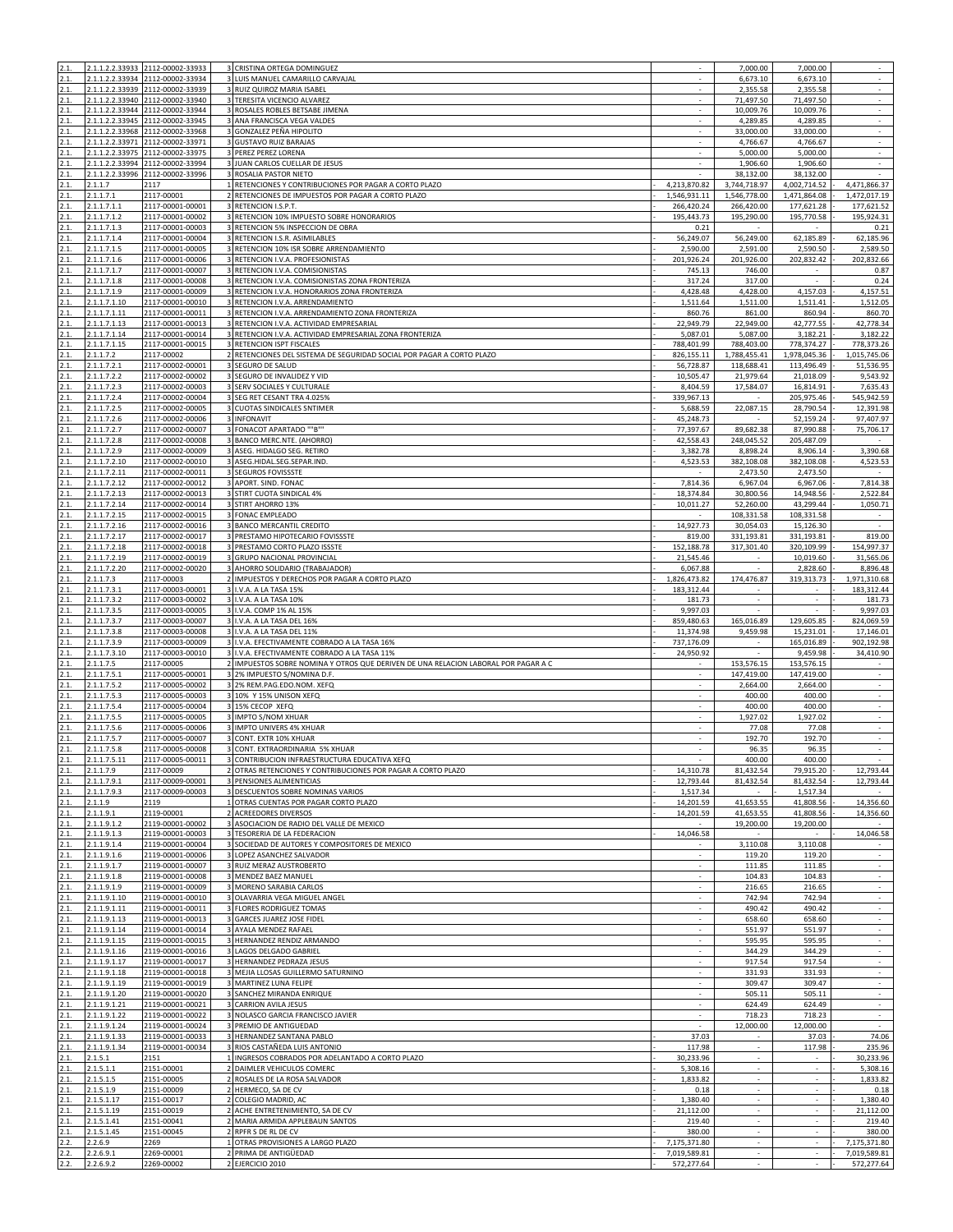| 2.1.         |                              | 2.1.1.2.2.33933 2112-00002-33933                                   | 3 CRISTINA ORTEGA DOMINGUEZ                                                                                   |                                | 7,000.00                   | 7,000.00                 | $\sim$                     |
|--------------|------------------------------|--------------------------------------------------------------------|---------------------------------------------------------------------------------------------------------------|--------------------------------|----------------------------|--------------------------|----------------------------|
| 2.1.         |                              | 1.1.2.2.33934 2112-00002-33934<br>2.1.1.2.2.33939 2112-00002-33939 | LUIS MANUEL CAMARILLO CARVAJAL<br>3 RUIZ QUIROZ MARIA ISABEL                                                  |                                | 6,673.10<br>2,355.58       | 6,673.10                 |                            |
| 2.1.         |                              | 2.1.1.2.2.33940 2112-00002-33940                                   | 3 TERESITA VICENCIO ALVAREZ                                                                                   | $\ddot{\phantom{1}}$<br>$\sim$ | 71,497.50                  | 2,355.58<br>71,497.50    | $\bar{\gamma}$<br>$\sim$   |
| 2.1.         |                              | 2.1.1.2.2.33944 2112-00002-33944                                   | 3 ROSALES ROBLES BETSABE JIMENA                                                                               |                                | 10,009.76                  | 10,009.76                | $\sim$                     |
| 2.1.         |                              | 2.1.1.2.2.33945 2112-00002-33945                                   | 3 ANA FRANCISCA VEGA VALDES                                                                                   | ×                              | 4,289.85                   | 4,289.85                 | $\mathbb{Z}^2$             |
| 2.1.         |                              | 2.1.1.2.2.33968 2112-00002-33968                                   | 3 GONZALEZ PEÑA HIPOLITO                                                                                      |                                | 33,000.00                  | 33,000.00                | $\epsilon$<br>$\sim$       |
| 2.1.<br>2.1. | 2.1.1.2.2.33975              | 2.1.1.2.2.33971 2112-00002-33971<br>2112-00002-33975               | 3 GUSTAVO RUIZ BARAJAS<br>3 PEREZ PEREZ LORENA                                                                |                                | 4,766.67<br>5,000.00       | 4,766.67<br>5,000.00     | $\sim$                     |
| 2.1.         |                              | 2.1.1.2.2.33994 2112-00002-33994                                   | 3 JUAN CARLOS CUELLAR DE JESUS                                                                                |                                | 1.906.60                   | 1,906.60                 | ÷,                         |
| 2.1.         |                              | 2.1.1.2.2.33996 2112-00002-33996                                   | 3 ROSALIA PASTOR NIETO                                                                                        |                                | 38,132.00                  | 38,132.00                | $\sim$                     |
| 2.1.         | 2.1.1.7                      | 2117                                                               | 1 RETENCIONES Y CONTRIBUCIONES POR PAGAR A CORTO PLAZO                                                        | 4,213,870.82                   | 3,744,718.97               | 4,002,714.52             | 4,471,866.37               |
| 2.1.<br>2.1. | 2.1.1.7.1                    | 2117-00001<br>2117-00001-00001                                     | 2 RETENCIONES DE IMPUESTOS POR PAGAR A CORTO PLAZO<br>3 RETENCION I.S.P.T.                                    | 1,546,931.11<br>266,420.24     | 1,546,778.00<br>266,420.00 | 1,471,864.08             | 1,472,017.19<br>177,621.52 |
| 2.1.         | 2.1.1.7.1.1<br>2.1.1.7.1.2   | 2117-00001-00002                                                   | 3 RETENCION 10% IMPUESTO SOBRE HONORARIOS                                                                     | 195,443.73                     | 195,290.00                 | 177,621.28<br>195,770.58 | 195,924.31                 |
| 2.1.         | 2.1.1.7.1.3                  | 2117-00001-00003                                                   | 3 RETENCION 5% INSPECCION DE OBRA                                                                             | 0.21                           |                            |                          | 0.21                       |
| 2.1.         | 2.1.1.7.1.4                  | 2117-00001-00004                                                   | 3 RETENCION I.S.R. ASIMILABLES                                                                                | 56,249.07                      | 56.249.00                  | 62,185.89                | 62,185.96                  |
| 2.1.         | 2.1.1.7.1.5                  | 2117-00001-00005                                                   | 3 RETENCION 10% ISR SOBRE ARRENDAMIENTO                                                                       | 2,590.00                       | 2,591.00                   | 2,590.50                 | 2,589.50                   |
| 2.1.<br>2.1. | 2.1.1.7.1.6<br>2.1.1.7.1.7   | 2117-00001-00006<br>2117-00001-00007                               | 3 RETENCION I.V.A. PROFESIONISTAS<br>3 RETENCION I.V.A. COMISIONISTAS                                         | 201,926.24<br>745.13           | 201,926.00<br>746.00       | 202,832.42               | 202,832.66<br>0.87         |
| 2.1.         | 2.1.1.7.1.8                  | 2117-00001-00008                                                   | 3 RETENCION I.V.A. COMISIONISTAS ZONA FRONTERIZA                                                              | 317.24                         | 317.00                     |                          | 0.24                       |
| 2.1.         | 2.1.1.7.1.9                  | 2117-00001-00009                                                   | 3 RETENCION I.V.A. HONORARIOS ZONA FRONTERIZA                                                                 | 4,428.48                       | 4,428.00                   | 4,157.03                 | 4,157.51                   |
| 2.1.         | 2.1.1.7.1.10                 | 2117-00001-00010                                                   | 3 RETENCION I.V.A. ARRENDAMIENTO                                                                              | 1,511.64                       | 1,511.00                   | 1,511.41                 | 1,512.05                   |
| 2.1.         | 2.1.1.7.1.11                 | 2117-00001-00011                                                   | 3 RETENCION I.V.A. ARRENDAMIENTO ZONA FRONTERIZA                                                              | 860.76                         | 861.00                     | 860.94                   | 860.70                     |
| 2.1.<br>2.1. | 2.1.1.7.1.13<br>2.1.1.7.1.14 | 2117-00001-00013<br>2117-00001-00014                               | 3 RETENCION I.V.A. ACTIVIDAD EMPRESARIAL<br>3 RETENCION I.V.A. ACTIVIDAD EMPRESARIAL ZONA FRONTERIZA          | 22,949.79<br>5,087.01          | 22,949.00<br>5,087.00      | 42,777.55<br>3,182.21    | 42,778.34<br>3,182.22      |
| 2.1.         | 2.1.1.7.1.15                 | 2117-00001-00015                                                   | RETENCION ISPT FISCALES                                                                                       | 788,401.99                     | 788,403.00                 | 778,374.27               | 778,373.26                 |
| 2.1.         | 2.1.1.7.2                    | 2117-00002                                                         | 2 RETENCIONES DEL SISTEMA DE SEGURIDAD SOCIAL POR PAGAR A CORTO PLAZO                                         | 826,155.11                     | 1,788,455.41               | 1,978,045.36             | 1,015,745.06               |
| 2.1.         | 2.1.1.7.2.1                  | 2117-00002-00001                                                   | 3 SEGURO DE SALUD                                                                                             | 56,728.87                      | 118,688.41                 | 113,496.49               | 51,536.95                  |
| 2.1.         | 2.1.1.7.2.2                  | 2117-00002-00002                                                   | 3 SEGURO DE INVALIDEZ Y VID                                                                                   | 10,505.47                      | 21,979.64                  | 21,018.09                | 9,543.92                   |
| 2.1.         | 2.1.1.7.2.3                  | 2117-00002-00003                                                   | 3 SERV SOCIALES Y CULTURALE                                                                                   | 8.404.59                       | 17,584.07                  | 16,814.91                | 7.635.43                   |
| 2.1.<br>2.1. | 2.1.1.7.2.4<br>2.1.1.7.2.5   | 2117-00002-00004<br>2117-00002-00005                               | 3 SEG RET CESANT TRA 4.025%<br>3 CUOTAS SINDICALES SNTIMER                                                    | 339,967.13<br>5,688.59         | 22,087.15                  | 205,975.46<br>28,790.54  | 545,942.59<br>12,391.98    |
| 2.1.         | 2.1.1.7.2.6                  | 2117-00002-00006                                                   | 3 INFONAVIT                                                                                                   | 45,248.73                      |                            | 52,159.24                | 97,407.97                  |
| 2.1.         | 2.1.1.7.2.7                  | 2117-00002-00007                                                   | 3 FONACOT APARTADO ""B""                                                                                      | 77,397.67                      | 89,682.38                  | 87,990.88                | 75,706.17                  |
| 2.1.         | 2.1.1.7.2.8                  | 2117-00002-00008                                                   | 3 BANCO MERC.NTE. (AHORRO)                                                                                    | 42,558.43                      | 248,045.52                 | 205,487.09               |                            |
| 2.1.         | 2.1.1.7.2.9                  | 2117-00002-00009                                                   | 3 ASEG. HIDALGO SEG. RETIRO                                                                                   | 3,382.78                       | 8,898.24                   | 8,906.14                 | 3,390.68                   |
| 2.1.<br>2.1. | 2.1.1.7.2.10<br>2.1.1.7.2.11 | 2117-00002-00010<br>2117-00002-00011                               | 3 ASEG.HIDAL.SEG.SEPAR.IND.<br>3 SEGUROS FOVISSSTE                                                            | 4,523.53                       | 382,108.08<br>2,473.50     | 382,108.08<br>2,473.50   | 4,523.53                   |
| 2.1.         | 2.1.1.7.2.12                 | 2117-00002-00012                                                   | 3 APORT. SIND. FONAC                                                                                          | 7,814.36                       | 6,967.04                   | 6,967.06                 | 7,814.38                   |
| 2.1.         | 2.1.1.7.2.13                 | 2117-00002-00013                                                   | 3 STIRT CUOTA SINDICAL 4%                                                                                     | 18,374.84                      | 30,800.56                  | 14,948.56                | 2,522.84                   |
| 2.1.         | 2.1.1.7.2.14                 | 2117-00002-00014                                                   | 3 STIRT AHORRO 13%                                                                                            | 10,011.27                      | 52,260.00                  | 43,299.44                | 1,050.71                   |
| 2.1.         | 2.1.1.7.2.15                 | 2117-00002-00015                                                   | 3 FONAC EMPLEADO                                                                                              |                                | 108,331.58                 | 108,331.58               | $\sim$                     |
| 2.1.<br>2.1. | 2.1.1.7.2.16<br>2.1.1.7.2.17 | 2117-00002-00016<br>2117-00002-00017                               | 3 BANCO MERCANTIL CREDITO<br>PRESTAMO HIPOTECARIO FOVISSSTE                                                   | 14,927.73<br>819.00            | 30,054.03<br>331,193.81    | 15,126.30<br>331,193.81  | 819.00                     |
| 2.1.         | 2.1.1.7.2.18                 | 2117-00002-00018                                                   | 3 PRESTAMO CORTO PLAZO ISSSTE                                                                                 | 152,188.78                     | 317,301.40                 | 320,109.99               | 154,997.37                 |
| 2.1.         | 2.1.1.7.2.19                 | 2117-00002-00019                                                   | 3 GRUPO NACIONAL PROVINCIAL                                                                                   | 21,545.46                      |                            | 10,019.60                | 31,565.06                  |
| 2.1.         | 2.1.1.7.2.20                 | 2117-00002-00020                                                   | 3 AHORRO SOLIDARIO (TRABAJADOR)                                                                               | 6,067.88                       |                            | 2,828.60                 | 8,896.48                   |
| 2.1.         | 2.1.1.7.3                    | 2117-00003                                                         | 2 IMPUESTOS Y DERECHOS POR PAGAR A CORTO PLAZO                                                                | 1,826,473.82                   | 174,476.87                 | 319,313.73               | 1,971,310.68               |
| 2.1.<br>2.1. | 2.1.1.7.3.1<br>2.1.1.7.3.2   | 2117-00003-00001<br>2117-00003-00002                               | 3 I.V.A. A LA TASA 15%<br>3 I.V.A. A LA TASA 10%                                                              | 183,312.44<br>181.73           | ÷.                         | $\blacksquare$<br>×.     | 183,312.44<br>181.73       |
| 2.1.         | 2.1.1.7.3.5                  | 2117-00003-00005                                                   | 3 I.V.A. COMP 1% AL 15%                                                                                       | 9,997.03                       |                            |                          | 9,997.03                   |
| 2.1.         | 2.1.1.7.3.7                  | 2117-00003-00007                                                   | 3 I.V.A. A LA TASA DEL 16%                                                                                    | 859,480.63                     | 165,016.89                 | 129,605.85               | 824,069.59                 |
| 2.1.         | 2.1.1.7.3.8                  | 2117-00003-00008                                                   | 3 I.V.A. A LA TASA DEL 11%                                                                                    | 11,374.98                      | 9,459.98                   | 15,231.01                | 17,146.01                  |
| 2.1.<br>2.1. | 2.1.1.7.3.9<br>2.1.1.7.3.10  | 2117-00003-00009<br>2117-00003-00010                               | 3 I.V.A. EFECTIVAMENTE COBRADO A LA TASA 16%<br>3 I.V.A. EFECTIVAMENTE COBRADO A LA TASA 11%                  | 737,176.09<br>24,950.92        |                            | 165,016.89<br>9,459.98   | 902,192.98<br>34,410.90    |
| 2.1.         | 2.1.1.7.5                    | 2117-00005                                                         | 2 IMPUESTOS SOBRE NOMINA Y OTROS QUE DERIVEN DE UNA RELACION LABORAL POR PAGAR A C                            |                                | 153,576.15                 | 153,576.15               | $\sim$                     |
| 2.1.         | 2.1.1.7.5.1                  | 2117-00005-00001                                                   | 3 2% IMPUESTO S/NOMINA D.F.                                                                                   | ×                              | 147.419.00                 | 147,419.00               | $\epsilon$                 |
| 2.1.         | 2.1.1.7.5.2                  | 2117-00005-00002                                                   | 3 2% REM.PAG.EDO.NOM. XEFQ                                                                                    |                                | 2,664.00                   | 2,664.00                 | $\sim$                     |
| 2.1.         | 2.1.1.7.5.3                  | 2117-00005-00003                                                   | 3 10% Y 15% UNISON XEFQ                                                                                       |                                | 400.00                     | 400.00                   | ÷,                         |
| 2.1.<br>2.1. | 2.1.1.7.5.4<br>2.1.1.7.5.5   | 2117-00005-00004<br>2117-00005-00005                               | 3 15% CECOP XEFQ<br>3 IMPTO S/NOM XHUAR                                                                       | $\sim$                         | 400.00<br>1,927.02         | 400.00<br>1,927.02       | $\epsilon$<br>$\sim$       |
| 2.1.         | 2.1.1.7.5.6                  | 2117-00005-00006                                                   | 3 IMPTO UNIVERS 4% XHUAR                                                                                      |                                | 77.08                      | 77.08                    | $\sim$                     |
| 2.1.         | 2.1.1.7.5.7                  | 2117-00005-00007                                                   | 3 CONT. EXTR 10% XHUAR                                                                                        |                                | 192.70                     | 192.70                   |                            |
| 2.1.         | 2.1.1.7.5.8                  | 2117-00005-00008                                                   | 3 CONT. EXTRAORDINARIA 5% XHUAR                                                                               | ×                              | 96.35                      | 96.35                    | $\mathcal{L}$              |
| 21<br>2.1.   | 2.1.1.7.5.11<br>2.1.1.7.9    | 2117-00005-00011<br>2117-00009                                     | 3 CONTRIBUCION INFRAESTRUCTURA EDUCATIVA XEFQ<br>2 OTRAS RETENCIONES Y CONTRIBUCIONES POR PAGAR A CORTO PLAZO | 14,310.78                      | 100.00<br>81,432.54        | 100.00<br>79.915.20      | 12.793.44                  |
| 2.1.         | 2.1.1.7.9.1                  | 2117-00009-00001                                                   | 3 PENSIONES ALIMENTICIAS                                                                                      | 12,793.44                      | 81,432.54                  | 81,432.54                | 12,793.44                  |
| 2.1.         | 2.1.1.7.9.3                  | 2117-00009-00003                                                   | 3 DESCUENTOS SOBRE NOMINAS VARIOS                                                                             | 1,517.34                       |                            | 1,517.34                 |                            |
| 2.1.         | 2.1.1.9                      | 2119                                                               | OTRAS CUENTAS POR PAGAR CORTO PLAZO                                                                           | 14,201.59                      | 41,653.55                  | 41,808.56                | 14,356.60                  |
| 2.1.         | 2.1.1.9.1                    | 2119-00001                                                         | <b>ACREEDORES DIVERSOS</b><br>$\overline{2}$                                                                  | 14,201.59                      | 41,653.55                  | 41,808.56                | 14,356.60                  |
| 2.1.<br>2.1. | 2.1.1.9.1.2<br>2.1.1.9.1.3   | 2119-00001-00002<br>2119-00001-00003                               | 3 ASOCIACION DE RADIO DEL VALLE DE MEXICO<br>3 TESORERIA DE LA FEDERACION                                     | 14,046.58                      | 19,200.00                  | 19,200.00                | 14,046.58                  |
| 2.1.         | 2.1.1.9.1.4                  | 2119-00001-00004                                                   | 3 SOCIEDAD DE AUTORES Y COMPOSITORES DE MEXICO                                                                |                                | 3,110.08                   | 3,110.08                 |                            |
| 2.1.         | 2.1.1.9.1.6                  | 2119-00001-00006                                                   | 3 LOPEZ ASANCHEZ SALVADOR                                                                                     | $\sim$                         | 119.20                     | 119.20                   | $\sim$                     |
| 2.1.         | 2.1.1.9.1.7                  | 2119-00001-00007                                                   | 3 RUIZ MERAZ AUSTROBERTO                                                                                      |                                | 111.85                     | 111.85                   |                            |
| 2.1.<br>2.1. | 2.1.1.9.1.8<br>2.1.1.9.1.9   | 2119-00001-00008<br>2119-00001-00009                               | MENDEZ BAEZ MANUEL<br>MORENO SARABIA CARLOS<br>$\overline{3}$                                                 |                                | 104.83<br>216.65           | 104.83<br>216.65         |                            |
| 2.1.         | 2.1.1.9.1.10                 | 2119-00001-00010                                                   | 3 OLAVARRIA VEGA MIGUEL ANGEL                                                                                 | ×                              | 742.94                     | 742.94                   | $\sim$                     |
| 2.1.         | 2.1.1.9.1.11                 | 2119-00001-00011                                                   | 3 FLORES RODRIGUEZ TOMAS                                                                                      |                                | 490.42                     | 490.42                   |                            |
| 2.1.         | 2.1.1.9.1.13                 | 2119-00001-00013                                                   | 3 GARCES JUAREZ JOSE FIDEL                                                                                    |                                | 658.60                     | 658.60                   | $\sim$                     |
| 2.1.         | 2.1.1.9.1.14                 | 2119-00001-00014                                                   | 3 AYALA MENDEZ RAFAEL                                                                                         | $\sim$<br>×                    | 551.97                     | 551.97                   | $\epsilon$<br>$\sim$       |
| 2.1.<br>2.1. | 2.1.1.9.1.15<br>2.1.1.9.1.16 | 2119-00001-00015<br>2119-00001-00016                               | 3 HERNANDEZ RENDIZ ARMANDO<br>3 LAGOS DELGADO GABRIEL                                                         |                                | 595.95<br>344.29           | 595.95<br>344.29         |                            |
| 2.1.         | 2.1.1.9.1.17                 | 2119-00001-00017                                                   | 3 HERNANDEZ PEDRAZA JESUS                                                                                     |                                | 917.54                     | 917.54                   | $\overline{\phantom{a}}$   |
| 2.1.         | 2.1.1.9.1.18                 | 2119-00001-00018                                                   | 3 MEJIA LLOSAS GUILLERMO SATURNINO                                                                            | $\sim$                         | 331.93                     | 331.93                   | $\epsilon$                 |
| 2.1.         | 2.1.1.9.1.19                 | 2119-00001-00019                                                   | 3 MARTINEZ LUNA FELIPE                                                                                        |                                | 309.47                     | 309.47                   |                            |
| 2.1.<br>2.1. | 2.1.1.9.1.20<br>2.1.1.9.1.21 | 2119-00001-00020<br>2119-00001-00021                               | 3 SANCHEZ MIRANDA ENRIQUE<br>3 CARRION AVILA JESUS                                                            | $\overline{\phantom{a}}$       | 505.11<br>624.49           | 505.11<br>624.49         | $\sim$                     |
| 2.1.         | 2.1.1.9.1.22                 | 2119-00001-00022                                                   | 3 NOLASCO GARCIA FRANCISCO JAVIER                                                                             | ×                              | 718.23                     | 718.23                   | $\sim$<br>$\epsilon$       |
| 2.1.         | 2.1.1.9.1.24                 | 2119-00001-00024                                                   | 3 PREMIO DE ANTIGUEDAD                                                                                        |                                | 12,000.00                  | 12,000.00                |                            |
| 2.1.         | 2.1.1.9.1.33                 | 2119-00001-00033                                                   | 3 HERNANDEZ SANTANA PABLO                                                                                     | 37.03                          |                            | 37.03                    | 74.06                      |
| 2.1.         | 2.1.1.9.1.34                 | 2119-00001-00034                                                   | 3 RIOS CASTAÑEDA LUIS ANTONIO                                                                                 | 117.98                         | $\sim$                     | 117.98                   | 235.96                     |
| 2.1.<br>2.1. | 2.1.5.1<br>2.1.5.1.1         | 2151<br>2151-00001                                                 | 1 INGRESOS COBRADOS POR ADELANTADO A CORTO PLAZO<br>2 DAIMLER VEHICULOS COMERC                                | 30,233.96<br>5,308.16          | $\omega$<br>$\sim$         | $\sim$                   | 30,233.96<br>5,308.16      |
| 2.1.         | 2.1.5.1.5                    | 2151-00005                                                         | ROSALES DE LA ROSA SALVADOR                                                                                   | 1,833.82                       |                            |                          | 1,833.82                   |
| 2.1.         | 2.1.5.1.9                    | 2151-00009                                                         | 2 HERMECO, SA DE CV                                                                                           | 0.18                           | ×.                         | $\sim$                   | 0.18                       |
| 2.1.         | 2.1.5.1.17                   | 2151-00017                                                         | 2 COLEGIO MADRID, AC                                                                                          | 1,380.40                       |                            | ÷.                       | 1,380.40                   |
| 2.1.         | 2.1.5.1.19                   | 2151-00019                                                         | 2 ACHE ENTRETENIMIENTO, SA DE CV                                                                              | 21,112.00                      | $\sim$                     | $\sim$                   | 21,112.00                  |
| 2.1.<br>2.1. | 2.1.5.1.41<br>2.1.5.1.45     | 2151-00041<br>2151-00045                                           | 2 MARIA ARMIDA APPLEBAUN SANTOS<br>2 RPFR S DE RL DE CV                                                       | 219.40<br>380.00               |                            |                          | 219.40<br>380.00           |
| 2.2.         | 2.2.6.9                      | 2269                                                               | OTRAS PROVISIONES A LARGO PLAZO                                                                               | 7,175,371.80                   |                            |                          | 7,175,371.80               |
| 2.2.         | 2.2.6.9.1                    | 2269-00001                                                         | PRIMA DE ANTIGÜEDAD                                                                                           | 7,019,589.81                   | ٠                          |                          | 7,019,589.81               |
| 2.2.         | 2.2.6.9.2                    | 2269-00002                                                         | 2 EJERCICIO 2010                                                                                              | 572,277.64                     | $\sim$                     | $\sim$                   | 572,277.64                 |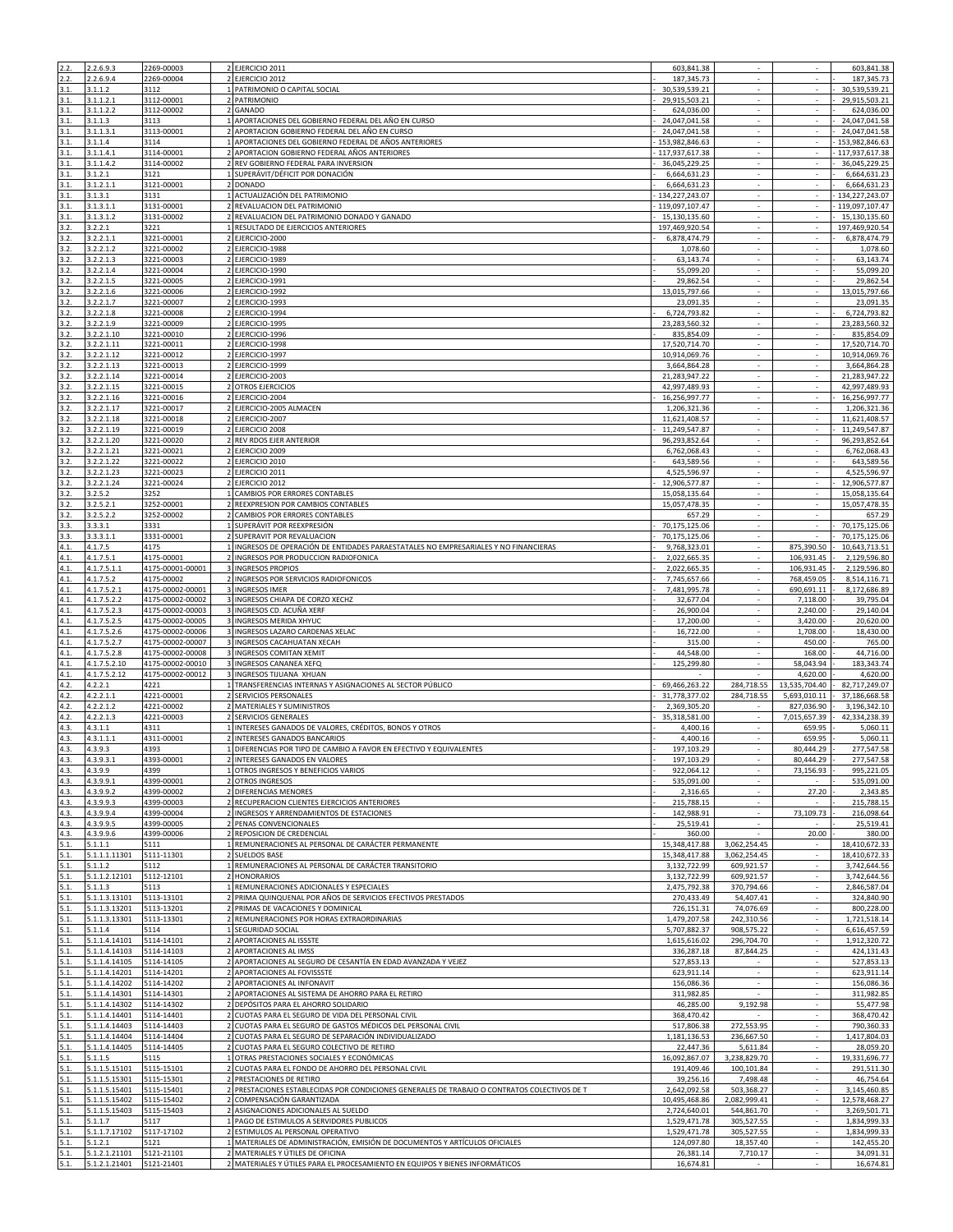| 2.2.         |                                | 2269-00003               |                                                                                                                  | 603,841.38                   |                          |                | 603,841.38                                                                      |
|--------------|--------------------------------|--------------------------|------------------------------------------------------------------------------------------------------------------|------------------------------|--------------------------|----------------|---------------------------------------------------------------------------------|
|              | 2.2.6.9.3                      |                          | 2 EJERCICIO 2011                                                                                                 |                              |                          |                |                                                                                 |
| 2.2.         | 2.2.6.9.4                      | 2269-00004               | 2 EJERCICIO 2012                                                                                                 | 187, 345. 73                 |                          |                | 187, 345.73                                                                     |
| 3.1.         | 3.1.1.2                        | 3112                     | 1 PATRIMONIO O CAPITAL SOCIAL                                                                                    | 30,539,539.21                | ÷.                       | ÷.             | 30,539,539.21                                                                   |
| 3.1.         | 3.1.1.2.1                      | 3112-00001               | 2 PATRIMONIO                                                                                                     | 29,915,503.21                | ÷.                       | ÷.             | 29,915,503.21                                                                   |
| 3.1.         | 3.1.1.2.2                      | 3112-00002               | 2 GANADO                                                                                                         | 624,036.00                   | ÷.                       | $\sim$         | 624,036.00                                                                      |
| 3.1.         | 3.1.1.3                        | 3113                     | 1 APORTACIONES DEL GOBIERNO FEDERAL DEL AÑO EN CURSO                                                             | 24,047,041.58                |                          |                | 24,047,041.58                                                                   |
| 3.1.         | 3.1.1.3.1                      | 3113-00001               | 2 APORTACION GOBIERNO FEDERAL DEL AÑO EN CURSO                                                                   | 24,047,041.58                | ×                        | $\sim$         | 24,047,041.58                                                                   |
| 3.1.         | 3.1.1.4                        | 3114                     | APORTACIONES DEL GOBIERNO FEDERAL DE AÑOS ANTERIORES                                                             | 153,982,846.63               |                          |                | 153,982,846.63                                                                  |
| 3.1.         | 3.1.1.4.1                      | 3114-00001               | APORTACION GOBIERNO FEDERAL AÑOS ANTERIORES                                                                      | 117,937,617.38               |                          |                | 117,937,617.38                                                                  |
| 3.1.         | 3.1.1.4.2                      | 3114-00002               | REV GOBIERNO FEDERAL PARA INVERSION<br>$\overline{2}$                                                            | 36,045,229.25                | $\sim$                   | $\sim$         | 36,045,229.25                                                                   |
| 3.1.         | 3.1.2.1                        | 3121                     | 1 SUPERÁVIT/DÉFICIT POR DONACIÓN                                                                                 | 6,664,631.23                 | $\omega$                 | ×.             | 6,664,631.23                                                                    |
| 3.1.         | 3.1.2.1.1                      | 3121-00001               | $\overline{2}$<br><b>DONADO</b>                                                                                  | 6,664,631.23                 | $\sim$                   | $\sim$         | 6,664,631.23                                                                    |
| 3.1.         | 3.1.3.1                        | 3131                     | ACTUALIZACIÓN DEL PATRIMONIO                                                                                     | 134,227,243.07               | ٠                        |                | 134,227,243.07                                                                  |
| 3.1.         | 3.1.3.1.1                      | 3131-00001               | 2 REVALUACION DEL PATRIMONIO                                                                                     | 119,097,107.47               | $\sim$                   | $\sim$         | 119,097,107.47                                                                  |
| 3.1.         | 3.1.3.1.2                      | 3131-00002               | 2 REVALUACION DEL PATRIMONIO DONADO Y GANADO                                                                     | 15,130,135.60                |                          |                | 15,130,135.60                                                                   |
| 3.2.         | 3.2.2.1                        | 3221                     | 1 RESULTADO DE EJERCICIOS ANTERIORES                                                                             | 197,469,920.54               |                          |                | 197,469,920.54                                                                  |
|              |                                |                          |                                                                                                                  |                              | $\sim$                   |                |                                                                                 |
| 3.2.         | 3.2.2.1.1                      | 3221-00001               | 2 EJERCICIO-2000                                                                                                 | 6,878,474.79                 |                          | $\sim$         | 6,878,474.79                                                                    |
| 3.2.         | 3.2.2.1.2                      | 3221-00002               | 2 EJERCICIO-1988                                                                                                 | 1,078.60                     | ×.                       | ÷.             | 1,078.60                                                                        |
| 3.2.         | 3.2.2.1.3                      | 3221-00003               | EJERCICIO-1989                                                                                                   | 63,143.74                    |                          | ÷.             | 63,143.74                                                                       |
| 3.2.         | 3.2.2.1.4                      | 3221-00004               | 2 <sub>1</sub><br>EJERCICIO-1990                                                                                 | 55,099.20                    | ÷                        | $\sim$         | 55,099.20                                                                       |
| 3.2.         | 3.2.2.1.5                      | 3221-00005               | 2 EJERCICIO-1991                                                                                                 | 29,862.54                    | ×.                       | $\sim$         | 29,862.54                                                                       |
| 3.2.         | 3.2.2.1.6                      | 3221-00006               | 2 EJERCICIO-1992                                                                                                 | 13,015,797.66                |                          |                | 13,015,797.66                                                                   |
| 3.2.         | 3.2.2.1.7                      | 3221-00007               | 2 EJERCICIO-1993                                                                                                 | 23,091.35                    |                          |                | 23,091.35                                                                       |
| 3.2.         | 3.2.2.1.8                      | 3221-00008               | 2 EJERCICIO-1994                                                                                                 | 6,724,793.82                 | $\sim$                   | $\sim$         | 6,724,793.82                                                                    |
| 3.2.         | 3.2.2.1.9                      | 3221-00009               | 2 EJERCICIO-1995                                                                                                 | 23,283,560.32                | ÷.                       | ÷.             | 23,283,560.32                                                                   |
| 3.2.         | 3.2.2.1.10                     | 3221-00010               | EJERCICIO-1996<br>$\overline{2}$                                                                                 | 835,854.09                   |                          |                | 835,854.09                                                                      |
| 3.2.         | 3.2.2.1.11                     | 3221-00011               | 2 <sub>1</sub><br>EJERCICIO-1998                                                                                 | 17,520,714.70                |                          |                | 17,520,714.70                                                                   |
|              |                                |                          |                                                                                                                  |                              |                          |                |                                                                                 |
| 3.2.         | 3.2.2.1.12                     | 3221-00012               | 2 EJERCICIO-1997                                                                                                 | 10,914,069.76                | $\overline{\phantom{a}}$ | $\sim$         | 10,914,069.76                                                                   |
| 3.2.         | 3.2.2.1.13                     | 3221-00013               | 2 EJERCICIO-1999                                                                                                 | 3,664,864.28                 | ÷.                       |                | 3,664,864.28                                                                    |
| 3.2.         | 3.2.2.1.14                     | 3221-00014               | 2 EJERCICIO-2003                                                                                                 | 21,283,947.22                | $\sim$                   | $\epsilon$     | 21,283,947.22                                                                   |
| 3.2.         | 3.2.2.1.15                     | 3221-00015               | <b>OTROS EJERCICIOS</b><br>$\overline{2}$                                                                        | 42,997,489.93                |                          |                | 42,997,489.93                                                                   |
| 3.2.         | 3.2.2.1.16                     | 3221-00016               | 2 EJERCICIO-2004                                                                                                 | 16,256,997.77                | ×                        | ÷.             | 16,256,997.77                                                                   |
| 3.2.         | 3.2.2.1.17                     | 3221-00017               | EJERCICIO-2005 ALMACEN<br>$\overline{2}$                                                                         | 1,206,321.36                 | ÷.                       | ×.             | 1,206,321.36                                                                    |
| 3.2.         | 3.2.2.1.18                     | 3221-00018               | 2 EJERCICIO-2007                                                                                                 | 11,621,408.57                | $\overline{\phantom{a}}$ |                | 11,621,408.57                                                                   |
| 3.2.         | 3.2.2.1.19                     | 3221-00019               | 2 EJERCICIO 2008                                                                                                 | 11,249,547.87                | $\sim$                   | $\sim$         | 11,249,547.87                                                                   |
| 3.2.         | 3.2.2.1.20                     | 3221-00020               | 2 REV RDOS EJER ANTERIOR                                                                                         | 96,293,852.64                | $\omega$                 | $\mathcal{L}$  | 96,293,852.64                                                                   |
| 3.2.         | 3.2.2.1.21                     | 3221-00021               | 2 EJERCICIO 2009                                                                                                 | 6,762,068.43                 | ×.                       | $\sim$         | 6,762,068.43                                                                    |
| 3.2.         | 3.2.2.1.22                     | 3221-00022               | EJERCICIO 2010<br>$\overline{2}$                                                                                 | 643,589.56                   |                          |                | 643,589.56                                                                      |
| 3.2.         | 3.2.2.1.23                     | 3221-00023               | 2 EJERCICIO 2011                                                                                                 | 4.525.596.97                 | ÷.                       | ¥.             |                                                                                 |
|              |                                |                          |                                                                                                                  |                              |                          | $\overline{a}$ | 4,525,596.97                                                                    |
| 3.2.         | 3.2.2.1.24                     | 3221-00024               | 2 EJERCICIO 2012                                                                                                 | 12,906,577.87                |                          |                | 12,906,577.87                                                                   |
| 3.2.         | 3.2.5.2                        | 3252                     | 1 CAMBIOS POR ERRORES CONTABLES                                                                                  | 15,058,135.64                |                          |                | 15,058,135.64                                                                   |
| 3.2.         | 3.2.5.2.1                      | 3252-00001               | 2 REEXPRESION POR CAMBIOS CONTABLES                                                                              | 15,057,478.35                | $\sim$                   | $\sim$         | 15,057,478.35                                                                   |
| 3.2.         | 3.2.5.2.2                      | 3252-00002               | 2 CAMBIOS POR ERRORES CONTABLES                                                                                  | 657.29                       | ÷.                       | ×.             | 657.29                                                                          |
| 3.3.         | 3.3.3.1                        | 3331                     | SUPERÁVIT POR REEXPRESIÓN                                                                                        | 70,175,125.06                |                          |                | 70,175,125.06                                                                   |
| 3.3.         | 3.3.3.1.1                      | 3331-00001               | SUPERAVIT POR REVALUACION                                                                                        | 70,175,125.06                | ٠                        |                | 70,175,125.06                                                                   |
| 4.1.         | 4.1.7.5                        | 4175                     | 1 INGRESOS DE OPERACIÓN DE ENTIDADES PARAESTATALES NO EMPRESARIALES Y NO FINANCIERAS                             | 9,768,323.01                 | $\sim$                   | 875,390.50     | 10,643,713.51                                                                   |
| 4.1.         | 4.1.7.5.1                      | 4175-00001               | 2 INGRESOS POR PRODUCCION RADIOFONICA                                                                            | 2,022,665.35                 | ÷.                       | 106,931.45     | 2,129,596.80                                                                    |
| 4.1.         | 4.1.7.5.1.1                    | 4175-00001-00001         | 3 INGRESOS PROPIOS                                                                                               | 2,022,665.35                 | $\hat{\phantom{a}}$      | 106,931.45     | 2,129,596.80                                                                    |
| 4.1.         | 4.1.7.5.2                      | 4175-00002               | 2 INGRESOS POR SERVICIOS RADIOFONICOS                                                                            | 7,745,657.66                 | $\sim$                   | 768,459.05     | 8,514,116.71                                                                    |
| 4.1.         | 4.1.7.5.2.1                    | 4175-00002-00001         | 3 INGRESOS IMER                                                                                                  | 7,481,995.78                 | ×                        | 690,691.11     | 8,172,686.89                                                                    |
| 4.1.         | 4.1.7.5.2.2                    | 4175-00002-00002         | 3 INGRESOS CHIAPA DE CORZO XECHZ                                                                                 | 32,677.04                    |                          | 7,118.00       | 39,795.04                                                                       |
|              |                                |                          |                                                                                                                  |                              |                          |                |                                                                                 |
| 4.1.         | 4.1.7.5.2.3                    | 4175-00002-00003         | 3 INGRESOS CD. ACUÑA XERF                                                                                        | 26,900.04                    |                          | 2,240.00       | 29,140.04                                                                       |
| 4.1.         | 4.1.7.5.2.5                    | 4175-00002-00005         | 3 INGRESOS MERIDA XHYUC                                                                                          | 17,200.00                    | $\overline{\phantom{a}}$ | 3,420.00       | 20,620.00                                                                       |
|              |                                |                          |                                                                                                                  |                              |                          |                |                                                                                 |
| 4.1.         | 4.1.7.5.2.6                    | 4175-00002-00006         | 3 INGRESOS LAZARO CARDENAS XELAC                                                                                 | 16,722.00                    | ÷.                       | 1,708.00       | 18,430.00                                                                       |
| 4.1.         | 4.1.7.5.2.7                    | 4175-00002-00007         | 3 INGRESOS CACAHUATAN XECAH                                                                                      | 315.00                       | ×.                       | 450.00         | 765.00                                                                          |
| 4.1.         | 4.1.7.5.2.8                    | 4175-00002-00008         | 3 INGRESOS COMITAN XEMIT                                                                                         | 44,548.00                    |                          | 168.00         | 44,716.00                                                                       |
| 4.1.         | 4.1.7.5.2.10                   | 4175-00002-00010         | 3 INGRESOS CANANEA XEFO                                                                                          | 125,299.80                   | ÷.                       | 58,043.94      | 183,343.74                                                                      |
| 4.1.         | 4.1.7.5.2.12                   | 4175-00002-00012         | 3 INGRESOS TIJUANA XHUAN                                                                                         |                              |                          | 4,620.00       | 4,620.00                                                                        |
| 4.2.         |                                | 4221                     |                                                                                                                  | 69,466,263.22                | 284,718.55               | 13,535,704.40  | 82,717,249.07                                                                   |
|              | 4.2.2.1                        |                          | 1 TRANSFERENCIAS INTERNAS Y ASIGNACIONES AL SECTOR PÚBLICO                                                       |                              |                          |                |                                                                                 |
| 4.2.         | 4.2.2.1.1                      | 4221-00001               | 2 SERVICIOS PERSONALES                                                                                           | 31,778,377.02                | 284,718.55               | 5,693,010.11   | 37,186,668.58                                                                   |
| 4.2.         | 4.2.2.1.2                      | 4221-00002               | 2 MATERIALES Y SUMINISTROS                                                                                       | 2,369,305.20                 |                          | 827,036.90     | 3,196,342.10                                                                    |
| 4.2.         | 4.2.2.1.3                      | 4221-00003               | 2 SERVICIOS GENERALES                                                                                            | 35,318,581.00                | $\sim$                   | 7,015,657.39   | 42,334,238.39                                                                   |
| 4.3.         | 4.3.1.1                        | 4311                     | INTERESES GANADOS DE VALORES, CRÉDITOS, BONOS Y OTROS                                                            | 4,400.16                     |                          | 659.95         | 5,060.11                                                                        |
| 4.3.         | 4.3.1.1.1                      | 4311-00001               | 2 INTERESES GANADOS BANCARIOS                                                                                    | 4,400.16                     | ×                        | 659.95         | 5,060.11                                                                        |
| 4.3.         | 4.3.9.3                        | 4393                     | DIFERENCIAS POR TIPO DE CAMBIO A FAVOR EN EFECTIVO Y EQUIVALENTES                                                | 197,103.29                   |                          | 80,444.29      | 277,547.58                                                                      |
| 4.3.         | 4.3.9.3.1                      | 4393-00001               | 2 INTERESES GANADOS EN VALORES                                                                                   | 197,103.29                   |                          | 80,444.29      |                                                                                 |
| 4.3.         | 4.3.9.9                        | 4399                     | 1 OTROS INGRESOS Y BENEFICIOS VARIOS                                                                             | 922,064.12                   | $\sim$                   | 73,156.93      |                                                                                 |
| 4.3.         | 4.3.9.9.1                      | 4399-00001               | 2 OTROS INGRESOS                                                                                                 | 535,091.00                   |                          |                |                                                                                 |
| 4.3.         | 4.3.9.9.2                      | 4399-00002               | 2 DIFERENCIAS MENORES                                                                                            | 2,316.65                     |                          | 27.20          | 2,343.85                                                                        |
| 4.3.         | 4.3.9.9.3                      | 4399-00003               | RECUPERACION CLIENTES EJERCICIOS ANTERIORES                                                                      | 215,788.15                   |                          |                |                                                                                 |
| 4.3.         | 4.3.9.9.4                      | 4399-00004               | 2 INGRESOS Y ARRENDAMIENTOS DE ESTACIONES                                                                        | 142,988.91                   | $\sim$                   | 73,109.73      |                                                                                 |
| 4.3.         | 4.3.9.9.5                      | 4399-00005               | 2 PENAS CONVENCIONALES                                                                                           | 25,519.41                    |                          |                | 277,547.58<br>995,221.05<br>535,091.00<br>215,788.15<br>216,098.64<br>25,519.41 |
| 4.3.         | 4.3.9.9.6                      | 4399-00006               | 2 REPOSICION DE CREDENCIAL                                                                                       | 360.00                       |                          | 20.00          | 380.00                                                                          |
| 5.1.         | 5.1.1.1                        | 5111                     | 1 REMUNERACIONES AL PERSONAL DE CARÁCTER PERMANENTE                                                              | 15,348,417.88                | 3,062,254.45             | $\sim$         | 18,410,672.33                                                                   |
| 5.1.         | 5.1.1.1.11301                  | 5111-11301               | 2 SUELDOS BASE                                                                                                   | 15,348,417.88                | 3,062,254.45             | $\sim$         |                                                                                 |
| 5.1.         | 5.1.1.2                        | 5112                     | REMUNERACIONES AL PERSONAL DE CARÁCTER TRANSITORIO                                                               | 3,132,722.99                 | 609,921.57               |                | 18,410,672.33<br>3,742,644.56                                                   |
|              |                                |                          | 2 HONORARIOS                                                                                                     |                              |                          |                |                                                                                 |
| 5.1.         | 5.1.1.2.12101                  | 5112-12101               |                                                                                                                  | 3,132,722.99<br>2,475,792.38 | 609,921.57               | $\sim$         | 3,742,644.56                                                                    |
| 5.1.         | 5.1.1.3                        | 5113                     | 1 REMUNERACIONES ADICIONALES Y ESPECIALES                                                                        |                              | 370,794.66               |                | 2,846,587.04                                                                    |
| 5.1.         | 5.1.1.3.13101                  | 5113-13101               | 2 PRIMA QUINQUENAL POR AÑOS DE SERVICIOS EFECTIVOS PRESTADOS                                                     | 270,433.49                   | 54,407.41                |                | 324,840.90                                                                      |
| 5.1.         | 5.1.1.3.13201                  | 5113-13201               | 2 PRIMAS DE VACACIONES Y DOMINICAL                                                                               | 726,151.31                   | 74,076.69                |                | 800.228.00                                                                      |
| 5.1.         | 5.1.1.3.13301                  | 5113-13301               | 2 REMUNERACIONES POR HORAS EXTRAORDINARIAS                                                                       | 1,479,207.58                 | 242,310.56               | $\blacksquare$ | 1,721,518.14                                                                    |
| 5.1.         | 5.1.1.4                        | 5114                     | 1 SEGURIDAD SOCIAL                                                                                               | 5,707,882.37                 | 908,575.22               | $\sim$         | 6,616,457.59                                                                    |
| 5.1.         | 5.1.1.4.14101                  | 5114-14101               | APORTACIONES AL ISSSTE<br>$\overline{2}$                                                                         | 1,615,616.02                 | 296,704.70               | ×.             | 1,912,320.72                                                                    |
| 5.1.         | 5.1.1.4.14103                  | 5114-14103               | 2 APORTACIONES AL IMSS                                                                                           | 336,287.18                   | 87,844.25                |                | 424,131.43                                                                      |
| 5.1.         | 5.1.1.4.14105                  | 5114-14105               | 2 APORTACIONES AL SEGURO DE CESANTÍA EN EDAD AVANZADA Y VEJEZ                                                    | 527,853.13                   | $\sim$                   | $\sim$         | 527,853.13                                                                      |
| 5.1.         | 5.1.1.4.14201                  | 5114-14201               | 2 APORTACIONES AL FOVISSSTE                                                                                      | 623,911.14                   |                          |                | 623,911.14                                                                      |
| 5.1.         | 5.1.1.4.14202                  | 5114-14202               | 2 APORTACIONES AL INFONAVIT                                                                                      | 156,086.36                   | $\sim$                   | $\sim$         | 156,086.36                                                                      |
| 5.1.         | 5.1.1.4.14301                  | 5114-14301               | APORTACIONES AL SISTEMA DE AHORRO PARA EL RETIRO                                                                 | 311,982.85                   |                          |                | 311,982.85                                                                      |
| 5.1.         | 5.1.1.4.14302                  | 5114-14302               | 2 DEPÓSITOS PARA EL AHORRO SOLIDARIO                                                                             | 46,285.00                    | 9,192.98                 | $\sim$         |                                                                                 |
| 5.1.         | 5.1.1.4.14401                  | 5114-14401               | 2 <sub>1</sub><br>CUOTAS PARA EL SEGURO DE VIDA DEL PERSONAL CIVIL                                               | 368,470.42                   |                          | ÷.             | 368,470.42                                                                      |
| 5.1.         | 5.1.1.4.14403                  | 5114-14403               | 2 CUOTAS PARA EL SEGURO DE GASTOS MÉDICOS DEL PERSONAL CIVIL                                                     | 517,806.38                   | 272,553.95               |                | 55,477.98<br>790,360.33                                                         |
| 5.1.         | 5.1.1.4.14404                  | 5114-14404               | 2 CUOTAS PARA EL SEGURO DE SEPARACIÓN INDIVIDUALIZADO                                                            | 1,181,136.53                 | 236,667.50               | $\sim$         | 1,417,804.03                                                                    |
|              |                                |                          |                                                                                                                  |                              |                          |                |                                                                                 |
| 5.1.         | 5.1.1.4.14405                  | 5114-14405               | 2 CUOTAS PARA EL SEGURO COLECTIVO DE RETIRO                                                                      | 22,447.36                    | 5,611.84                 |                | 28,059.20                                                                       |
| 5.1.         | 5.1.1.5                        | 5115                     | 1 OTRAS PRESTACIONES SOCIALES Y ECONÓMICAS                                                                       | 16,092,867.07                | 3,238,829.70             |                | 19,331,696.77                                                                   |
| 5.1.         | 5.1.1.5.15101                  | 5115-15101               | CUOTAS PARA EL FONDO DE AHORRO DEL PERSONAL CIVIL                                                                | 191,409.46                   | 100,101.84               |                |                                                                                 |
| 5.1.         | 5.1.1.5.15301                  | 5115-15301               | 2 PRESTACIONES DE RETIRO                                                                                         | 39,256.16                    | 7,498.48                 | $\sim$         | 291,511.30<br>46,754.64                                                         |
| 5.1.         | 5.1.1.5.15401                  | 5115-15401               | 2 PRESTACIONES ESTABLECIDAS POR CONDICIONES GENERALES DE TRABAJO O CONTRATOS COLECTIVOS DE T                     | 2,642,092.58                 | 503,368.27               |                | 3,145,460.85                                                                    |
| 5.1.         | 5.1.1.5.15402                  | 5115-15402               | 2 COMPENSACIÓN GARANTIZADA                                                                                       | 10,495,468.86                | 2,082,999.41             |                |                                                                                 |
| 5.1.         | 5.1.1.5.15403                  | 5115-15403               | 2 ASIGNACIONES ADICIONALES AL SUELDO                                                                             | 2,724,640.01                 | 544,861.70               | $\sim$         |                                                                                 |
| 5.1.         | 5.1.1.7                        | 5117                     | 1 PAGO DE ESTIMULOS A SERVIDORES PUBLICOS                                                                        | 1,529,471.78                 | 305,527.55               | ÷.             |                                                                                 |
| 5.1.         | 5.1.1.7.17102                  | 5117-17102               | 2 ESTIMULOS AL PERSONAL OPERATIVO                                                                                | 1,529,471.78                 | 305,527.55               |                | 1,834,999.33                                                                    |
| 5.1.         | 5.1.2.1                        | 5121                     | 1 MATERIALES DE ADMINISTRACIÓN, EMISIÓN DE DOCUMENTOS Y ARTÍCULOS OFICIALES                                      | 124,097.80                   | 18,357.40                |                | 12,578,468.27<br>3,269,501.71<br>1,834,999.33<br>142,455.20                     |
| 5.1.<br>5.1. | 5.1.2.1.21101<br>5.1.2.1.21401 | 5121-21101<br>5121-21401 | 2 MATERIALES Y ÚTILES DE OFICINA<br>2 MATERIALES Y ÚTILES PARA EL PROCESAMIENTO EN EQUIPOS Y BIENES INFORMÁTICOS | 26,381.14<br>16,674.81       | 7,710.17                 | $\sim$         | 34,091.31<br>16,674.81                                                          |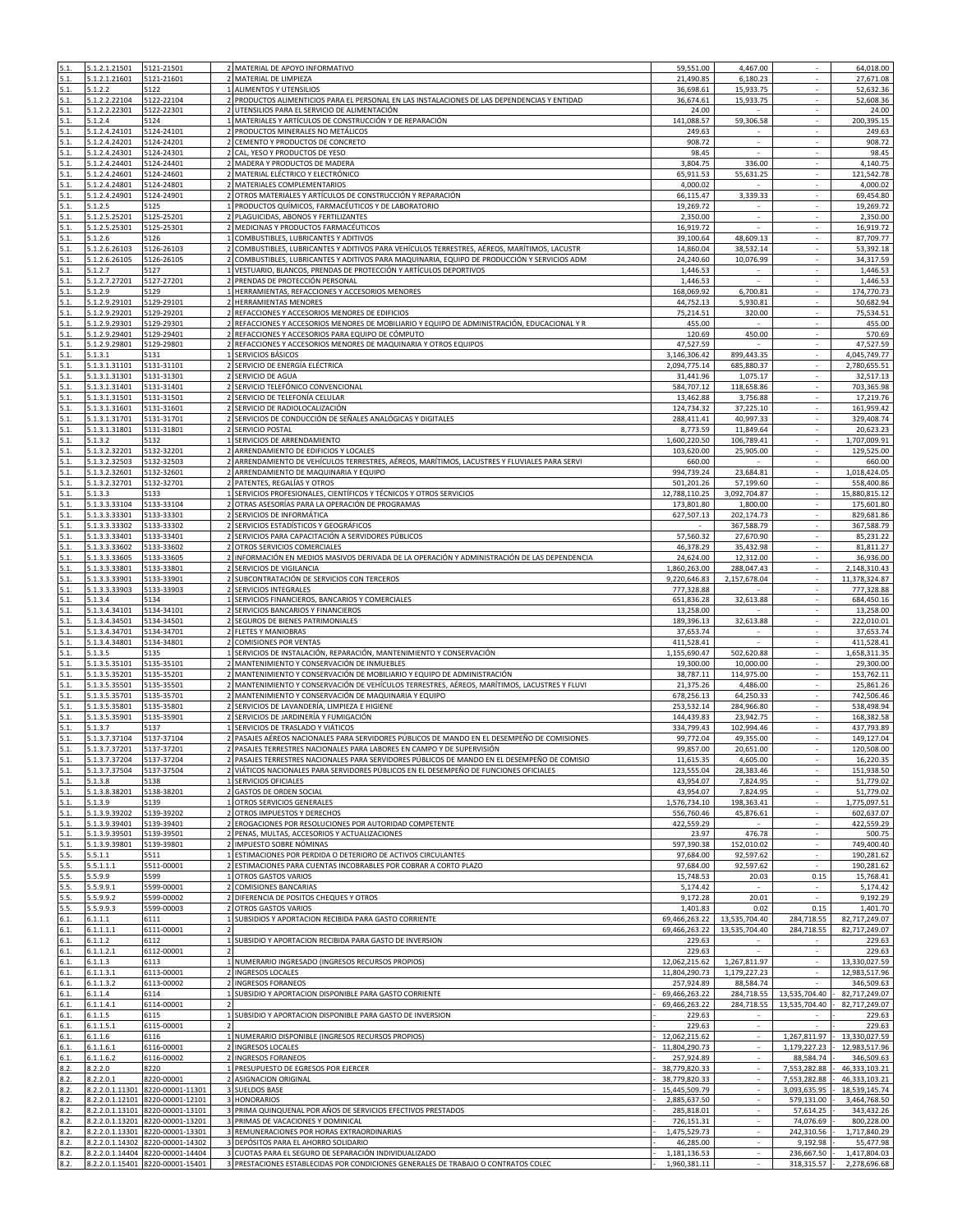| 5.1. | 5.1.2.1.21501   | 5121-21501                       | 2 MATERIAL DE APOYO INFORMATIVO                                                                              | 59,551.00     | 4,467.00                 | ×.                          | 64,018.00     |
|------|-----------------|----------------------------------|--------------------------------------------------------------------------------------------------------------|---------------|--------------------------|-----------------------------|---------------|
|      | 6.1.2.1.21601   | 5121-21601                       | MATERIAL DE LIMPIEZA                                                                                         | 21,490.85     | 6,180.23                 |                             | 27,671.08     |
| 5.1. | 5.1.2.2         | 5122                             | 1 ALIMENTOS Y UTENSILIOS                                                                                     | 36,698.61     | 15,933.75                |                             | 52,632.36     |
| 5.1. | 5.1.2.2.22104   | 5122-22104                       | 2 PRODUCTOS ALIMENTICIOS PARA EL PERSONAL EN LAS INSTALACIONES DE LAS DEPENDENCIAS Y ENTIDAD                 | 36,674.61     | 15,933.75                | $\mathcal{L}_{\mathcal{A}}$ | 52,608.36     |
| 5.1. | 5.1.2.2.22301   | 5122-22301                       | UTENSILIOS PARA EL SERVICIO DE ALIMENTACIÓN<br>$\overline{2}$                                                | 24.00         |                          | ÷.                          | 24.00         |
| 5.1. | 5.1.2.4         | 5124                             | 1 MATERIALES Y ARTÍCULOS DE CONSTRUCCIÓN Y DE REPARACIÓN                                                     | 141,088.57    | 59,306.58                | $\sim$                      | 200,395.15    |
| 5.1. | 5.1.2.4.24101   | 5124-24101                       | 2 PRODUCTOS MINERALES NO METÁLICOS                                                                           | 249.63        | $\sim$                   | $\sim$                      | 249.63        |
| 5.1. | 5.1.2.4.24201   | 5124-24201                       | 2 CEMENTO Y PRODUCTOS DE CONCRETO                                                                            | 908.72        | ÷.                       | ÷.                          | 908.72        |
| 5.1. | 5.1.2.4.24301   | 5124-24301                       | CAL, YESO Y PRODUCTOS DE YESO                                                                                | 98.45         |                          |                             | 98.45         |
| 5.1. | 5.1.2.4.24401   | 5124-24401                       | 2 MADERA Y PRODUCTOS DE MADERA                                                                               | 3,804.75      | 336.00                   |                             | 4,140.75      |
| 5.1. | 5.1.2.4.24601   | 5124-24601                       | 2 MATERIAL ELÉCTRICO Y ELECTRÓNICO                                                                           | 65,911.53     | 55,631.25                | ÷.                          | 121,542.78    |
| 5.1. | 5.1.2.4.24801   | 5124-24801                       | 2 MATERIALES COMPLEMENTARIOS                                                                                 | 4,000.02      |                          | ÷.                          | 4,000.02      |
| 5.1. | 5.1.2.4.24901   | 5124-24901                       | OTROS MATERIALES Y ARTÍCULOS DE CONSTRUCCIÓN Y REPARACIÓN                                                    | 66,115.47     | 3,339.33                 | $\sim$                      | 69,454.80     |
| 5.1. | 5.1.2.5         | 5125                             | PRODUCTOS QUÍMICOS, FARMACÉUTICOS Y DE LABORATORIO                                                           | 19,269.72     |                          |                             | 19,269.72     |
| 5.1. | 5.1.2.5.25201   | 5125-25201                       | 2 PLAGUICIDAS, ABONOS Y FERTILIZANTES                                                                        | 2,350.00      | ×                        | ×.                          | 2,350.00      |
| 5.1. | 5.1.2.5.25301   | 5125-25301                       | MEDICINAS Y PRODUCTOS FARMACÉUTICOS                                                                          | 16,919.72     |                          |                             | 16,919.72     |
| 5.1. | 5.1.2.6         | 5126                             | 1 COMBUSTIBLES. LUBRICANTES Y ADITIVOS                                                                       | 39,100.64     | 48,609.13                |                             | 87.709.77     |
| 5.1. | 5.1.2.6.26103   | 5126-26103                       | COMBUSTIBLES, LUBRICANTES Y ADITIVOS PARA VEHÍCULOS TERRESTRES, AÉREOS, MARÍTIMOS, LACUSTR<br>$\overline{2}$ | 14,860.04     | 38,532.14                | $\sim$                      | 53,392.18     |
| 5.1. | 5.1.2.6.26105   | 5126-26105                       | COMBUSTIBLES, LUBRICANTES Y ADITIVOS PARA MAQUINARIA, EQUIPO DE PRODUCCIÓN Y SERVICIOS ADM                   | 24,240.60     | 10.076.99                |                             | 34,317.59     |
| 5.1. | 5.1.2.7         | 5127                             | VESTUARIO, BLANCOS, PRENDAS DE PROTECCIÓN Y ARTÍCULOS DEPORTIVOS                                             | 1,446.53      |                          |                             | 1,446.53      |
| 5.1. | 5.1.2.7.27201   | 5127-27201                       | PRENDAS DE PROTECCIÓN PERSONAL                                                                               | 1,446.53      |                          |                             | 1,446.53      |
| 5.1. | 5.1.2.9         | 5129                             | 1 HERRAMIENTAS, REFACCIONES Y ACCESORIOS MENORES                                                             | 168,069.92    | 6,700.81                 | $\mathcal{L}_{\mathcal{A}}$ | 174,770.73    |
| 5.1. | 5.1.2.9.29101   | 5129-29101                       | 2 HERRAMIENTAS MENORES                                                                                       | 44,752.13     | 5,930.81                 |                             | 50,682.94     |
| 5.1. | 5.1.2.9.29201   | 5129-29201                       | 2 REFACCIONES Y ACCESORIOS MENORES DE EDIFICIOS                                                              | 75,214.51     | 320.00                   |                             | 75,534.51     |
| 5.1. | 5.1.2.9.29301   | 5129-29301                       | 2 REFACCIONES Y ACCESORIOS MENORES DE MOBILIARIO Y EQUIPO DE ADMINISTRACIÓN, EDUCACIONAL Y R                 | 455.00        | $\sim$                   | $\sim$                      | 455.00        |
| 5.1. | 5.1.2.9.29401   | 5129-29401                       | 2 REFACCIONES Y ACCESORIOS PARA EQUIPO DE CÓMPUTO                                                            | 120.69        | 450.00                   | ÷.                          | 570.69        |
| 5.1. | 5.1.2.9.29801   | 5129-29801                       | REFACCIONES Y ACCESORIOS MENORES DE MAQUINARIA Y OTROS EQUIPOS                                               | 47,527.59     |                          |                             | 47,527.59     |
| 5.1. | 5.1.3.1         | 5131                             | 1 SERVICIOS BÁSICOS                                                                                          | 3,146,306.42  | 899,443.35               | $\sim$                      | 4,045,749.77  |
| 5.1. | 5.1.3.1.31101   | 5131-31101                       | 2 SERVICIO DE ENERGÍA ELÉCTRICA                                                                              | 2,094,775.14  | 685,880.37               | $\sim$                      | 2,780,655.51  |
| 5.1. | 5.1.3.1.31301   | 5131-31301                       | 2 SERVICIO DE AGUA                                                                                           | 31,441.96     | 1,075.17                 |                             | 32,517.13     |
| 5.1. | 5.1.3.1.31401   | 5131-31401                       | 2 SERVICIO TELEFÓNICO CONVENCIONAL                                                                           | 584,707.12    | 118,658.86               |                             | 703,365.98    |
| 5.1. | 5.1.3.1.31501   | 5131-31501                       | 2 SERVICIO DE TELEFONÍA CELULAR                                                                              | 13,462.88     | 3,756.88                 | $\overline{\phantom{a}}$    | 17,219.76     |
| 5.1. | 5.1.3.1.31601   | 5131-31601                       | 2 SERVICIO DE RADIOLOCALIZACIÓN                                                                              | 124,734.32    | 37,225.10                | ÷.                          | 161,959.42    |
| 5.1. | 5.1.3.1.31701   | 5131-31701                       | SERVICIOS DE CONDUCCIÓN DE SEÑALES ANALÓGICAS Y DIGITALES                                                    | 288,411.41    | 40,997.33                |                             | 329,408.74    |
| 5.1. | 5.1.3.1.31801   | 5131-31801                       | 2 SERVICIO POSTAL                                                                                            | 8,773.59      | 11.849.64                |                             | 20,623.23     |
| 5.1. | 5.1.3.2         | 5132                             | 1 SERVICIOS DE ARRENDAMIENTO                                                                                 | 1,600,220.50  | 106,789.41               | $\sim$                      | 1,707,009.91  |
| 5.1. | 5.1.3.2.32201   | 5132-32201                       | ARRENDAMIENTO DE EDIFICIOS Y LOCALES                                                                         | 103,620.00    | 25,905.00                |                             | 129,525.00    |
| 5.1. | 5.1.3.2.32503   | 5132-32503                       | ARRENDAMIENTO DE VEHÍCULOS TERRESTRES, AÉREOS, MARÍTIMOS, LACUSTRES Y FLUVIALES PARA SERVI                   | 660.00        |                          | $\sim$                      | 660.00        |
| 5.1. | 5.1.3.2.32601   | 5132-32601                       | 2 ARRENDAMIENTO DE MAQUINARIA Y EQUIPO                                                                       | 994,739.24    | 23,684.81                |                             | 1,018,424.05  |
| 5.1. | 5.1.3.2.32701   | 5132-32701                       | 2 PATENTES, REGALÍAS Y OTROS                                                                                 | 501,201.26    | 57,199.60                | ÷.                          | 558,400.86    |
| 5.1. | 5.1.3.3         | 5133                             | SERVICIOS PROFESIONALES, CIENTÍFICOS Y TÉCNICOS Y OTROS SERVICIOS                                            | 12,788,110.25 | 3,092,704.87             | L.                          | 15,880,815.12 |
| 5.1. | 5.1.3.3.33104   | 5133-33104                       | 2 OTRAS ASESORÍAS PARA LA OPERACIÓN DE PROGRAMAS                                                             | 173,801.80    | 1,800.00                 |                             | 175,601.80    |
| 5.1. | 5.1.3.3.33301   | 5133-33301                       | 2 SERVICIOS DE INFORMÁTICA                                                                                   | 627,507.13    | 202,174.73               | $\sim$                      | 829,681.86    |
| 5.1. | 5.1.3.3.33302   | 5133-33302                       | 2 SERVICIOS ESTADÍSTICOS Y GEOGRÁFICOS                                                                       |               | 367,588.79               | ÷.                          | 367,588.79    |
| 5.1. | 5.1.3.3.33401   | 5133-33401                       | 2 SERVICIOS PARA CAPACITACIÓN A SERVIDORES PÚBLICOS                                                          | 57,560.32     | 27,670.90                | ÷.                          | 85,231.22     |
| 5.1. | 5.1.3.3.33602   | 5133-33602                       | OTROS SERVICIOS COMERCIALES                                                                                  | 46,378.29     | 35,432.98                |                             | 81,811.27     |
| 5.1. | 5.1.3.3.33605   | 5133-33605                       | 2 INFORMACIÓN EN MEDIOS MASIVOS DERIVADA DE LA OPERACIÓN Y ADMINISTRACIÓN DE LAS DEPENDENCIA                 | 24,624.00     | 12,312.00                | $\sim$                      | 36,936.00     |
| 5.1. | 5.1.3.3.33801   | 5133-33801                       | 2 SERVICIOS DE VIGILANCIA                                                                                    | 1,860,263.00  | 288,047.43               |                             | 2,148,310.43  |
| 5.1. | 5.1.3.3.33901   | 5133-33901                       | 2 SUBCONTRATACIÓN DE SERVICIOS CON TERCEROS                                                                  | 9,220,646.83  | 2,157,678.04             |                             | 11,378,324.87 |
| 5.1. | 5.1.3.3.33903   | 5133-33903                       | 2 SERVICIOS INTEGRALES                                                                                       | 777,328.88    |                          | $\sim$                      | 777,328.88    |
| 5.1. | 5.1.3.4         | 5134                             | 1 SERVICIOS FINANCIEROS, BANCARIOS Y COMERCIALES                                                             | 651,836.28    | 32,613.88                | ÷.                          | 684,450.16    |
| 5.1. | 5.1.3.4.34101   | 5134-34101                       | SERVICIOS BANCARIOS Y FINANCIEROS                                                                            | 13,258.00     |                          |                             | 13,258.00     |
| 5.1. | 5.1.3.4.34501   | 5134-34501                       | SEGUROS DE BIENES PATRIMONIALES<br>$\overline{2}$                                                            | 189,396.13    | 32,613.88                |                             | 222,010.01    |
| 5.1. | 5.1.3.4.34701   | 5134-34701                       | 2 FLETES Y MANIOBRAS                                                                                         | 37,653.74     | $\overline{\phantom{a}}$ | $\sim$                      | 37,653.74     |
| 5.1. | 5.1.3.4.34801   | 5134-34801                       | 2 <sub>1</sub><br><b>COMISIONES POR VENTAS</b>                                                               | 411,528.41    |                          | ÷.                          | 411,528.41    |
| 5.1. | 5.1.3.5         | 5135                             | 1 SERVICIOS DE INSTALACIÓN, REPARACIÓN, MANTENIMIENTO Y CONSERVACIÓN                                         | 1,155,690.47  | 502,620.88               | ÷.                          | 1,658,311.35  |
| 5.1. | 5.1.3.5.35101   | 5135-35101                       | 2 MANTENIMIENTO Y CONSERVACIÓN DE INMUEBLES                                                                  | 19,300.00     | 10,000.00                | $\sim$                      | 29,300.00     |
| 5.1. | 5.1.3.5.35201   | 5135-35201                       | 2 MANTENIMIENTO Y CONSERVACIÓN DE MOBILIARIO Y EQUIPO DE ADMINISTRACIÓN                                      | 38,787.11     | 114,975.00               | ÷.                          | 153,762.11    |
| 5.1. | 5.1.3.5.35501   | 5135-35501                       | MANTENIMIENTO Y CONSERVACIÓN DE VEHÍCULOS TERRESTRES, AÉREOS, MARÍTIMOS, LACUSTRES Y FLUVI                   | 21,375.26     | 4,486.00                 |                             | 25,861.26     |
| 5.1  | 5.1.3.5.35701   | 5135-35701                       | MANTENIMIENTO Y CONSERVACIÓN DE MAQUINARIA Y EQUIPO                                                          | 678,256.13    | 64,250.33                |                             | 742,506.46    |
| 5.1. | 5.1.3.5.35801   | 5135-35801                       | SERVICIOS DE LAVANDERÍA, LIMPIEZA E HIGIENE                                                                  | 253,532.14    | 284,966.80               | $\sim$                      | 538,498.94    |
| 5.1. | 5.1.3.5.35901   | 5135-35901                       | 2 <sub>1</sub><br>SERVICIOS DE JARDINERÍA Y FUMIGACIÓN                                                       | 144,439.83    | 23,942.75                | ÷.                          | 168,382.58    |
| 5.1. | 5.1.3.7         | 5137                             | 1 SERVICIOS DE TRASLADO Y VIÁTICOS                                                                           | 334,799.43    | 102,994.46               | ÷.                          | 437,793.89    |
| 5.1. | 5.1.3.7.37104   | 5137-37104                       | 2 PASAJES AÉREOS NACIONALES PARA SERVIDORES PÚBLICOS DE MANDO EN EL DESEMPEÑO DE COMISIONES                  | 99,772.04     | 49,355.00                |                             | 149,127.04    |
| 5.1. | 5.1.3.7.37201   | 5137-37201                       | 2 PASAJES TERRESTRES NACIONALES PARA LABORES EN CAMPO Y DE SUPERVISIÓN                                       | 99,857.00     | 20,651.00                | $\sim$                      | 120,508.00    |
| 5.1  | 5.1.3.7.37204   | 5137-37204                       | PASAJES TERRESTRES NACIONALES PARA SERVIDORES PÚBLICOS DE MANDO EN EL DESEMPEÑO DE COMISIO                   | 11,615.35     | 4,605.00                 |                             | 16,220.35     |
| 5.1. | 5.1.3.7.37504   | 5137-37504                       | 2 VIÁTICOS NACIONALES PARA SERVIDORES PÚBLICOS EN EL DESEMPEÑO DE FUNCIONES OFICIALES                        | 123,555.04    | 28,383.46                |                             | 151,938.50    |
| 5.1. | 5.1.3.8         | 5138                             | 1 SERVICIOS OFICIALES                                                                                        | 43,954.07     | 7,824.95                 |                             | 51,779.02     |
| 5.1. | 5.1.3.8.38201   | 5138-38201                       | 2 GASTOS DE ORDEN SOCIAL                                                                                     | 43,954.07     | 7,824.95                 | ×.                          | 51,779.02     |
| 5.1. | 5.1.3.9         | 5139                             | OTROS SERVICIOS GENERALES<br>$\mathbf{1}$                                                                    | 1,576,734.10  | 198,363.41               | $\sim$                      | 1,775,097.51  |
| 5.1. | 5.1.3.9.39202   | 5139-39202                       | OTROS IMPUESTOS Y DERECHOS                                                                                   | 556,760.46    | 45,876.61                |                             | 602,637.07    |
| 5.1. | 5.1.3.9.39401   | 5139-39401                       | 2 EROGACIONES POR RESOLUCIONES POR AUTORIDAD COMPETENTE                                                      | 422,559.29    |                          | ÷.                          | 422,559.29    |
| 5.1. | 5.1.3.9.39501   | 5139-39501                       | 2 PENAS, MULTAS, ACCESORIOS Y ACTUALIZACIONES                                                                | 23.97         | 476.78                   |                             | 500.75        |
| 5.1. | 5.1.3.9.39801   | 5139-39801                       | 2 IMPUESTO SOBRE NÓMINAS                                                                                     | 597,390.38    | 152,010.02               |                             | 749.400.40    |
| 5.5. | 5.5.1.1         | 5511                             | 1 ESTIMACIONES POR PERDIDA O DETERIORO DE ACTIVOS CIRCULANTES                                                | 97,684.00     | 92,597.62                | $\sim$                      | 190,281.62    |
| 5.5. | 5.5.1.1.1       | 5511-00001                       | 2 ESTIMACIONES PARA CUENTAS INCOBRABLES POR COBRAR A CORTO PLAZO                                             | 97,684.00     | 92.597.62                |                             | 190,281.62    |
| 5.5. | 5.5.9.9         | 5599                             | <b>OTROS GASTOS VARIOS</b>                                                                                   | 15,748.53     | 20.03                    | 0.15                        | 15,768.41     |
| 5.5. | 5.5.9.9.1       | 5599-00001                       | <b>COMISIONES BANCARIAS</b>                                                                                  | 5,174.42      |                          |                             | 5,174.42      |
| 5.5. | 5.5.9.9.2       | 5599-00002                       | 2 DIFERENCIA DE POSITOS CHEQUES Y OTROS                                                                      | 9,172.28      | 20.01                    | $\sim$                      | 9,192.29      |
| 5.5. | 5.5.9.9.3       | 5599-00003                       | 2 OTROS GASTOS VARIOS                                                                                        | 1,401.83      | 0.02                     | 0.15                        | 1,401.70      |
| 6.1. | 6.1.1.1         | 6111                             | 1 SUBSIDIOS Y APORTACION RECIBIDA PARA GASTO CORRIENTE                                                       | 69,466,263.22 | 13,535,704.40            | 284,718.55                  | 82,717,249.07 |
| 6.1. | 6.1.1.1.1       | 6111-00001                       | $\mathfrak{p}$                                                                                               | 69,466,263.22 | 13,535,704.40            | 284,718.55                  | 82,717,249.07 |
| 6.1. | 6.1.1.2         | 6112                             | 1 SUBSIDIO Y APORTACION RECIBIDA PARA GASTO DE INVERSION                                                     | 229.63        | $\sim$                   | $\sim$                      | 229.63        |
| 6.1. | 6.1.1.2.1       | 6112-00001                       |                                                                                                              | 229.63        |                          |                             | 229.63        |
| 6.1. | 6.1.1.3         | 6113                             | 1 NUMERARIO INGRESADO (INGRESOS RECURSOS PROPIOS)                                                            | 12,062,215.62 | 1,267,811.97             |                             | 13,330,027.59 |
| 6.1. | 6.1.1.3.1       | 6113-00001                       | 2 INGRESOS LOCALES                                                                                           | 11,804,290.73 | 1,179,227.23             | $\sim$                      | 12,983,517.96 |
| 6.1. | 6.1.1.3.2       | 6113-00002                       | 2 INGRESOS FORANEOS                                                                                          | 257,924.89    | 88,584.74                |                             | 346,509.63    |
| 6.1. | 6.1.1.4         | 6114                             | 1 SUBSIDIO Y APORTACION DISPONIBLE PARA GASTO CORRIENTE                                                      | 69,466,263.22 | 284,718.55               | 13,535,704.40               | 82,717,249.07 |
| 6.1. | 6.1.1.4.1       | 6114-00001                       |                                                                                                              | 69,466,263.22 | 284,718.55               | 13,535,704.40               | 82,717,249.07 |
| 6.1. | 6.1.1.5         | 6115                             | 1 SUBSIDIO Y APORTACION DISPONIBLE PARA GASTO DE INVERSION                                                   | 229.63        | $\sim$                   |                             | 229.63        |
| 6.1. | 6.1.1.5.1       | 6115-00001                       |                                                                                                              | 229.63        | ÷.                       |                             | 229.63        |
| 6.1. | 6.1.1.6         | 6116                             | 1 NUMERARIO DISPONIBLE (INGRESOS RECURSOS PROPIOS)                                                           | 12,062,215.62 | $\sim$                   | 1,267,811.97                | 13,330,027.59 |
| 6.1. | 6.1.1.6.1       | 6116-00001                       | 2 INGRESOS LOCALES                                                                                           | 11,804,290.73 | $\sim$                   | 1,179,227.23                | 12,983,517.96 |
| 6.1. | 6.1.1.6.2       | 6116-00002                       | 2 INGRESOS FORANEOS                                                                                          | 257,924.89    |                          | 88,584.74                   | 346,509.63    |
| 8.2. | 8.2.2.0         | 8220                             | 1 PRESUPUESTO DE EGRESOS POR EJERCER                                                                         | 38,779,820.33 | ×.                       | 7,553,282.88                | 46,333,103.21 |
| 8.2. | 8.2.2.0.1       | 8220-00001                       | 2 ASIGNACION ORIGINAL                                                                                        | 38,779,820.33 |                          | 7,553,282.88                | 46,333,103.21 |
| 8.2. |                 | 8.2.2.0.1.11301 8220-00001-11301 | 3 SUELDOS BASE                                                                                               | 15,445,509.79 | $\sim$                   | 3,093,635.95                | 18,539,145.74 |
| 8.2. |                 | 8.2.2.0.1.12101 8220-00001-12101 | 3 HONORARIOS                                                                                                 | 2,885,637.50  | ÷.                       | 579,131.00                  | 3,464,768.50  |
| 8.2. |                 | 8.2.2.0.1.13101 8220-00001-13101 | 3 PRIMA QUINQUENAL POR AÑOS DE SERVICIOS EFECTIVOS PRESTADOS                                                 | 285,818.01    |                          | 57,614.25                   | 343,432.26    |
| 8.2. |                 | 8.2.2.0.1.13201 8220-00001-13201 | 3 PRIMAS DE VACACIONES Y DOMINICAL                                                                           | 726,151.31    | $\sim$                   | 74,076.69                   | 800,228.00    |
| 8.2. | 8.2.2.0.1.13301 | 8220-00001-13301                 | 3 REMUNERACIONES POR HORAS EXTRAORDINARIAS                                                                   | 1,475,529.73  |                          | 242,310.56                  | 1,717,840.29  |
| 8.2. | 8.2.2.0.1.14302 | 8220-00001-14302                 | 3 DEPÓSITOS PARA EL AHORRO SOLIDARIO                                                                         | 46,285.00     |                          | 9,192.98                    | 55,477.98     |
| 8.2. |                 | 8.2.2.0.1.14404 8220-00001-14404 | 3 CUOTAS PARA EL SEGURO DE SEPARACIÓN INDIVIDUALIZADO                                                        | 1,181,136.53  | $\sim$                   | 236,667.50                  | 1,417,804.03  |
| 8.2. |                 | 8.2.2.0.1.15401 8220-00001-15401 | 3 PRESTACIONES ESTABLECIDAS POR CONDICIONES GENERALES DE TRABAJO O CONTRATOS COLEC                           | 1,960,381.11  | $\sim$                   | 318,315.57                  | 2,278,696.68  |